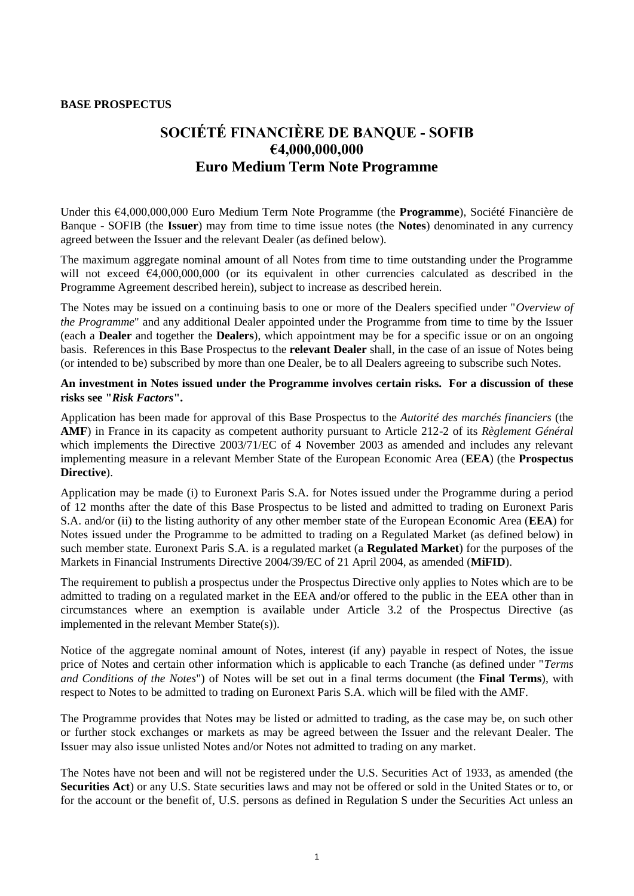### **BASE PROSPECTUS**

# **SOCIÉTÉ FINANCIÈRE DE BANQUE - SOFIB €4,000,000,000 Euro Medium Term Note Programme**

Under this €4,000,000,000 Euro Medium Term Note Programme (the **Programme**), Société Financière de Banque - SOFIB (the **Issuer**) may from time to time issue notes (the **Notes**) denominated in any currency agreed between the Issuer and the relevant Dealer (as defined below).

The maximum aggregate nominal amount of all Notes from time to time outstanding under the Programme will not exceed €4,000,000,000 (or its equivalent in other currencies calculated as described in the Programme Agreement described herein), subject to increase as described herein.

The Notes may be issued on a continuing basis to one or more of the Dealers specified under "*Overview of the Programme*" and any additional Dealer appointed under the Programme from time to time by the Issuer (each a **Dealer** and together the **Dealers**), which appointment may be for a specific issue or on an ongoing basis. References in this Base Prospectus to the **relevant Dealer** shall, in the case of an issue of Notes being (or intended to be) subscribed by more than one Dealer, be to all Dealers agreeing to subscribe such Notes.

### **An investment in Notes issued under the Programme involves certain risks. For a discussion of these risks see "***Risk Factors***".**

Application has been made for approval of this Base Prospectus to the *Autorité des marchés financiers* (the **AMF**) in France in its capacity as competent authority pursuant to Article 212-2 of its *Règlement Général* which implements the Directive 2003/71/EC of 4 November 2003 as amended and includes any relevant implementing measure in a relevant Member State of the European Economic Area (**EEA**) (the **Prospectus Directive**).

Application may be made (i) to Euronext Paris S.A. for Notes issued under the Programme during a period of 12 months after the date of this Base Prospectus to be listed and admitted to trading on Euronext Paris S.A. and/or (ii) to the listing authority of any other member state of the European Economic Area (**EEA**) for Notes issued under the Programme to be admitted to trading on a Regulated Market (as defined below) in such member state. Euronext Paris S.A. is a regulated market (a **Regulated Market**) for the purposes of the Markets in Financial Instruments Directive 2004/39/EC of 21 April 2004, as amended (**MiFID**).

The requirement to publish a prospectus under the Prospectus Directive only applies to Notes which are to be admitted to trading on a regulated market in the EEA and/or offered to the public in the EEA other than in circumstances where an exemption is available under Article 3.2 of the Prospectus Directive (as implemented in the relevant Member State(s)).

Notice of the aggregate nominal amount of Notes, interest (if any) payable in respect of Notes, the issue price of Notes and certain other information which is applicable to each Tranche (as defined under "*Terms and Conditions of the Notes*") of Notes will be set out in a final terms document (the **Final Terms**), with respect to Notes to be admitted to trading on Euronext Paris S.A. which will be filed with the AMF.

The Programme provides that Notes may be listed or admitted to trading, as the case may be, on such other or further stock exchanges or markets as may be agreed between the Issuer and the relevant Dealer. The Issuer may also issue unlisted Notes and/or Notes not admitted to trading on any market.

The Notes have not been and will not be registered under the U.S. Securities Act of 1933, as amended (the **Securities Act**) or any U.S. State securities laws and may not be offered or sold in the United States or to, or for the account or the benefit of, U.S. persons as defined in Regulation S under the Securities Act unless an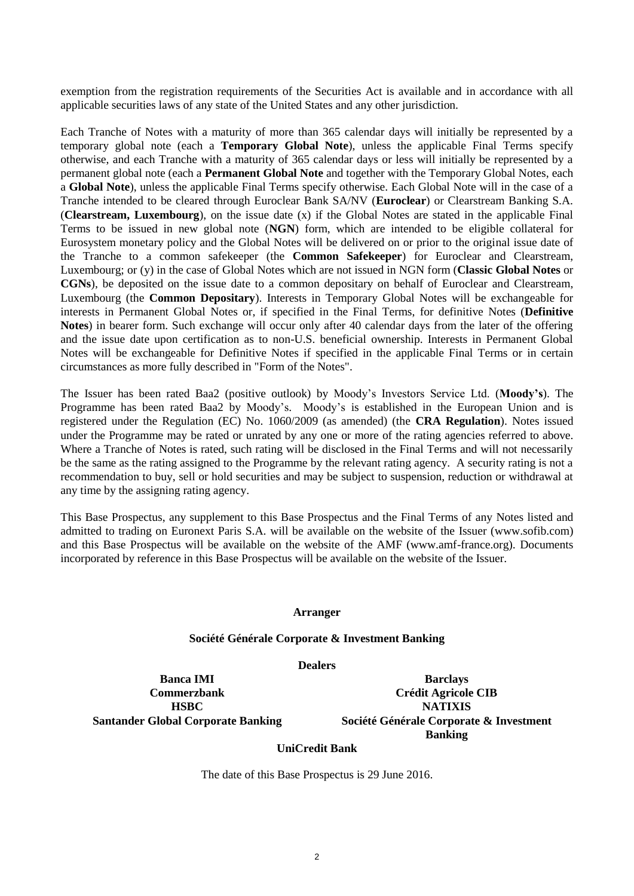exemption from the registration requirements of the Securities Act is available and in accordance with all applicable securities laws of any state of the United States and any other jurisdiction.

Each Tranche of Notes with a maturity of more than 365 calendar days will initially be represented by a temporary global note (each a **Temporary Global Note**), unless the applicable Final Terms specify otherwise, and each Tranche with a maturity of 365 calendar days or less will initially be represented by a permanent global note (each a **Permanent Global Note** and together with the Temporary Global Notes, each a **Global Note**), unless the applicable Final Terms specify otherwise. Each Global Note will in the case of a Tranche intended to be cleared through Euroclear Bank SA/NV (**Euroclear**) or Clearstream Banking S.A. (**Clearstream, Luxembourg**), on the issue date (x) if the Global Notes are stated in the applicable Final Terms to be issued in new global note (**NGN**) form, which are intended to be eligible collateral for Eurosystem monetary policy and the Global Notes will be delivered on or prior to the original issue date of the Tranche to a common safekeeper (the **Common Safekeeper**) for Euroclear and Clearstream, Luxembourg; or (y) in the case of Global Notes which are not issued in NGN form (**Classic Global Notes** or **CGNs**), be deposited on the issue date to a common depositary on behalf of Euroclear and Clearstream, Luxembourg (the **Common Depositary**). Interests in Temporary Global Notes will be exchangeable for interests in Permanent Global Notes or, if specified in the Final Terms, for definitive Notes (**Definitive Notes**) in bearer form. Such exchange will occur only after 40 calendar days from the later of the offering and the issue date upon certification as to non-U.S. beneficial ownership. Interests in Permanent Global Notes will be exchangeable for Definitive Notes if specified in the applicable Final Terms or in certain circumstances as more fully described in "Form of the Notes".

The Issuer has been rated Baa2 (positive outlook) by Moody's Investors Service Ltd. (**Moody's**). The Programme has been rated Baa2 by Moody's. Moody's is established in the European Union and is registered under the Regulation (EC) No. 1060/2009 (as amended) (the **CRA Regulation**). Notes issued under the Programme may be rated or unrated by any one or more of the rating agencies referred to above. Where a Tranche of Notes is rated, such rating will be disclosed in the Final Terms and will not necessarily be the same as the rating assigned to the Programme by the relevant rating agency. A security rating is not a recommendation to buy, sell or hold securities and may be subject to suspension, reduction or withdrawal at any time by the assigning rating agency.

This Base Prospectus, any supplement to this Base Prospectus and the Final Terms of any Notes listed and admitted to trading on Euronext Paris S.A. will be available on the website of the Issuer (www.sofib.com) and this Base Prospectus will be available on the website of the AMF (www.amf-france.org). Documents incorporated by reference in this Base Prospectus will be available on the website of the Issuer.

#### **Arranger**

#### **Société Générale Corporate & Investment Banking**

**Dealers**

**Banca IMI Barclays Commerzbank Crédit Agricole CIB HSBC NATIXIS Santander Global Corporate Banking Société Générale Corporate & Investment Banking**

#### **UniCredit Bank**

The date of this Base Prospectus is 29 June 2016.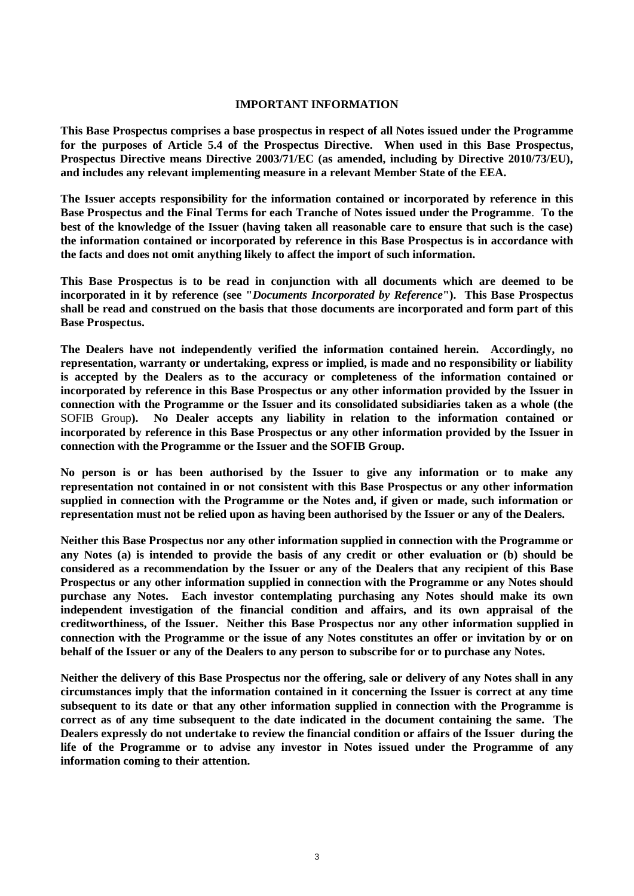### **IMPORTANT INFORMATION**

**This Base Prospectus comprises a base prospectus in respect of all Notes issued under the Programme for the purposes of Article 5.4 of the Prospectus Directive. When used in this Base Prospectus, Prospectus Directive means Directive 2003/71/EC (as amended, including by Directive 2010/73/EU), and includes any relevant implementing measure in a relevant Member State of the EEA.**

**The Issuer accepts responsibility for the information contained or incorporated by reference in this Base Prospectus and the Final Terms for each Tranche of Notes issued under the Programme**. **To the best of the knowledge of the Issuer (having taken all reasonable care to ensure that such is the case) the information contained or incorporated by reference in this Base Prospectus is in accordance with the facts and does not omit anything likely to affect the import of such information.**

**This Base Prospectus is to be read in conjunction with all documents which are deemed to be incorporated in it by reference (see "***Documents Incorporated by Reference***"). This Base Prospectus shall be read and construed on the basis that those documents are incorporated and form part of this Base Prospectus.**

**The Dealers have not independently verified the information contained herein. Accordingly, no representation, warranty or undertaking, express or implied, is made and no responsibility or liability is accepted by the Dealers as to the accuracy or completeness of the information contained or incorporated by reference in this Base Prospectus or any other information provided by the Issuer in connection with the Programme or the Issuer and its consolidated subsidiaries taken as a whole (the**  SOFIB Group**). No Dealer accepts any liability in relation to the information contained or incorporated by reference in this Base Prospectus or any other information provided by the Issuer in connection with the Programme or the Issuer and the SOFIB Group.**

**No person is or has been authorised by the Issuer to give any information or to make any representation not contained in or not consistent with this Base Prospectus or any other information supplied in connection with the Programme or the Notes and, if given or made, such information or representation must not be relied upon as having been authorised by the Issuer or any of the Dealers.**

**Neither this Base Prospectus nor any other information supplied in connection with the Programme or any Notes (a) is intended to provide the basis of any credit or other evaluation or (b) should be considered as a recommendation by the Issuer or any of the Dealers that any recipient of this Base Prospectus or any other information supplied in connection with the Programme or any Notes should purchase any Notes. Each investor contemplating purchasing any Notes should make its own independent investigation of the financial condition and affairs, and its own appraisal of the creditworthiness, of the Issuer. Neither this Base Prospectus nor any other information supplied in connection with the Programme or the issue of any Notes constitutes an offer or invitation by or on behalf of the Issuer or any of the Dealers to any person to subscribe for or to purchase any Notes.**

**Neither the delivery of this Base Prospectus nor the offering, sale or delivery of any Notes shall in any circumstances imply that the information contained in it concerning the Issuer is correct at any time subsequent to its date or that any other information supplied in connection with the Programme is correct as of any time subsequent to the date indicated in the document containing the same. The Dealers expressly do not undertake to review the financial condition or affairs of the Issuer during the life of the Programme or to advise any investor in Notes issued under the Programme of any information coming to their attention.**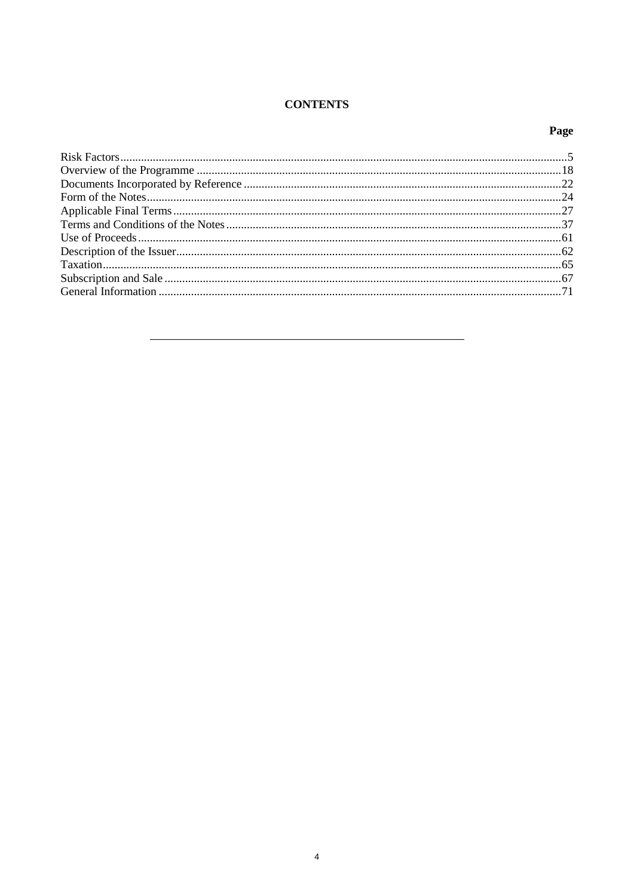# **CONTENTS**

# Page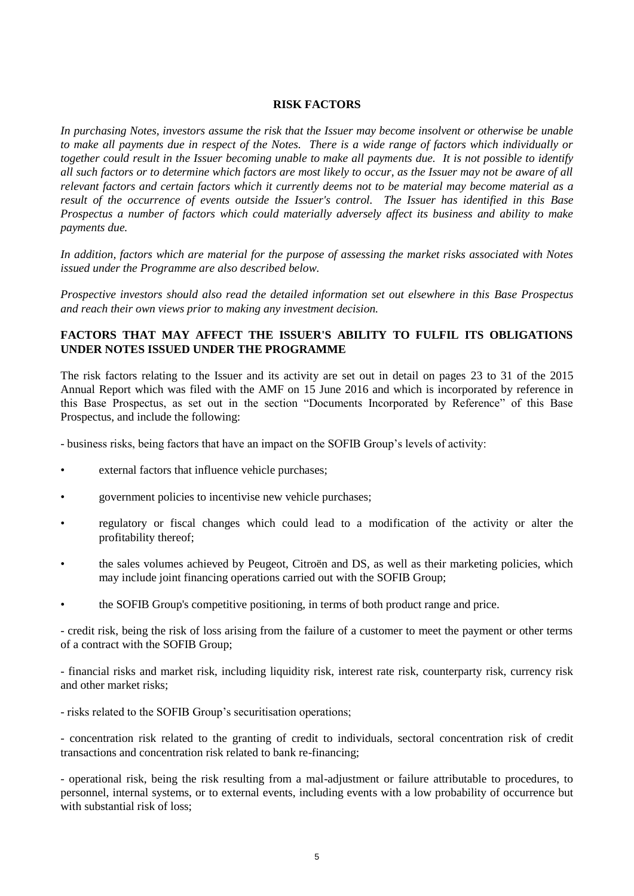### **RISK FACTORS**

*In purchasing Notes, investors assume the risk that the Issuer may become insolvent or otherwise be unable to make all payments due in respect of the Notes. There is a wide range of factors which individually or together could result in the Issuer becoming unable to make all payments due. It is not possible to identify all such factors or to determine which factors are most likely to occur, as the Issuer may not be aware of all relevant factors and certain factors which it currently deems not to be material may become material as a result of the occurrence of events outside the Issuer's control. The Issuer has identified in this Base Prospectus a number of factors which could materially adversely affect its business and ability to make payments due.*

*In addition, factors which are material for the purpose of assessing the market risks associated with Notes issued under the Programme are also described below.*

*Prospective investors should also read the detailed information set out elsewhere in this Base Prospectus and reach their own views prior to making any investment decision.*

## **FACTORS THAT MAY AFFECT THE ISSUER'S ABILITY TO FULFIL ITS OBLIGATIONS UNDER NOTES ISSUED UNDER THE PROGRAMME**

The risk factors relating to the Issuer and its activity are set out in detail on pages 23 to 31 of the 2015 Annual Report which was filed with the AMF on 15 June 2016 and which is incorporated by reference in this Base Prospectus, as set out in the section "Documents Incorporated by Reference" of this Base Prospectus, and include the following:

- business risks, being factors that have an impact on the SOFIB Group's levels of activity:

- external factors that influence vehicle purchases;
- government policies to incentivise new vehicle purchases;
- regulatory or fiscal changes which could lead to a modification of the activity or alter the profitability thereof;
- the sales volumes achieved by Peugeot, Citroën and DS, as well as their marketing policies, which may include joint financing operations carried out with the SOFIB Group;
- the SOFIB Group's competitive positioning, in terms of both product range and price.

- credit risk, being the risk of loss arising from the failure of a customer to meet the payment or other terms of a contract with the SOFIB Group;

- financial risks and market risk, including liquidity risk, interest rate risk, counterparty risk, currency risk and other market risks;

- risks related to the SOFIB Group's securitisation operations;

- concentration risk related to the granting of credit to individuals, sectoral concentration risk of credit transactions and concentration risk related to bank re-financing;

- operational risk, being the risk resulting from a mal-adjustment or failure attributable to procedures, to personnel, internal systems, or to external events, including events with a low probability of occurrence but with substantial risk of loss: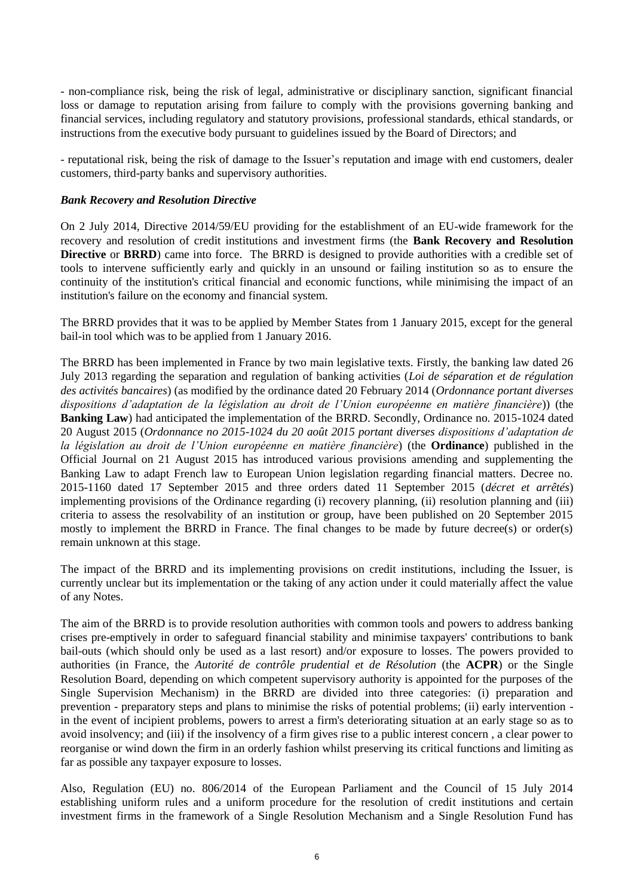- non-compliance risk, being the risk of legal, administrative or disciplinary sanction, significant financial loss or damage to reputation arising from failure to comply with the provisions governing banking and financial services, including regulatory and statutory provisions, professional standards, ethical standards, or instructions from the executive body pursuant to guidelines issued by the Board of Directors; and

- reputational risk, being the risk of damage to the Issuer's reputation and image with end customers, dealer customers, third-party banks and supervisory authorities.

### *Bank Recovery and Resolution Directive*

On 2 July 2014, Directive 2014/59/EU providing for the establishment of an EU-wide framework for the recovery and resolution of credit institutions and investment firms (the **Bank Recovery and Resolution Directive** or **BRRD**) came into force. The BRRD is designed to provide authorities with a credible set of tools to intervene sufficiently early and quickly in an unsound or failing institution so as to ensure the continuity of the institution's critical financial and economic functions, while minimising the impact of an institution's failure on the economy and financial system.

The BRRD provides that it was to be applied by Member States from 1 January 2015, except for the general bail-in tool which was to be applied from 1 January 2016.

The BRRD has been implemented in France by two main legislative texts. Firstly, the banking law dated 26 July 2013 regarding the separation and regulation of banking activities (*Loi de séparation et de régulation des activités bancaires*) (as modified by the ordinance dated 20 February 2014 (*Ordonnance portant diverses dispositions d'adaptation de la législation au droit de l'Union européenne en matière financière*)) (the **Banking Law**) had anticipated the implementation of the BRRD. Secondly, Ordinance no. 2015-1024 dated 20 August 2015 (*Ordonnance no 2015-1024 du 20 août 2015 portant diverses dispositions d'adaptation de la législation au droit de l'Union européenne en matière financière*) (the **Ordinance**) published in the Official Journal on 21 August 2015 has introduced various provisions amending and supplementing the Banking Law to adapt French law to European Union legislation regarding financial matters. Decree no. 2015-1160 dated 17 September 2015 and three orders dated 11 September 2015 (*décret et arrêtés*) implementing provisions of the Ordinance regarding (i) recovery planning, (ii) resolution planning and (iii) criteria to assess the resolvability of an institution or group, have been published on 20 September 2015 mostly to implement the BRRD in France. The final changes to be made by future decree(s) or order(s) remain unknown at this stage.

The impact of the BRRD and its implementing provisions on credit institutions, including the Issuer, is currently unclear but its implementation or the taking of any action under it could materially affect the value of any Notes.

The aim of the BRRD is to provide resolution authorities with common tools and powers to address banking crises pre-emptively in order to safeguard financial stability and minimise taxpayers' contributions to bank bail-outs (which should only be used as a last resort) and/or exposure to losses. The powers provided to authorities (in France, the *Autorité de contrôle prudential et de Résolution* (the **ACPR**) or the Single Resolution Board, depending on which competent supervisory authority is appointed for the purposes of the Single Supervision Mechanism) in the BRRD are divided into three categories: (i) preparation and prevention - preparatory steps and plans to minimise the risks of potential problems; (ii) early intervention in the event of incipient problems, powers to arrest a firm's deteriorating situation at an early stage so as to avoid insolvency; and (iii) if the insolvency of a firm gives rise to a public interest concern , a clear power to reorganise or wind down the firm in an orderly fashion whilst preserving its critical functions and limiting as far as possible any taxpayer exposure to losses.

Also, Regulation (EU) no. 806/2014 of the European Parliament and the Council of 15 July 2014 establishing uniform rules and a uniform procedure for the resolution of credit institutions and certain investment firms in the framework of a Single Resolution Mechanism and a Single Resolution Fund has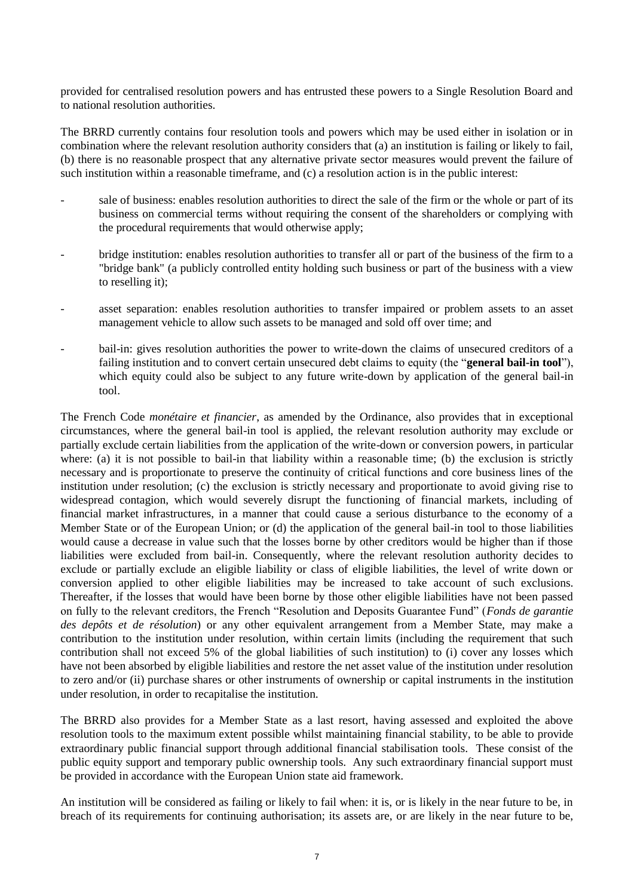provided for centralised resolution powers and has entrusted these powers to a Single Resolution Board and to national resolution authorities.

The BRRD currently contains four resolution tools and powers which may be used either in isolation or in combination where the relevant resolution authority considers that (a) an institution is failing or likely to fail, (b) there is no reasonable prospect that any alternative private sector measures would prevent the failure of such institution within a reasonable timeframe, and (c) a resolution action is in the public interest:

- sale of business: enables resolution authorities to direct the sale of the firm or the whole or part of its business on commercial terms without requiring the consent of the shareholders or complying with the procedural requirements that would otherwise apply;
- bridge institution: enables resolution authorities to transfer all or part of the business of the firm to a "bridge bank" (a publicly controlled entity holding such business or part of the business with a view to reselling it);
- asset separation: enables resolution authorities to transfer impaired or problem assets to an asset management vehicle to allow such assets to be managed and sold off over time; and
- bail-in: gives resolution authorities the power to write-down the claims of unsecured creditors of a failing institution and to convert certain unsecured debt claims to equity (the "**general bail-in tool**"), which equity could also be subject to any future write-down by application of the general bail-in tool.

The French Code *monétaire et financier*, as amended by the Ordinance, also provides that in exceptional circumstances, where the general bail-in tool is applied, the relevant resolution authority may exclude or partially exclude certain liabilities from the application of the write-down or conversion powers, in particular where: (a) it is not possible to bail-in that liability within a reasonable time; (b) the exclusion is strictly necessary and is proportionate to preserve the continuity of critical functions and core business lines of the institution under resolution; (c) the exclusion is strictly necessary and proportionate to avoid giving rise to widespread contagion, which would severely disrupt the functioning of financial markets, including of financial market infrastructures, in a manner that could cause a serious disturbance to the economy of a Member State or of the European Union; or (d) the application of the general bail-in tool to those liabilities would cause a decrease in value such that the losses borne by other creditors would be higher than if those liabilities were excluded from bail-in. Consequently, where the relevant resolution authority decides to exclude or partially exclude an eligible liability or class of eligible liabilities, the level of write down or conversion applied to other eligible liabilities may be increased to take account of such exclusions. Thereafter, if the losses that would have been borne by those other eligible liabilities have not been passed on fully to the relevant creditors, the French "Resolution and Deposits Guarantee Fund" (*Fonds de garantie des depôts et de résolution*) or any other equivalent arrangement from a Member State, may make a contribution to the institution under resolution, within certain limits (including the requirement that such contribution shall not exceed 5% of the global liabilities of such institution) to (i) cover any losses which have not been absorbed by eligible liabilities and restore the net asset value of the institution under resolution to zero and/or (ii) purchase shares or other instruments of ownership or capital instruments in the institution under resolution, in order to recapitalise the institution.

The BRRD also provides for a Member State as a last resort, having assessed and exploited the above resolution tools to the maximum extent possible whilst maintaining financial stability, to be able to provide extraordinary public financial support through additional financial stabilisation tools. These consist of the public equity support and temporary public ownership tools. Any such extraordinary financial support must be provided in accordance with the European Union state aid framework.

An institution will be considered as failing or likely to fail when: it is, or is likely in the near future to be, in breach of its requirements for continuing authorisation; its assets are, or are likely in the near future to be,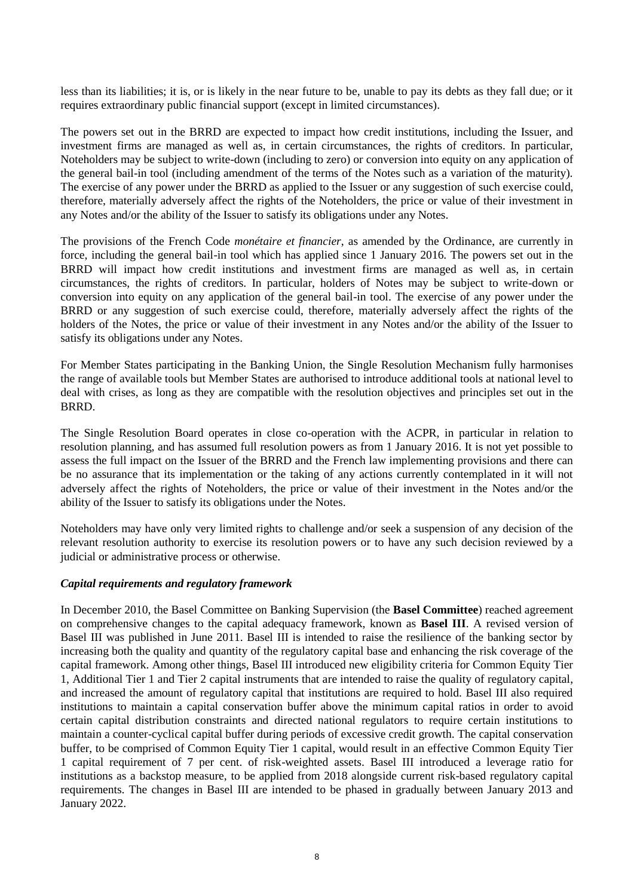less than its liabilities; it is, or is likely in the near future to be, unable to pay its debts as they fall due; or it requires extraordinary public financial support (except in limited circumstances).

The powers set out in the BRRD are expected to impact how credit institutions, including the Issuer, and investment firms are managed as well as, in certain circumstances, the rights of creditors. In particular, Noteholders may be subject to write-down (including to zero) or conversion into equity on any application of the general bail-in tool (including amendment of the terms of the Notes such as a variation of the maturity). The exercise of any power under the BRRD as applied to the Issuer or any suggestion of such exercise could, therefore, materially adversely affect the rights of the Noteholders, the price or value of their investment in any Notes and/or the ability of the Issuer to satisfy its obligations under any Notes.

The provisions of the French Code *monétaire et financier*, as amended by the Ordinance, are currently in force, including the general bail-in tool which has applied since 1 January 2016. The powers set out in the BRRD will impact how credit institutions and investment firms are managed as well as, in certain circumstances, the rights of creditors. In particular, holders of Notes may be subject to write-down or conversion into equity on any application of the general bail-in tool. The exercise of any power under the BRRD or any suggestion of such exercise could, therefore, materially adversely affect the rights of the holders of the Notes, the price or value of their investment in any Notes and/or the ability of the Issuer to satisfy its obligations under any Notes.

For Member States participating in the Banking Union, the Single Resolution Mechanism fully harmonises the range of available tools but Member States are authorised to introduce additional tools at national level to deal with crises, as long as they are compatible with the resolution objectives and principles set out in the BRRD.

The Single Resolution Board operates in close co-operation with the ACPR, in particular in relation to resolution planning, and has assumed full resolution powers as from 1 January 2016. It is not yet possible to assess the full impact on the Issuer of the BRRD and the French law implementing provisions and there can be no assurance that its implementation or the taking of any actions currently contemplated in it will not adversely affect the rights of Noteholders, the price or value of their investment in the Notes and/or the ability of the Issuer to satisfy its obligations under the Notes.

Noteholders may have only very limited rights to challenge and/or seek a suspension of any decision of the relevant resolution authority to exercise its resolution powers or to have any such decision reviewed by a judicial or administrative process or otherwise.

### *Capital requirements and regulatory framework*

In December 2010, the Basel Committee on Banking Supervision (the **Basel Committee**) reached agreement on comprehensive changes to the capital adequacy framework, known as **Basel III**. A revised version of Basel III was published in June 2011. Basel III is intended to raise the resilience of the banking sector by increasing both the quality and quantity of the regulatory capital base and enhancing the risk coverage of the capital framework. Among other things, Basel III introduced new eligibility criteria for Common Equity Tier 1, Additional Tier 1 and Tier 2 capital instruments that are intended to raise the quality of regulatory capital, and increased the amount of regulatory capital that institutions are required to hold. Basel III also required institutions to maintain a capital conservation buffer above the minimum capital ratios in order to avoid certain capital distribution constraints and directed national regulators to require certain institutions to maintain a counter-cyclical capital buffer during periods of excessive credit growth. The capital conservation buffer, to be comprised of Common Equity Tier 1 capital, would result in an effective Common Equity Tier 1 capital requirement of 7 per cent. of risk-weighted assets. Basel III introduced a leverage ratio for institutions as a backstop measure, to be applied from 2018 alongside current risk-based regulatory capital requirements. The changes in Basel III are intended to be phased in gradually between January 2013 and January 2022.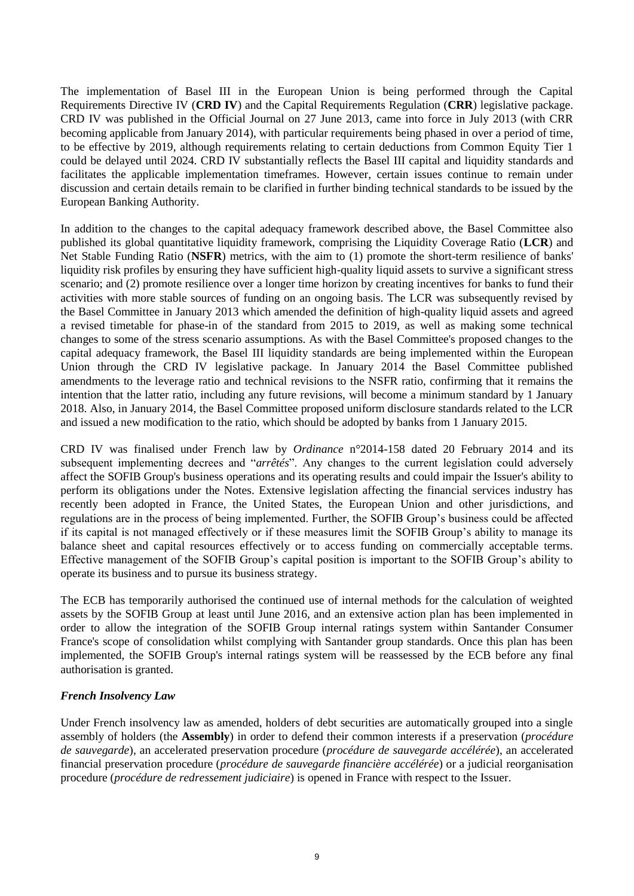The implementation of Basel III in the European Union is being performed through the Capital Requirements Directive IV (**CRD IV**) and the Capital Requirements Regulation (**CRR**) legislative package. CRD IV was published in the Official Journal on 27 June 2013, came into force in July 2013 (with CRR becoming applicable from January 2014), with particular requirements being phased in over a period of time, to be effective by 2019, although requirements relating to certain deductions from Common Equity Tier 1 could be delayed until 2024. CRD IV substantially reflects the Basel III capital and liquidity standards and facilitates the applicable implementation timeframes. However, certain issues continue to remain under discussion and certain details remain to be clarified in further binding technical standards to be issued by the European Banking Authority.

In addition to the changes to the capital adequacy framework described above, the Basel Committee also published its global quantitative liquidity framework, comprising the Liquidity Coverage Ratio (**LCR**) and Net Stable Funding Ratio (**NSFR**) metrics, with the aim to (1) promote the short-term resilience of banks' liquidity risk profiles by ensuring they have sufficient high-quality liquid assets to survive a significant stress scenario; and (2) promote resilience over a longer time horizon by creating incentives for banks to fund their activities with more stable sources of funding on an ongoing basis. The LCR was subsequently revised by the Basel Committee in January 2013 which amended the definition of high-quality liquid assets and agreed a revised timetable for phase-in of the standard from 2015 to 2019, as well as making some technical changes to some of the stress scenario assumptions. As with the Basel Committee's proposed changes to the capital adequacy framework, the Basel III liquidity standards are being implemented within the European Union through the CRD IV legislative package. In January 2014 the Basel Committee published amendments to the leverage ratio and technical revisions to the NSFR ratio, confirming that it remains the intention that the latter ratio, including any future revisions, will become a minimum standard by 1 January 2018. Also, in January 2014, the Basel Committee proposed uniform disclosure standards related to the LCR and issued a new modification to the ratio, which should be adopted by banks from 1 January 2015.

CRD IV was finalised under French law by *Ordinance* n°2014-158 dated 20 February 2014 and its subsequent implementing decrees and "*arrêtés*". Any changes to the current legislation could adversely affect the SOFIB Group's business operations and its operating results and could impair the Issuer's ability to perform its obligations under the Notes. Extensive legislation affecting the financial services industry has recently been adopted in France, the United States, the European Union and other jurisdictions, and regulations are in the process of being implemented. Further, the SOFIB Group's business could be affected if its capital is not managed effectively or if these measures limit the SOFIB Group's ability to manage its balance sheet and capital resources effectively or to access funding on commercially acceptable terms. Effective management of the SOFIB Group's capital position is important to the SOFIB Group's ability to operate its business and to pursue its business strategy.

The ECB has temporarily authorised the continued use of internal methods for the calculation of weighted assets by the SOFIB Group at least until June 2016, and an extensive action plan has been implemented in order to allow the integration of the SOFIB Group internal ratings system within Santander Consumer France's scope of consolidation whilst complying with Santander group standards. Once this plan has been implemented, the SOFIB Group's internal ratings system will be reassessed by the ECB before any final authorisation is granted.

### *French Insolvency Law*

Under French insolvency law as amended, holders of debt securities are automatically grouped into a single assembly of holders (the **Assembly**) in order to defend their common interests if a preservation (*procédure de sauvegarde*), an accelerated preservation procedure (*procédure de sauvegarde accélérée*), an accelerated financial preservation procedure (*procédure de sauvegarde financière accélérée*) or a judicial reorganisation procedure (*procédure de redressement judiciaire*) is opened in France with respect to the Issuer.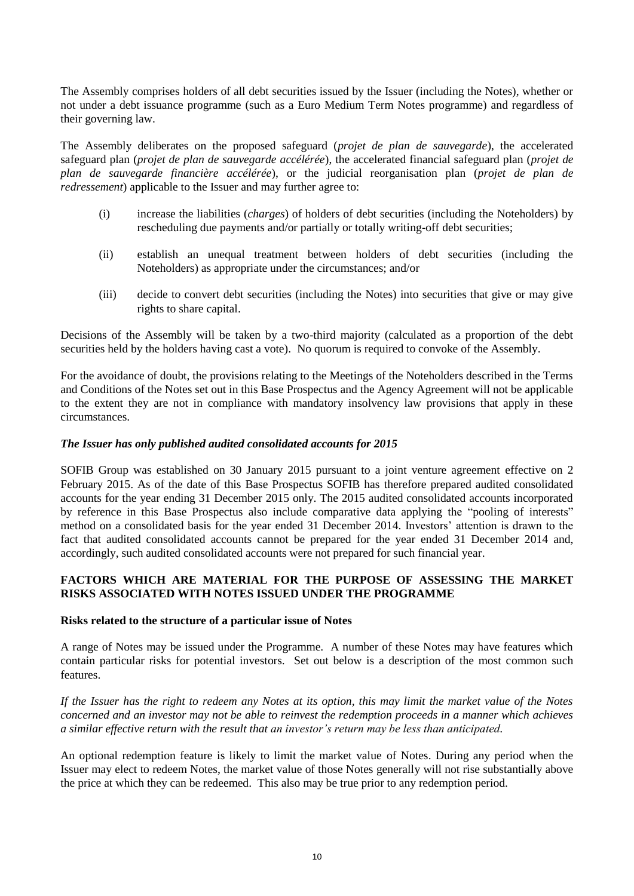The Assembly comprises holders of all debt securities issued by the Issuer (including the Notes), whether or not under a debt issuance programme (such as a Euro Medium Term Notes programme) and regardless of their governing law.

The Assembly deliberates on the proposed safeguard (*projet de plan de sauvegarde*), the accelerated safeguard plan (*projet de plan de sauvegarde accélérée*), the accelerated financial safeguard plan (*projet de plan de sauvegarde financière accélérée*), or the judicial reorganisation plan (*projet de plan de redressement*) applicable to the Issuer and may further agree to:

- (i) increase the liabilities (*charges*) of holders of debt securities (including the Noteholders) by rescheduling due payments and/or partially or totally writing-off debt securities;
- (ii) establish an unequal treatment between holders of debt securities (including the Noteholders) as appropriate under the circumstances; and/or
- (iii) decide to convert debt securities (including the Notes) into securities that give or may give rights to share capital.

Decisions of the Assembly will be taken by a two-third majority (calculated as a proportion of the debt securities held by the holders having cast a vote). No quorum is required to convoke of the Assembly.

For the avoidance of doubt, the provisions relating to the Meetings of the Noteholders described in the Terms and Conditions of the Notes set out in this Base Prospectus and the Agency Agreement will not be applicable to the extent they are not in compliance with mandatory insolvency law provisions that apply in these circumstances.

### *The Issuer has only published audited consolidated accounts for 2015*

SOFIB Group was established on 30 January 2015 pursuant to a joint venture agreement effective on 2 February 2015. As of the date of this Base Prospectus SOFIB has therefore prepared audited consolidated accounts for the year ending 31 December 2015 only. The 2015 audited consolidated accounts incorporated by reference in this Base Prospectus also include comparative data applying the "pooling of interests" method on a consolidated basis for the year ended 31 December 2014. Investors' attention is drawn to the fact that audited consolidated accounts cannot be prepared for the year ended 31 December 2014 and, accordingly, such audited consolidated accounts were not prepared for such financial year.

### **FACTORS WHICH ARE MATERIAL FOR THE PURPOSE OF ASSESSING THE MARKET RISKS ASSOCIATED WITH NOTES ISSUED UNDER THE PROGRAMME**

### **Risks related to the structure of a particular issue of Notes**

A range of Notes may be issued under the Programme. A number of these Notes may have features which contain particular risks for potential investors. Set out below is a description of the most common such features.

*If the Issuer has the right to redeem any Notes at its option, this may limit the market value of the Notes concerned and an investor may not be able to reinvest the redemption proceeds in a manner which achieves a similar effective return with the result that an investor's return may be less than anticipated.* 

An optional redemption feature is likely to limit the market value of Notes. During any period when the Issuer may elect to redeem Notes, the market value of those Notes generally will not rise substantially above the price at which they can be redeemed. This also may be true prior to any redemption period.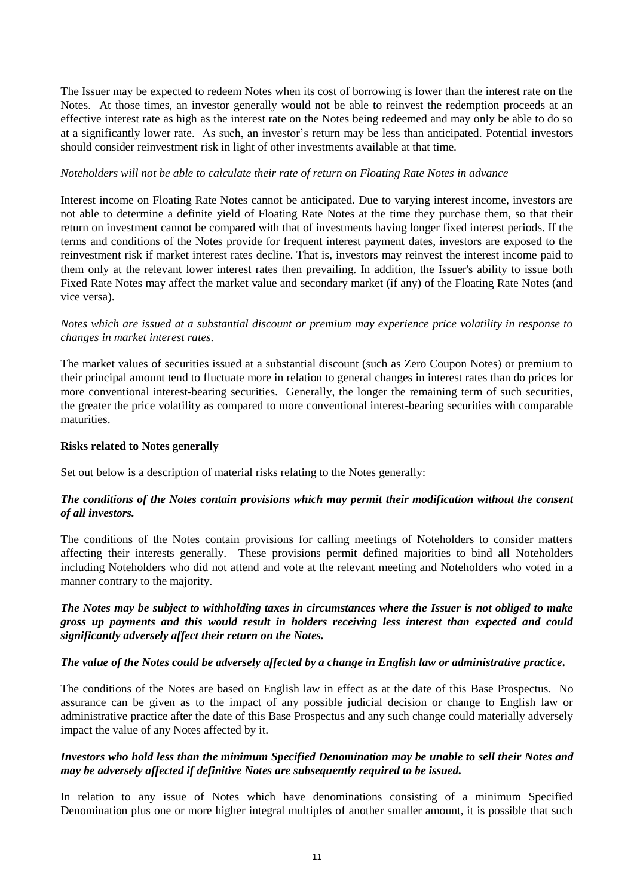The Issuer may be expected to redeem Notes when its cost of borrowing is lower than the interest rate on the Notes. At those times, an investor generally would not be able to reinvest the redemption proceeds at an effective interest rate as high as the interest rate on the Notes being redeemed and may only be able to do so at a significantly lower rate. As such, an investor's return may be less than anticipated. Potential investors should consider reinvestment risk in light of other investments available at that time.

### *Noteholders will not be able to calculate their rate of return on Floating Rate Notes in advance*

Interest income on Floating Rate Notes cannot be anticipated. Due to varying interest income, investors are not able to determine a definite yield of Floating Rate Notes at the time they purchase them, so that their return on investment cannot be compared with that of investments having longer fixed interest periods. If the terms and conditions of the Notes provide for frequent interest payment dates, investors are exposed to the reinvestment risk if market interest rates decline. That is, investors may reinvest the interest income paid to them only at the relevant lower interest rates then prevailing. In addition, the Issuer's ability to issue both Fixed Rate Notes may affect the market value and secondary market (if any) of the Floating Rate Notes (and vice versa).

*Notes which are issued at a substantial discount or premium may experience price volatility in response to changes in market interest rates.*

The market values of securities issued at a substantial discount (such as Zero Coupon Notes) or premium to their principal amount tend to fluctuate more in relation to general changes in interest rates than do prices for more conventional interest-bearing securities. Generally, the longer the remaining term of such securities, the greater the price volatility as compared to more conventional interest-bearing securities with comparable maturities.

### **Risks related to Notes generally**

Set out below is a description of material risks relating to the Notes generally:

### *The conditions of the Notes contain provisions which may permit their modification without the consent of all investors.*

The conditions of the Notes contain provisions for calling meetings of Noteholders to consider matters affecting their interests generally. These provisions permit defined majorities to bind all Noteholders including Noteholders who did not attend and vote at the relevant meeting and Noteholders who voted in a manner contrary to the majority.

### *The Notes may be subject to withholding taxes in circumstances where the Issuer is not obliged to make gross up payments and this would result in holders receiving less interest than expected and could significantly adversely affect their return on the Notes.*

### *The value of the Notes could be adversely affected by a change in English law or administrative practice.*

The conditions of the Notes are based on English law in effect as at the date of this Base Prospectus. No assurance can be given as to the impact of any possible judicial decision or change to English law or administrative practice after the date of this Base Prospectus and any such change could materially adversely impact the value of any Notes affected by it.

### *Investors who hold less than the minimum Specified Denomination may be unable to sell their Notes and may be adversely affected if definitive Notes are subsequently required to be issued.*

In relation to any issue of Notes which have denominations consisting of a minimum Specified Denomination plus one or more higher integral multiples of another smaller amount, it is possible that such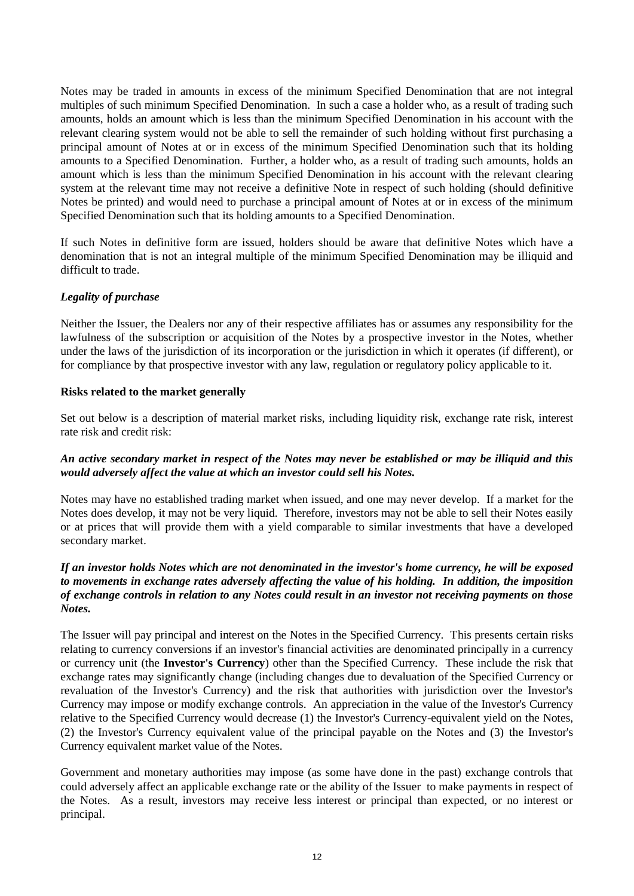Notes may be traded in amounts in excess of the minimum Specified Denomination that are not integral multiples of such minimum Specified Denomination. In such a case a holder who, as a result of trading such amounts, holds an amount which is less than the minimum Specified Denomination in his account with the relevant clearing system would not be able to sell the remainder of such holding without first purchasing a principal amount of Notes at or in excess of the minimum Specified Denomination such that its holding amounts to a Specified Denomination. Further, a holder who, as a result of trading such amounts, holds an amount which is less than the minimum Specified Denomination in his account with the relevant clearing system at the relevant time may not receive a definitive Note in respect of such holding (should definitive Notes be printed) and would need to purchase a principal amount of Notes at or in excess of the minimum Specified Denomination such that its holding amounts to a Specified Denomination.

If such Notes in definitive form are issued, holders should be aware that definitive Notes which have a denomination that is not an integral multiple of the minimum Specified Denomination may be illiquid and difficult to trade.

### *Legality of purchase*

Neither the Issuer, the Dealers nor any of their respective affiliates has or assumes any responsibility for the lawfulness of the subscription or acquisition of the Notes by a prospective investor in the Notes, whether under the laws of the jurisdiction of its incorporation or the jurisdiction in which it operates (if different), or for compliance by that prospective investor with any law, regulation or regulatory policy applicable to it.

### **Risks related to the market generally**

Set out below is a description of material market risks, including liquidity risk, exchange rate risk, interest rate risk and credit risk:

## *An active secondary market in respect of the Notes may never be established or may be illiquid and this would adversely affect the value at which an investor could sell his Notes.*

Notes may have no established trading market when issued, and one may never develop. If a market for the Notes does develop, it may not be very liquid. Therefore, investors may not be able to sell their Notes easily or at prices that will provide them with a yield comparable to similar investments that have a developed secondary market.

## *If an investor holds Notes which are not denominated in the investor's home currency, he will be exposed to movements in exchange rates adversely affecting the value of his holding. In addition, the imposition of exchange controls in relation to any Notes could result in an investor not receiving payments on those Notes.*

The Issuer will pay principal and interest on the Notes in the Specified Currency. This presents certain risks relating to currency conversions if an investor's financial activities are denominated principally in a currency or currency unit (the **Investor's Currency**) other than the Specified Currency. These include the risk that exchange rates may significantly change (including changes due to devaluation of the Specified Currency or revaluation of the Investor's Currency) and the risk that authorities with jurisdiction over the Investor's Currency may impose or modify exchange controls. An appreciation in the value of the Investor's Currency relative to the Specified Currency would decrease (1) the Investor's Currency-equivalent yield on the Notes, (2) the Investor's Currency equivalent value of the principal payable on the Notes and (3) the Investor's Currency equivalent market value of the Notes.

Government and monetary authorities may impose (as some have done in the past) exchange controls that could adversely affect an applicable exchange rate or the ability of the Issuer to make payments in respect of the Notes. As a result, investors may receive less interest or principal than expected, or no interest or principal.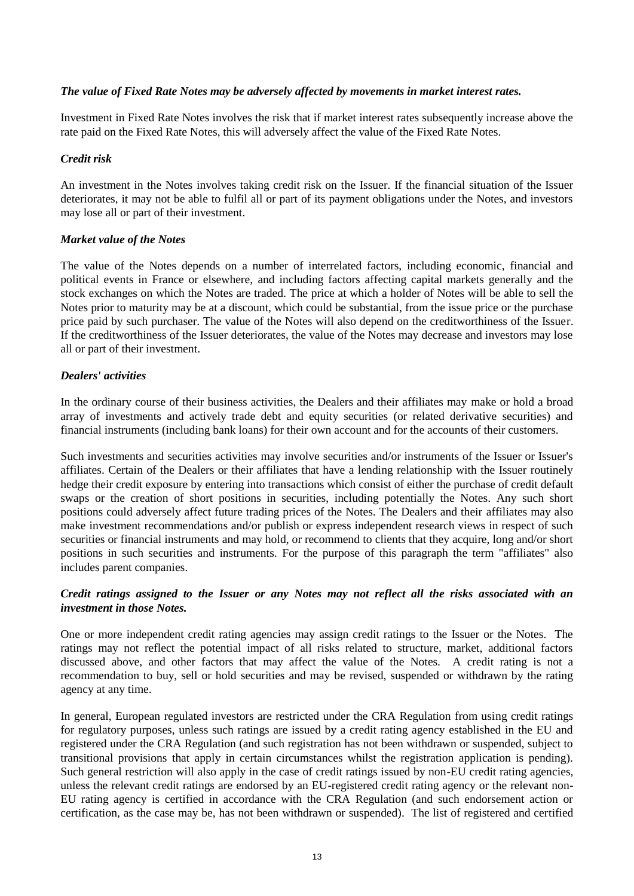### *The value of Fixed Rate Notes may be adversely affected by movements in market interest rates.*

Investment in Fixed Rate Notes involves the risk that if market interest rates subsequently increase above the rate paid on the Fixed Rate Notes, this will adversely affect the value of the Fixed Rate Notes.

### *Credit risk*

An investment in the Notes involves taking credit risk on the Issuer. If the financial situation of the Issuer deteriorates, it may not be able to fulfil all or part of its payment obligations under the Notes, and investors may lose all or part of their investment.

### *Market value of the Notes*

The value of the Notes depends on a number of interrelated factors, including economic, financial and political events in France or elsewhere, and including factors affecting capital markets generally and the stock exchanges on which the Notes are traded. The price at which a holder of Notes will be able to sell the Notes prior to maturity may be at a discount, which could be substantial, from the issue price or the purchase price paid by such purchaser. The value of the Notes will also depend on the creditworthiness of the Issuer. If the creditworthiness of the Issuer deteriorates, the value of the Notes may decrease and investors may lose all or part of their investment.

### *Dealers' activities*

In the ordinary course of their business activities, the Dealers and their affiliates may make or hold a broad array of investments and actively trade debt and equity securities (or related derivative securities) and financial instruments (including bank loans) for their own account and for the accounts of their customers.

Such investments and securities activities may involve securities and/or instruments of the Issuer or Issuer's affiliates. Certain of the Dealers or their affiliates that have a lending relationship with the Issuer routinely hedge their credit exposure by entering into transactions which consist of either the purchase of credit default swaps or the creation of short positions in securities, including potentially the Notes. Any such short positions could adversely affect future trading prices of the Notes. The Dealers and their affiliates may also make investment recommendations and/or publish or express independent research views in respect of such securities or financial instruments and may hold, or recommend to clients that they acquire, long and/or short positions in such securities and instruments. For the purpose of this paragraph the term "affiliates" also includes parent companies.

## *Credit ratings assigned to the Issuer or any Notes may not reflect all the risks associated with an investment in those Notes.*

One or more independent credit rating agencies may assign credit ratings to the Issuer or the Notes. The ratings may not reflect the potential impact of all risks related to structure, market, additional factors discussed above, and other factors that may affect the value of the Notes. A credit rating is not a recommendation to buy, sell or hold securities and may be revised, suspended or withdrawn by the rating agency at any time.

In general, European regulated investors are restricted under the CRA Regulation from using credit ratings for regulatory purposes, unless such ratings are issued by a credit rating agency established in the EU and registered under the CRA Regulation (and such registration has not been withdrawn or suspended, subject to transitional provisions that apply in certain circumstances whilst the registration application is pending). Such general restriction will also apply in the case of credit ratings issued by non-EU credit rating agencies, unless the relevant credit ratings are endorsed by an EU-registered credit rating agency or the relevant non-EU rating agency is certified in accordance with the CRA Regulation (and such endorsement action or certification, as the case may be, has not been withdrawn or suspended). The list of registered and certified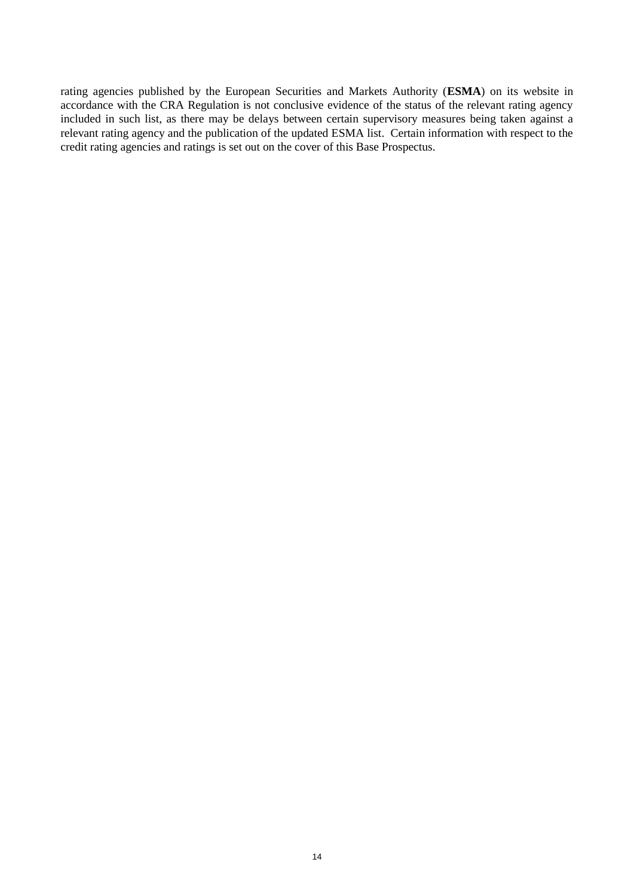rating agencies published by the European Securities and Markets Authority (**ESMA**) on its website in accordance with the CRA Regulation is not conclusive evidence of the status of the relevant rating agency included in such list, as there may be delays between certain supervisory measures being taken against a relevant rating agency and the publication of the updated ESMA list. Certain information with respect to the credit rating agencies and ratings is set out on the cover of this Base Prospectus.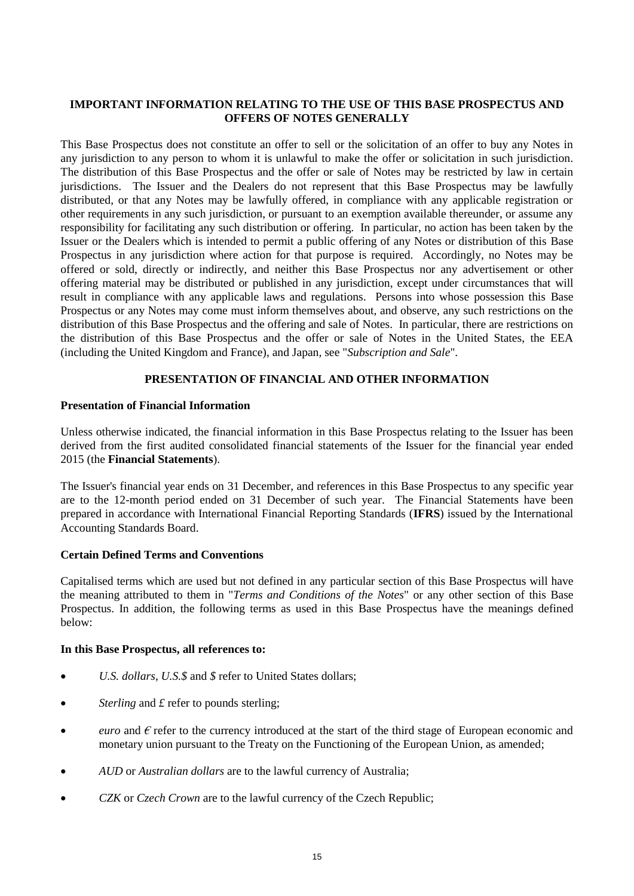## **IMPORTANT INFORMATION RELATING TO THE USE OF THIS BASE PROSPECTUS AND OFFERS OF NOTES GENERALLY**

This Base Prospectus does not constitute an offer to sell or the solicitation of an offer to buy any Notes in any jurisdiction to any person to whom it is unlawful to make the offer or solicitation in such jurisdiction. The distribution of this Base Prospectus and the offer or sale of Notes may be restricted by law in certain jurisdictions. The Issuer and the Dealers do not represent that this Base Prospectus may be lawfully distributed, or that any Notes may be lawfully offered, in compliance with any applicable registration or other requirements in any such jurisdiction, or pursuant to an exemption available thereunder, or assume any responsibility for facilitating any such distribution or offering. In particular, no action has been taken by the Issuer or the Dealers which is intended to permit a public offering of any Notes or distribution of this Base Prospectus in any jurisdiction where action for that purpose is required. Accordingly, no Notes may be offered or sold, directly or indirectly, and neither this Base Prospectus nor any advertisement or other offering material may be distributed or published in any jurisdiction, except under circumstances that will result in compliance with any applicable laws and regulations. Persons into whose possession this Base Prospectus or any Notes may come must inform themselves about, and observe, any such restrictions on the distribution of this Base Prospectus and the offering and sale of Notes. In particular, there are restrictions on the distribution of this Base Prospectus and the offer or sale of Notes in the United States, the EEA (including the United Kingdom and France), and Japan*,* see "*Subscription and Sale*".

# **PRESENTATION OF FINANCIAL AND OTHER INFORMATION**

### **Presentation of Financial Information**

Unless otherwise indicated, the financial information in this Base Prospectus relating to the Issuer has been derived from the first audited consolidated financial statements of the Issuer for the financial year ended 2015 (the **Financial Statements**).

The Issuer's financial year ends on 31 December, and references in this Base Prospectus to any specific year are to the 12-month period ended on 31 December of such year. The Financial Statements have been prepared in accordance with International Financial Reporting Standards (**IFRS**) issued by the International Accounting Standards Board.

### **Certain Defined Terms and Conventions**

Capitalised terms which are used but not defined in any particular section of this Base Prospectus will have the meaning attributed to them in "*Terms and Conditions of the Notes*" or any other section of this Base Prospectus. In addition, the following terms as used in this Base Prospectus have the meanings defined below:

#### **In this Base Prospectus, all references to:**

- *U.S. dollars*, *U.S.\$* and *\$* refer to United States dollars;
- *Sterling* and  $\pounds$  refer to pounds sterling;
- *euro* and *€* refer to the currency introduced at the start of the third stage of European economic and monetary union pursuant to the Treaty on the Functioning of the European Union, as amended;
- *AUD* or *Australian dollars* are to the lawful currency of Australia;
- *CZK* or *Czech Crown* are to the lawful currency of the Czech Republic;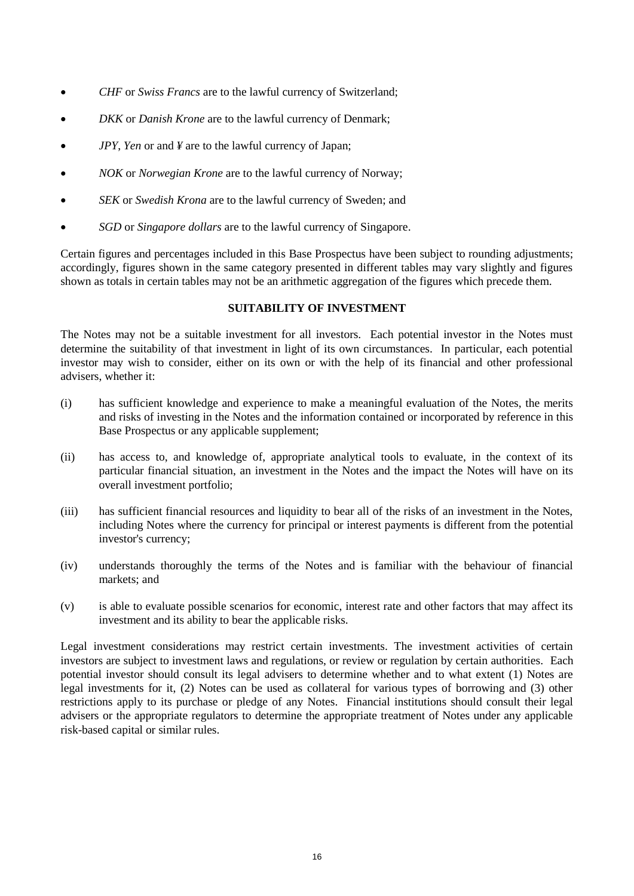- *CHF* or *Swiss Francs* are to the lawful currency of Switzerland;
- *DKK* or *Danish Krone* are to the lawful currency of Denmark;
- *JPY*, *Yen* or and *¥* are to the lawful currency of Japan;
- *NOK* or *Norwegian Krone* are to the lawful currency of Norway;
- *SEK* or *Swedish Krona* are to the lawful currency of Sweden; and
- *SGD* or *Singapore dollars* are to the lawful currency of Singapore.

Certain figures and percentages included in this Base Prospectus have been subject to rounding adjustments; accordingly, figures shown in the same category presented in different tables may vary slightly and figures shown as totals in certain tables may not be an arithmetic aggregation of the figures which precede them.

### **SUITABILITY OF INVESTMENT**

The Notes may not be a suitable investment for all investors. Each potential investor in the Notes must determine the suitability of that investment in light of its own circumstances. In particular, each potential investor may wish to consider, either on its own or with the help of its financial and other professional advisers, whether it:

- (i) has sufficient knowledge and experience to make a meaningful evaluation of the Notes, the merits and risks of investing in the Notes and the information contained or incorporated by reference in this Base Prospectus or any applicable supplement;
- (ii) has access to, and knowledge of, appropriate analytical tools to evaluate, in the context of its particular financial situation, an investment in the Notes and the impact the Notes will have on its overall investment portfolio;
- (iii) has sufficient financial resources and liquidity to bear all of the risks of an investment in the Notes, including Notes where the currency for principal or interest payments is different from the potential investor's currency;
- (iv) understands thoroughly the terms of the Notes and is familiar with the behaviour of financial markets; and
- (v) is able to evaluate possible scenarios for economic, interest rate and other factors that may affect its investment and its ability to bear the applicable risks.

Legal investment considerations may restrict certain investments. The investment activities of certain investors are subject to investment laws and regulations, or review or regulation by certain authorities. Each potential investor should consult its legal advisers to determine whether and to what extent (1) Notes are legal investments for it, (2) Notes can be used as collateral for various types of borrowing and (3) other restrictions apply to its purchase or pledge of any Notes. Financial institutions should consult their legal advisers or the appropriate regulators to determine the appropriate treatment of Notes under any applicable risk-based capital or similar rules.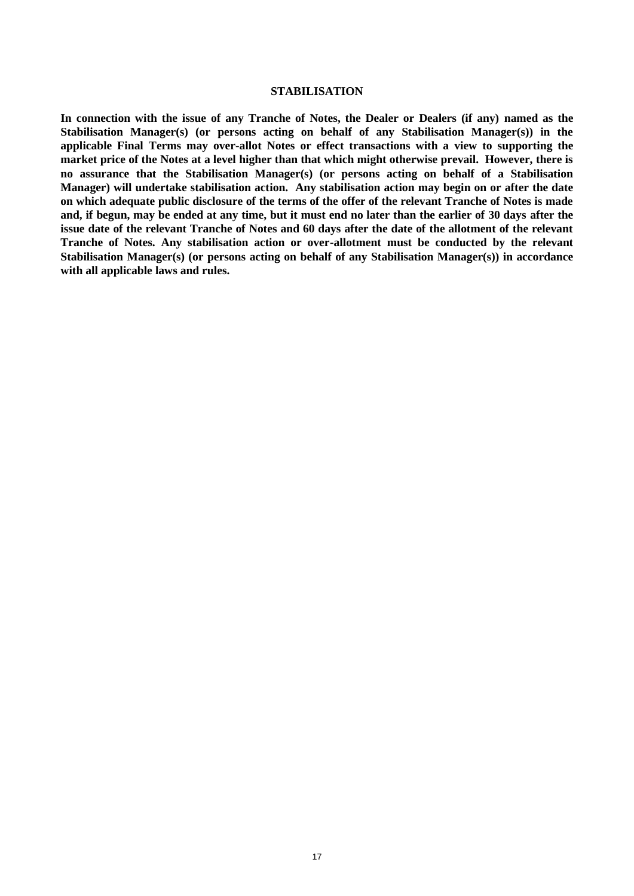#### **STABILISATION**

**In connection with the issue of any Tranche of Notes, the Dealer or Dealers (if any) named as the Stabilisation Manager(s) (or persons acting on behalf of any Stabilisation Manager(s)) in the applicable Final Terms may over-allot Notes or effect transactions with a view to supporting the market price of the Notes at a level higher than that which might otherwise prevail. However, there is no assurance that the Stabilisation Manager(s) (or persons acting on behalf of a Stabilisation Manager) will undertake stabilisation action. Any stabilisation action may begin on or after the date on which adequate public disclosure of the terms of the offer of the relevant Tranche of Notes is made and, if begun, may be ended at any time, but it must end no later than the earlier of 30 days after the issue date of the relevant Tranche of Notes and 60 days after the date of the allotment of the relevant Tranche of Notes. Any stabilisation action or over-allotment must be conducted by the relevant Stabilisation Manager(s) (or persons acting on behalf of any Stabilisation Manager(s)) in accordance with all applicable laws and rules.**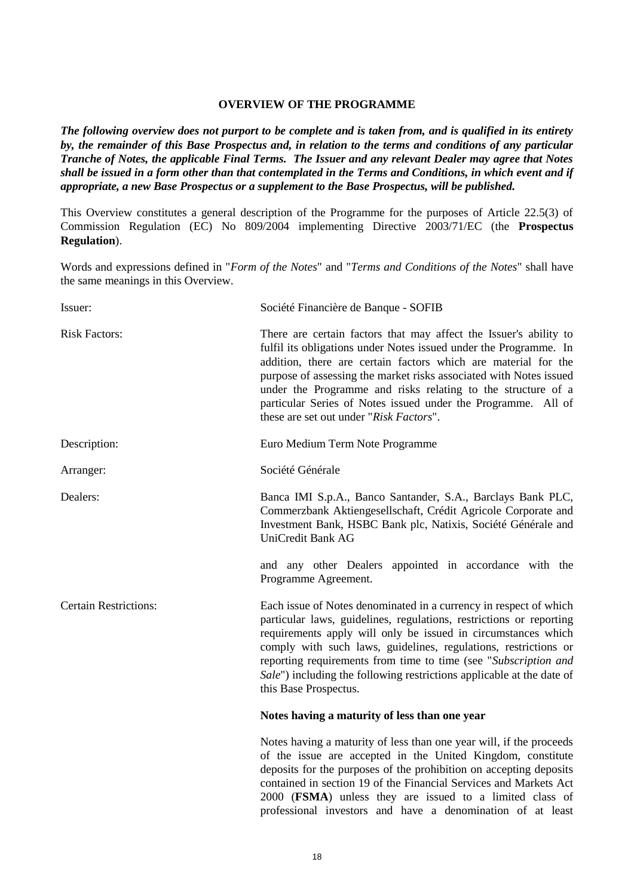### **OVERVIEW OF THE PROGRAMME**

*The following overview does not purport to be complete and is taken from, and is qualified in its entirety by, the remainder of this Base Prospectus and, in relation to the terms and conditions of any particular Tranche of Notes, the applicable Final Terms. The Issuer and any relevant Dealer may agree that Notes shall be issued in a form other than that contemplated in the Terms and Conditions, in which event and if appropriate, a new Base Prospectus or a supplement to the Base Prospectus, will be published.*

This Overview constitutes a general description of the Programme for the purposes of Article 22.5(3) of Commission Regulation (EC) No 809/2004 implementing Directive 2003/71/EC (the **Prospectus Regulation**).

Words and expressions defined in "*Form of the Notes*" and "*Terms and Conditions of the Notes*" shall have the same meanings in this Overview.

| Issuer:                      | Société Financière de Banque - SOFIB                                                                                                                                                                                                                                                                                                                                                                                                                       |
|------------------------------|------------------------------------------------------------------------------------------------------------------------------------------------------------------------------------------------------------------------------------------------------------------------------------------------------------------------------------------------------------------------------------------------------------------------------------------------------------|
| <b>Risk Factors:</b>         | There are certain factors that may affect the Issuer's ability to<br>fulfil its obligations under Notes issued under the Programme. In<br>addition, there are certain factors which are material for the<br>purpose of assessing the market risks associated with Notes issued<br>under the Programme and risks relating to the structure of a<br>particular Series of Notes issued under the Programme. All of<br>these are set out under "Risk Factors". |
| Description:                 | Euro Medium Term Note Programme                                                                                                                                                                                                                                                                                                                                                                                                                            |
| Arranger:                    | Société Générale                                                                                                                                                                                                                                                                                                                                                                                                                                           |
| Dealers:                     | Banca IMI S.p.A., Banco Santander, S.A., Barclays Bank PLC,<br>Commerzbank Aktiengesellschaft, Crédit Agricole Corporate and<br>Investment Bank, HSBC Bank plc, Natixis, Société Générale and<br>UniCredit Bank AG                                                                                                                                                                                                                                         |
|                              | and any other Dealers appointed in accordance with the<br>Programme Agreement.                                                                                                                                                                                                                                                                                                                                                                             |
| <b>Certain Restrictions:</b> | Each issue of Notes denominated in a currency in respect of which<br>particular laws, guidelines, regulations, restrictions or reporting<br>requirements apply will only be issued in circumstances which<br>comply with such laws, guidelines, regulations, restrictions or<br>reporting requirements from time to time (see "Subscription and<br>Sale") including the following restrictions applicable at the date of<br>this Base Prospectus.          |
|                              | Notes having a maturity of less than one year                                                                                                                                                                                                                                                                                                                                                                                                              |
|                              | Notes having a maturity of less than one year will, if the proceeds<br>of the issue are accepted in the United Kingdom, constitute<br>deposits for the purposes of the prohibition on accepting deposits<br>contained in section 19 of the Financial Services and Markets Act<br>2000 (FSMA) unless they are issued to a limited class of                                                                                                                  |

professional investors and have a denomination of at least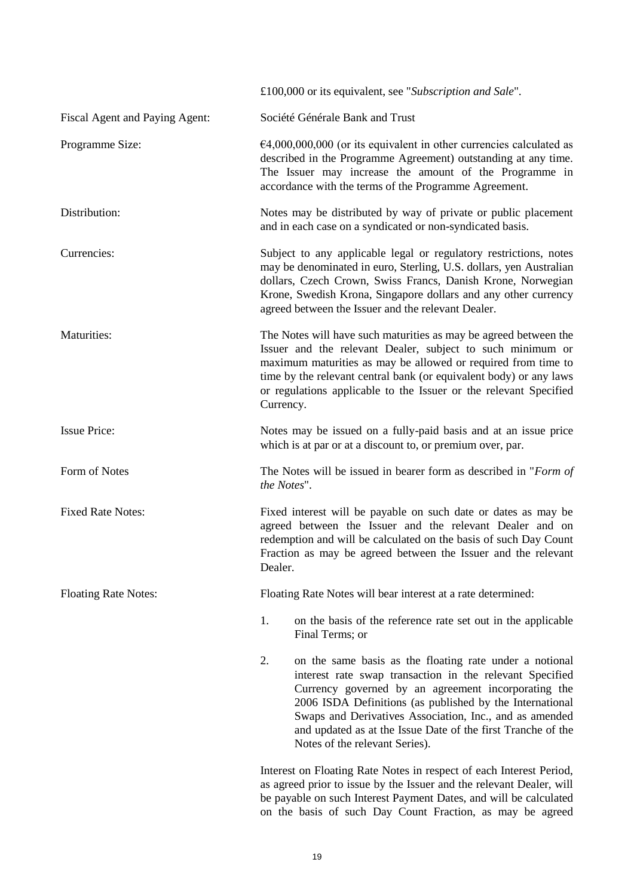|                                | £100,000 or its equivalent, see "Subscription and Sale".                                                                                                                                                                                                                                                                                                                                                  |
|--------------------------------|-----------------------------------------------------------------------------------------------------------------------------------------------------------------------------------------------------------------------------------------------------------------------------------------------------------------------------------------------------------------------------------------------------------|
| Fiscal Agent and Paying Agent: | Société Générale Bank and Trust                                                                                                                                                                                                                                                                                                                                                                           |
| Programme Size:                | $64,000,000,000$ (or its equivalent in other currencies calculated as<br>described in the Programme Agreement) outstanding at any time.<br>The Issuer may increase the amount of the Programme in<br>accordance with the terms of the Programme Agreement.                                                                                                                                                |
| Distribution:                  | Notes may be distributed by way of private or public placement<br>and in each case on a syndicated or non-syndicated basis.                                                                                                                                                                                                                                                                               |
| Currencies:                    | Subject to any applicable legal or regulatory restrictions, notes<br>may be denominated in euro, Sterling, U.S. dollars, yen Australian<br>dollars, Czech Crown, Swiss Francs, Danish Krone, Norwegian<br>Krone, Swedish Krona, Singapore dollars and any other currency<br>agreed between the Issuer and the relevant Dealer.                                                                            |
| Maturities:                    | The Notes will have such maturities as may be agreed between the<br>Issuer and the relevant Dealer, subject to such minimum or<br>maximum maturities as may be allowed or required from time to<br>time by the relevant central bank (or equivalent body) or any laws<br>or regulations applicable to the Issuer or the relevant Specified<br>Currency.                                                   |
| <b>Issue Price:</b>            | Notes may be issued on a fully-paid basis and at an issue price<br>which is at par or at a discount to, or premium over, par.                                                                                                                                                                                                                                                                             |
| Form of Notes                  | The Notes will be issued in bearer form as described in "Form of<br>the Notes".                                                                                                                                                                                                                                                                                                                           |
| <b>Fixed Rate Notes:</b>       | Fixed interest will be payable on such date or dates as may be<br>agreed between the Issuer and the relevant Dealer and on<br>redemption and will be calculated on the basis of such Day Count<br>Fraction as may be agreed between the Issuer and the relevant<br>Dealer.                                                                                                                                |
| <b>Floating Rate Notes:</b>    | Floating Rate Notes will bear interest at a rate determined:                                                                                                                                                                                                                                                                                                                                              |
|                                | 1.<br>on the basis of the reference rate set out in the applicable<br>Final Terms; or                                                                                                                                                                                                                                                                                                                     |
|                                | 2.<br>on the same basis as the floating rate under a notional<br>interest rate swap transaction in the relevant Specified<br>Currency governed by an agreement incorporating the<br>2006 ISDA Definitions (as published by the International<br>Swaps and Derivatives Association, Inc., and as amended<br>and updated as at the Issue Date of the first Tranche of the<br>Notes of the relevant Series). |
|                                | Interest on Floating Rate Notes in respect of each Interest Period,<br>as agreed prior to issue by the Issuer and the relevant Dealer, will                                                                                                                                                                                                                                                               |

be payable on such Interest Payment Dates, and will be calculated on the basis of such Day Count Fraction, as may be agreed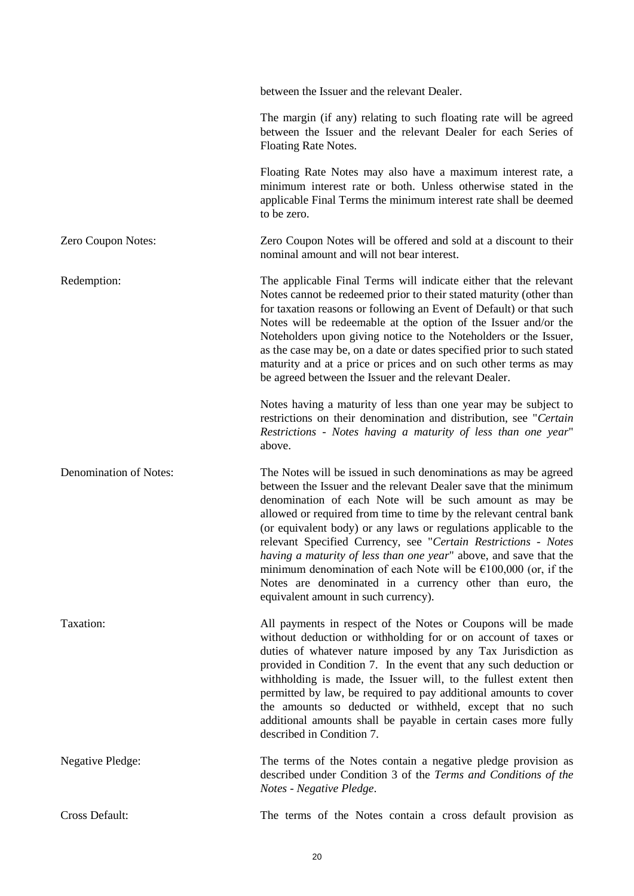|                         | between the Issuer and the relevant Dealer.                                                                                                                                                                                                                                                                                                                                                                                                                                                                                                                                                                                                                      |
|-------------------------|------------------------------------------------------------------------------------------------------------------------------------------------------------------------------------------------------------------------------------------------------------------------------------------------------------------------------------------------------------------------------------------------------------------------------------------------------------------------------------------------------------------------------------------------------------------------------------------------------------------------------------------------------------------|
|                         | The margin (if any) relating to such floating rate will be agreed<br>between the Issuer and the relevant Dealer for each Series of<br>Floating Rate Notes.                                                                                                                                                                                                                                                                                                                                                                                                                                                                                                       |
|                         | Floating Rate Notes may also have a maximum interest rate, a<br>minimum interest rate or both. Unless otherwise stated in the<br>applicable Final Terms the minimum interest rate shall be deemed<br>to be zero.                                                                                                                                                                                                                                                                                                                                                                                                                                                 |
| Zero Coupon Notes:      | Zero Coupon Notes will be offered and sold at a discount to their<br>nominal amount and will not bear interest.                                                                                                                                                                                                                                                                                                                                                                                                                                                                                                                                                  |
| Redemption:             | The applicable Final Terms will indicate either that the relevant<br>Notes cannot be redeemed prior to their stated maturity (other than<br>for taxation reasons or following an Event of Default) or that such<br>Notes will be redeemable at the option of the Issuer and/or the<br>Noteholders upon giving notice to the Noteholders or the Issuer,<br>as the case may be, on a date or dates specified prior to such stated<br>maturity and at a price or prices and on such other terms as may<br>be agreed between the Issuer and the relevant Dealer.                                                                                                     |
|                         | Notes having a maturity of less than one year may be subject to<br>restrictions on their denomination and distribution, see "Certain<br>Restrictions - Notes having a maturity of less than one year"<br>above.                                                                                                                                                                                                                                                                                                                                                                                                                                                  |
| Denomination of Notes:  | The Notes will be issued in such denominations as may be agreed<br>between the Issuer and the relevant Dealer save that the minimum<br>denomination of each Note will be such amount as may be<br>allowed or required from time to time by the relevant central bank<br>(or equivalent body) or any laws or regulations applicable to the<br>relevant Specified Currency, see "Certain Restrictions - Notes<br>having a maturity of less than one year" above, and save that the<br>minimum denomination of each Note will be $\epsilon$ 100,000 (or, if the<br>Notes are denominated in a currency other than euro, the<br>equivalent amount in such currency). |
| Taxation:               | All payments in respect of the Notes or Coupons will be made<br>without deduction or withholding for or on account of taxes or<br>duties of whatever nature imposed by any Tax Jurisdiction as<br>provided in Condition 7. In the event that any such deduction or<br>withholding is made, the Issuer will, to the fullest extent then<br>permitted by law, be required to pay additional amounts to cover<br>the amounts so deducted or withheld, except that no such<br>additional amounts shall be payable in certain cases more fully<br>described in Condition 7.                                                                                           |
| <b>Negative Pledge:</b> | The terms of the Notes contain a negative pledge provision as<br>described under Condition 3 of the Terms and Conditions of the<br>Notes - Negative Pledge.                                                                                                                                                                                                                                                                                                                                                                                                                                                                                                      |
| Cross Default:          | The terms of the Notes contain a cross default provision as                                                                                                                                                                                                                                                                                                                                                                                                                                                                                                                                                                                                      |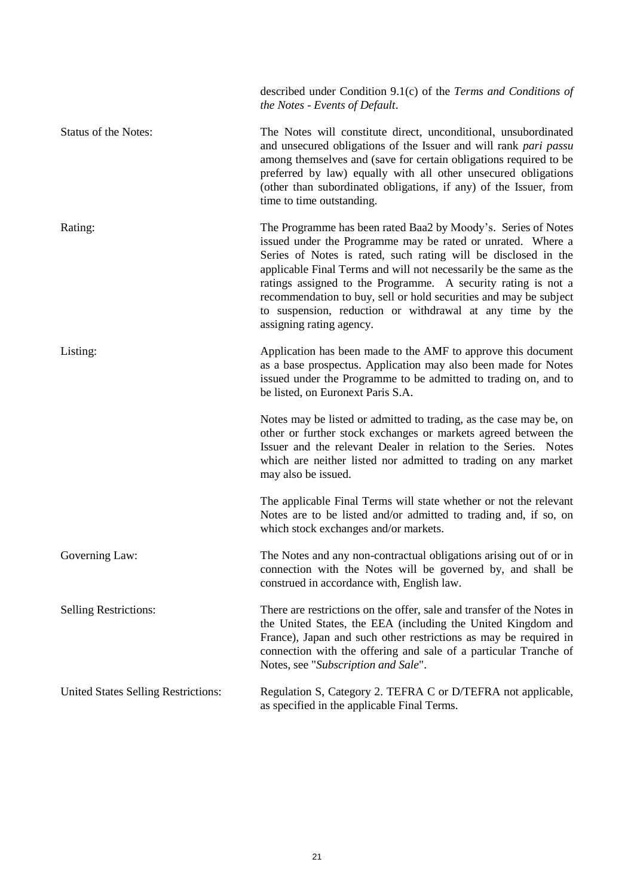|                                     | described under Condition 9.1(c) of the Terms and Conditions of<br>the Notes - Events of Default.                                                                                                                                                                                                                                                                                                                                                                                                   |
|-------------------------------------|-----------------------------------------------------------------------------------------------------------------------------------------------------------------------------------------------------------------------------------------------------------------------------------------------------------------------------------------------------------------------------------------------------------------------------------------------------------------------------------------------------|
| Status of the Notes:                | The Notes will constitute direct, unconditional, unsubordinated<br>and unsecured obligations of the Issuer and will rank pari passu<br>among themselves and (save for certain obligations required to be<br>preferred by law) equally with all other unsecured obligations<br>(other than subordinated obligations, if any) of the Issuer, from<br>time to time outstanding.                                                                                                                        |
| Rating:                             | The Programme has been rated Baa2 by Moody's. Series of Notes<br>issued under the Programme may be rated or unrated. Where a<br>Series of Notes is rated, such rating will be disclosed in the<br>applicable Final Terms and will not necessarily be the same as the<br>ratings assigned to the Programme. A security rating is not a<br>recommendation to buy, sell or hold securities and may be subject<br>to suspension, reduction or withdrawal at any time by the<br>assigning rating agency. |
| Listing:                            | Application has been made to the AMF to approve this document<br>as a base prospectus. Application may also been made for Notes<br>issued under the Programme to be admitted to trading on, and to<br>be listed, on Euronext Paris S.A.                                                                                                                                                                                                                                                             |
|                                     | Notes may be listed or admitted to trading, as the case may be, on<br>other or further stock exchanges or markets agreed between the<br>Issuer and the relevant Dealer in relation to the Series. Notes<br>which are neither listed nor admitted to trading on any market<br>may also be issued.                                                                                                                                                                                                    |
|                                     | The applicable Final Terms will state whether or not the relevant<br>Notes are to be listed and/or admitted to trading and, if so, on<br>which stock exchanges and/or markets.                                                                                                                                                                                                                                                                                                                      |
| Governing Law:                      | The Notes and any non-contractual obligations arising out of or in<br>connection with the Notes will be governed by, and shall be<br>construed in accordance with, English law.                                                                                                                                                                                                                                                                                                                     |
| <b>Selling Restrictions:</b>        | There are restrictions on the offer, sale and transfer of the Notes in<br>the United States, the EEA (including the United Kingdom and<br>France), Japan and such other restrictions as may be required in<br>connection with the offering and sale of a particular Tranche of<br>Notes, see "Subscription and Sale".                                                                                                                                                                               |
| United States Selling Restrictions: | Regulation S, Category 2. TEFRA C or D/TEFRA not applicable,<br>as specified in the applicable Final Terms.                                                                                                                                                                                                                                                                                                                                                                                         |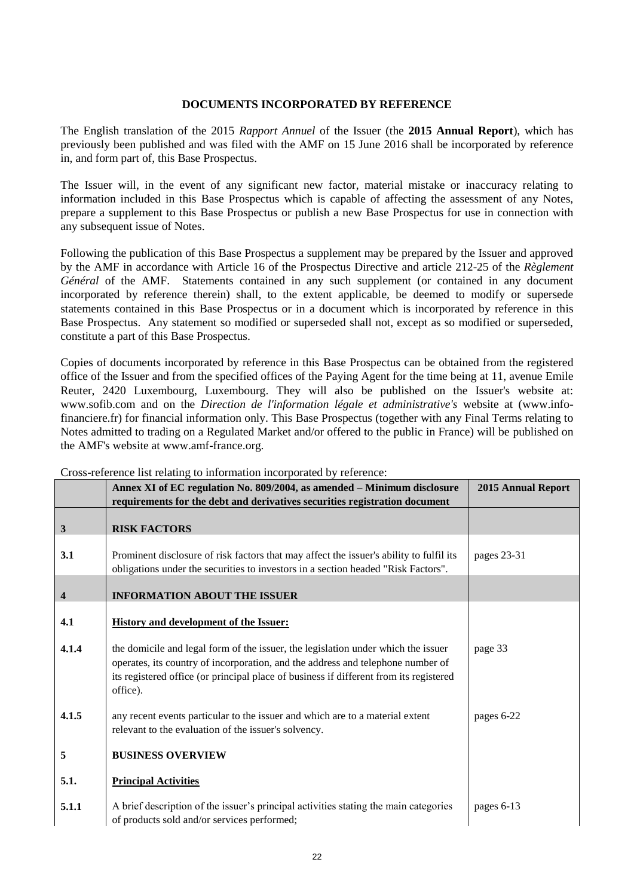### **DOCUMENTS INCORPORATED BY REFERENCE**

The English translation of the 2015 *Rapport Annuel* of the Issuer (the **2015 Annual Report**), which has previously been published and was filed with the AMF on 15 June 2016 shall be incorporated by reference in, and form part of, this Base Prospectus.

The Issuer will, in the event of any significant new factor, material mistake or inaccuracy relating to information included in this Base Prospectus which is capable of affecting the assessment of any Notes, prepare a supplement to this Base Prospectus or publish a new Base Prospectus for use in connection with any subsequent issue of Notes.

Following the publication of this Base Prospectus a supplement may be prepared by the Issuer and approved by the AMF in accordance with Article 16 of the Prospectus Directive and article 212-25 of the *Règlement Général* of the AMF. Statements contained in any such supplement (or contained in any document incorporated by reference therein) shall, to the extent applicable, be deemed to modify or supersede statements contained in this Base Prospectus or in a document which is incorporated by reference in this Base Prospectus. Any statement so modified or superseded shall not, except as so modified or superseded, constitute a part of this Base Prospectus.

Copies of documents incorporated by reference in this Base Prospectus can be obtained from the registered office of the Issuer and from the specified offices of the Paying Agent for the time being at 11, avenue Emile Reuter, 2420 Luxembourg, Luxembourg. They will also be published on the Issuer's website at: www.sofib.com and on the *Direction de l'information légale et administrative's* website at (www.infofinanciere.fr) for financial information only. This Base Prospectus (together with any Final Terms relating to Notes admitted to trading on a Regulated Market and/or offered to the public in France) will be published on the AMF's website at www.amf-france.org.

|                         | sion reference not relating to information incorporated of reference.<br>Annex XI of EC regulation No. 809/2004, as amended - Minimum disclosure                                                                                                                           | <b>2015 Annual Report</b> |
|-------------------------|----------------------------------------------------------------------------------------------------------------------------------------------------------------------------------------------------------------------------------------------------------------------------|---------------------------|
|                         | requirements for the debt and derivatives securities registration document                                                                                                                                                                                                 |                           |
| $\mathbf{3}$            | <b>RISK FACTORS</b>                                                                                                                                                                                                                                                        |                           |
| 3.1                     | Prominent disclosure of risk factors that may affect the issuer's ability to fulfil its<br>obligations under the securities to investors in a section headed "Risk Factors".                                                                                               | pages 23-31               |
| $\overline{\mathbf{4}}$ | <b>INFORMATION ABOUT THE ISSUER</b>                                                                                                                                                                                                                                        |                           |
| 4.1                     | <b>History and development of the Issuer:</b>                                                                                                                                                                                                                              |                           |
| 4.1.4                   | the domicile and legal form of the issuer, the legislation under which the issuer<br>operates, its country of incorporation, and the address and telephone number of<br>its registered office (or principal place of business if different from its registered<br>office). | page 33                   |
| 4.1.5                   | any recent events particular to the issuer and which are to a material extent<br>relevant to the evaluation of the issuer's solvency.                                                                                                                                      | pages 6-22                |
| 5                       | <b>BUSINESS OVERVIEW</b>                                                                                                                                                                                                                                                   |                           |
| 5.1.                    | <b>Principal Activities</b>                                                                                                                                                                                                                                                |                           |
| 5.1.1                   | A brief description of the issuer's principal activities stating the main categories<br>of products sold and/or services performed;                                                                                                                                        | pages 6-13                |

Cross-reference list relating to information incorporated by reference: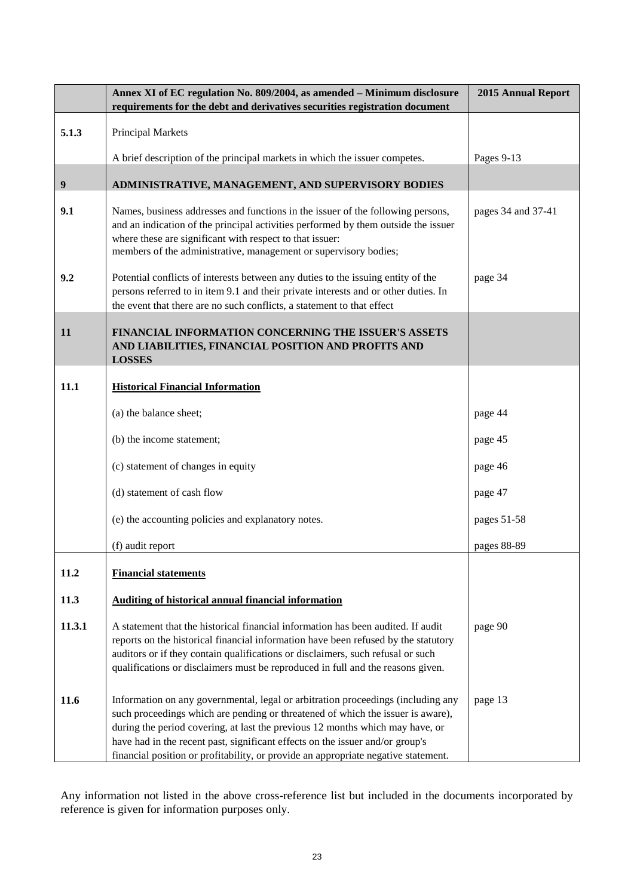|                  | Annex XI of EC regulation No. 809/2004, as amended - Minimum disclosure<br>requirements for the debt and derivatives securities registration document                                                                                                                                                                                                                                                                       | <b>2015 Annual Report</b> |
|------------------|-----------------------------------------------------------------------------------------------------------------------------------------------------------------------------------------------------------------------------------------------------------------------------------------------------------------------------------------------------------------------------------------------------------------------------|---------------------------|
| 5.1.3            | Principal Markets                                                                                                                                                                                                                                                                                                                                                                                                           |                           |
|                  | A brief description of the principal markets in which the issuer competes.                                                                                                                                                                                                                                                                                                                                                  | Pages 9-13                |
| $\boldsymbol{9}$ | ADMINISTRATIVE, MANAGEMENT, AND SUPERVISORY BODIES                                                                                                                                                                                                                                                                                                                                                                          |                           |
| 9.1              | Names, business addresses and functions in the issuer of the following persons,<br>and an indication of the principal activities performed by them outside the issuer<br>where these are significant with respect to that issuer:<br>members of the administrative, management or supervisory bodies;                                                                                                                       | pages 34 and 37-41        |
| 9.2              | Potential conflicts of interests between any duties to the issuing entity of the<br>persons referred to in item 9.1 and their private interests and or other duties. In<br>the event that there are no such conflicts, a statement to that effect                                                                                                                                                                           | page 34                   |
| 11               | FINANCIAL INFORMATION CONCERNING THE ISSUER'S ASSETS<br>AND LIABILITIES, FINANCIAL POSITION AND PROFITS AND<br><b>LOSSES</b>                                                                                                                                                                                                                                                                                                |                           |
| 11.1             | <b>Historical Financial Information</b>                                                                                                                                                                                                                                                                                                                                                                                     |                           |
|                  | (a) the balance sheet;                                                                                                                                                                                                                                                                                                                                                                                                      | page 44                   |
|                  | (b) the income statement;                                                                                                                                                                                                                                                                                                                                                                                                   | page 45                   |
|                  | (c) statement of changes in equity                                                                                                                                                                                                                                                                                                                                                                                          | page 46                   |
|                  | (d) statement of cash flow                                                                                                                                                                                                                                                                                                                                                                                                  | page 47                   |
|                  | (e) the accounting policies and explanatory notes.                                                                                                                                                                                                                                                                                                                                                                          | pages 51-58               |
|                  | (f) audit report                                                                                                                                                                                                                                                                                                                                                                                                            | pages 88-89               |
| 11.2             | <b>Financial statements</b>                                                                                                                                                                                                                                                                                                                                                                                                 |                           |
| 11.3             | <b>Auditing of historical annual financial information</b>                                                                                                                                                                                                                                                                                                                                                                  |                           |
| 11.3.1           | A statement that the historical financial information has been audited. If audit<br>reports on the historical financial information have been refused by the statutory<br>auditors or if they contain qualifications or disclaimers, such refusal or such<br>qualifications or disclaimers must be reproduced in full and the reasons given.                                                                                | page 90                   |
| 11.6             | Information on any governmental, legal or arbitration proceedings (including any<br>such proceedings which are pending or threatened of which the issuer is aware),<br>during the period covering, at last the previous 12 months which may have, or<br>have had in the recent past, significant effects on the issuer and/or group's<br>financial position or profitability, or provide an appropriate negative statement. | page 13                   |

Any information not listed in the above cross-reference list but included in the documents incorporated by reference is given for information purposes only.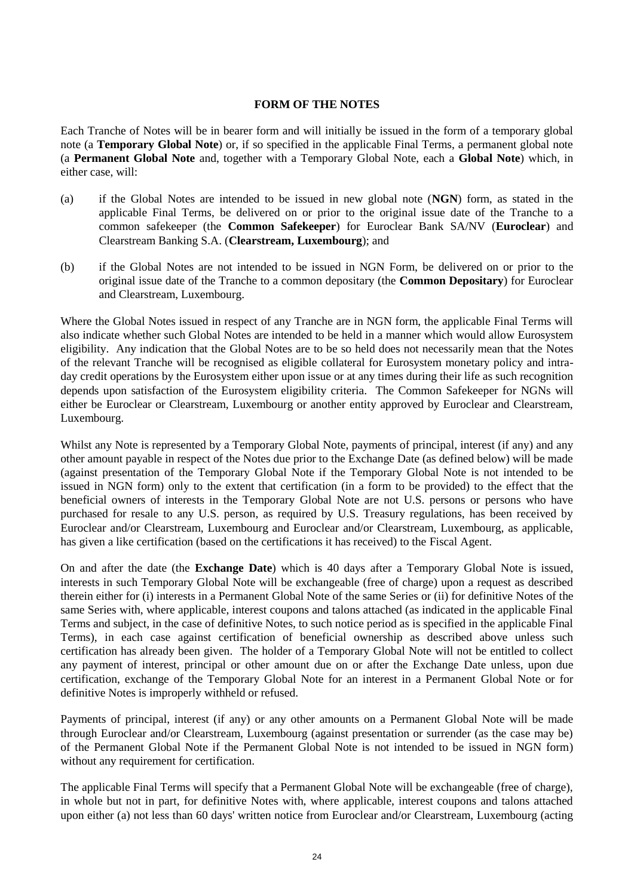### **FORM OF THE NOTES**

Each Tranche of Notes will be in bearer form and will initially be issued in the form of a temporary global note (a **Temporary Global Note**) or, if so specified in the applicable Final Terms, a permanent global note (a **Permanent Global Note** and, together with a Temporary Global Note, each a **Global Note**) which, in either case, will:

- (a) if the Global Notes are intended to be issued in new global note (**NGN**) form, as stated in the applicable Final Terms, be delivered on or prior to the original issue date of the Tranche to a common safekeeper (the **Common Safekeeper**) for Euroclear Bank SA/NV (**Euroclear**) and Clearstream Banking S.A. (**Clearstream, Luxembourg**); and
- (b) if the Global Notes are not intended to be issued in NGN Form, be delivered on or prior to the original issue date of the Tranche to a common depositary (the **Common Depositary**) for Euroclear and Clearstream, Luxembourg.

Where the Global Notes issued in respect of any Tranche are in NGN form, the applicable Final Terms will also indicate whether such Global Notes are intended to be held in a manner which would allow Eurosystem eligibility. Any indication that the Global Notes are to be so held does not necessarily mean that the Notes of the relevant Tranche will be recognised as eligible collateral for Eurosystem monetary policy and intraday credit operations by the Eurosystem either upon issue or at any times during their life as such recognition depends upon satisfaction of the Eurosystem eligibility criteria. The Common Safekeeper for NGNs will either be Euroclear or Clearstream, Luxembourg or another entity approved by Euroclear and Clearstream, Luxembourg.

Whilst any Note is represented by a Temporary Global Note, payments of principal, interest (if any) and any other amount payable in respect of the Notes due prior to the Exchange Date (as defined below) will be made (against presentation of the Temporary Global Note if the Temporary Global Note is not intended to be issued in NGN form) only to the extent that certification (in a form to be provided) to the effect that the beneficial owners of interests in the Temporary Global Note are not U.S. persons or persons who have purchased for resale to any U.S. person, as required by U.S. Treasury regulations, has been received by Euroclear and/or Clearstream, Luxembourg and Euroclear and/or Clearstream, Luxembourg, as applicable, has given a like certification (based on the certifications it has received) to the Fiscal Agent.

On and after the date (the **Exchange Date**) which is 40 days after a Temporary Global Note is issued, interests in such Temporary Global Note will be exchangeable (free of charge) upon a request as described therein either for (i) interests in a Permanent Global Note of the same Series or (ii) for definitive Notes of the same Series with, where applicable, interest coupons and talons attached (as indicated in the applicable Final Terms and subject, in the case of definitive Notes, to such notice period as is specified in the applicable Final Terms), in each case against certification of beneficial ownership as described above unless such certification has already been given. The holder of a Temporary Global Note will not be entitled to collect any payment of interest, principal or other amount due on or after the Exchange Date unless, upon due certification, exchange of the Temporary Global Note for an interest in a Permanent Global Note or for definitive Notes is improperly withheld or refused.

Payments of principal, interest (if any) or any other amounts on a Permanent Global Note will be made through Euroclear and/or Clearstream, Luxembourg (against presentation or surrender (as the case may be) of the Permanent Global Note if the Permanent Global Note is not intended to be issued in NGN form) without any requirement for certification.

The applicable Final Terms will specify that a Permanent Global Note will be exchangeable (free of charge), in whole but not in part, for definitive Notes with, where applicable, interest coupons and talons attached upon either (a) not less than 60 days' written notice from Euroclear and/or Clearstream, Luxembourg (acting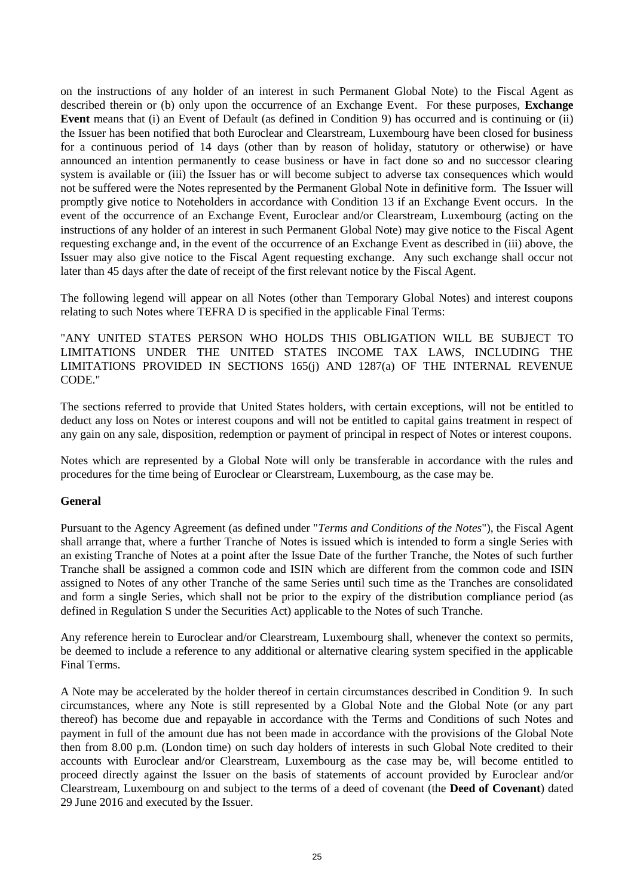on the instructions of any holder of an interest in such Permanent Global Note) to the Fiscal Agent as described therein or (b) only upon the occurrence of an Exchange Event. For these purposes, **Exchange Event** means that (i) an Event of Default (as defined in Condition 9) has occurred and is continuing or (ii) the Issuer has been notified that both Euroclear and Clearstream, Luxembourg have been closed for business for a continuous period of 14 days (other than by reason of holiday, statutory or otherwise) or have announced an intention permanently to cease business or have in fact done so and no successor clearing system is available or (iii) the Issuer has or will become subject to adverse tax consequences which would not be suffered were the Notes represented by the Permanent Global Note in definitive form. The Issuer will promptly give notice to Noteholders in accordance with Condition 13 if an Exchange Event occurs. In the event of the occurrence of an Exchange Event, Euroclear and/or Clearstream, Luxembourg (acting on the instructions of any holder of an interest in such Permanent Global Note) may give notice to the Fiscal Agent requesting exchange and, in the event of the occurrence of an Exchange Event as described in (iii) above, the Issuer may also give notice to the Fiscal Agent requesting exchange. Any such exchange shall occur not later than 45 days after the date of receipt of the first relevant notice by the Fiscal Agent.

The following legend will appear on all Notes (other than Temporary Global Notes) and interest coupons relating to such Notes where TEFRA D is specified in the applicable Final Terms:

"ANY UNITED STATES PERSON WHO HOLDS THIS OBLIGATION WILL BE SUBJECT TO LIMITATIONS UNDER THE UNITED STATES INCOME TAX LAWS, INCLUDING THE LIMITATIONS PROVIDED IN SECTIONS 165(j) AND 1287(a) OF THE INTERNAL REVENUE CODE."

The sections referred to provide that United States holders, with certain exceptions, will not be entitled to deduct any loss on Notes or interest coupons and will not be entitled to capital gains treatment in respect of any gain on any sale, disposition, redemption or payment of principal in respect of Notes or interest coupons.

Notes which are represented by a Global Note will only be transferable in accordance with the rules and procedures for the time being of Euroclear or Clearstream, Luxembourg, as the case may be.

### **General**

Pursuant to the Agency Agreement (as defined under "*Terms and Conditions of the Notes*"), the Fiscal Agent shall arrange that, where a further Tranche of Notes is issued which is intended to form a single Series with an existing Tranche of Notes at a point after the Issue Date of the further Tranche, the Notes of such further Tranche shall be assigned a common code and ISIN which are different from the common code and ISIN assigned to Notes of any other Tranche of the same Series until such time as the Tranches are consolidated and form a single Series, which shall not be prior to the expiry of the distribution compliance period (as defined in Regulation S under the Securities Act) applicable to the Notes of such Tranche.

Any reference herein to Euroclear and/or Clearstream, Luxembourg shall, whenever the context so permits, be deemed to include a reference to any additional or alternative clearing system specified in the applicable Final Terms.

A Note may be accelerated by the holder thereof in certain circumstances described in Condition 9. In such circumstances, where any Note is still represented by a Global Note and the Global Note (or any part thereof) has become due and repayable in accordance with the Terms and Conditions of such Notes and payment in full of the amount due has not been made in accordance with the provisions of the Global Note then from 8.00 p.m. (London time) on such day holders of interests in such Global Note credited to their accounts with Euroclear and/or Clearstream, Luxembourg as the case may be, will become entitled to proceed directly against the Issuer on the basis of statements of account provided by Euroclear and/or Clearstream, Luxembourg on and subject to the terms of a deed of covenant (the **Deed of Covenant**) dated 29 June 2016 and executed by the Issuer.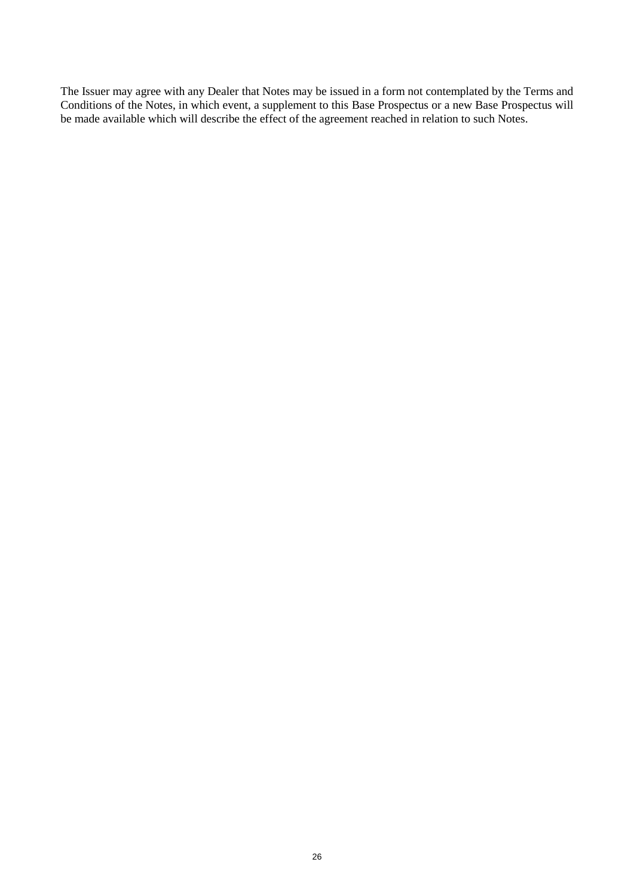The Issuer may agree with any Dealer that Notes may be issued in a form not contemplated by the Terms and Conditions of the Notes, in which event, a supplement to this Base Prospectus or a new Base Prospectus will be made available which will describe the effect of the agreement reached in relation to such Notes.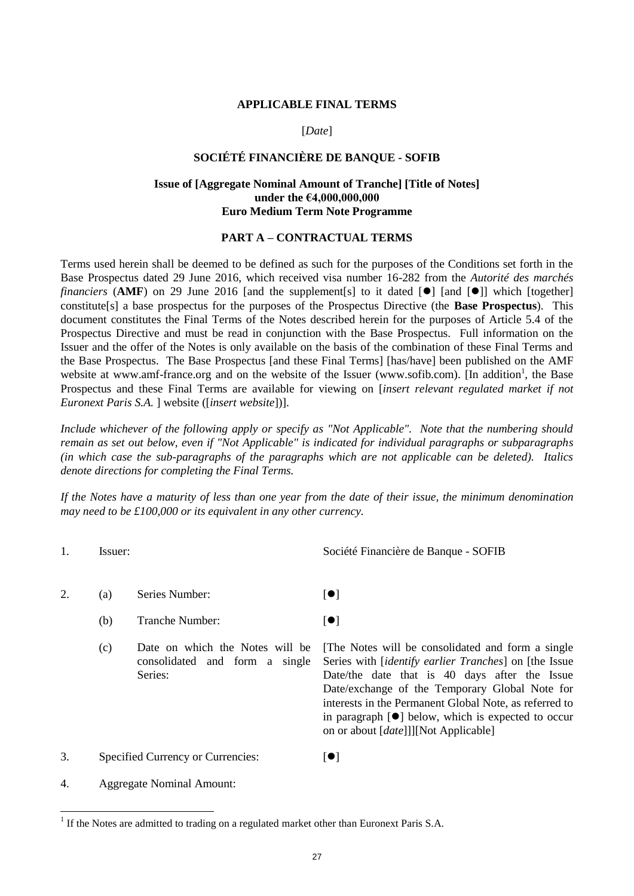#### **APPLICABLE FINAL TERMS**

#### [*Date*]

# **SOCIÉTÉ FINANCIÈRE DE BANQUE - SOFIB**

### **Issue of [Aggregate Nominal Amount of Tranche] [Title of Notes] under the €4,000,000,000 Euro Medium Term Note Programme**

## **PART A – CONTRACTUAL TERMS**

Terms used herein shall be deemed to be defined as such for the purposes of the Conditions set forth in the Base Prospectus dated 29 June 2016, which received visa number 16-282 from the *Autorité des marchés financiers* (AMF) on 29 June 2016 [and the supplement [s] to it dated  $\lceil \bullet \bullet \rceil$  [and  $\lceil \bullet \bullet \rceil$ ] which [together] constitute[s] a base prospectus for the purposes of the Prospectus Directive (the **Base Prospectus**). This document constitutes the Final Terms of the Notes described herein for the purposes of Article 5.4 of the Prospectus Directive and must be read in conjunction with the Base Prospectus. Full information on the Issuer and the offer of the Notes is only available on the basis of the combination of these Final Terms and the Base Prospectus. The Base Prospectus [and these Final Terms] [has/have] been published on the AMF website at www.amf-france.org and on the website of the Issuer (www.sofib.com). [In addition<sup>1</sup>, the Base Prospectus and these Final Terms are available for viewing on [*insert relevant regulated market if not Euronext Paris S.A.* ] website ([*insert website*])].

*Include whichever of the following apply or specify as "Not Applicable". Note that the numbering should remain as set out below, even if "Not Applicable" is indicated for individual paragraphs or subparagraphs (in which case the sub-paragraphs of the paragraphs which are not applicable can be deleted). Italics denote directions for completing the Final Terms.*

*If the Notes have a maturity of less than one year from the date of their issue, the minimum denomination may need to be £100,000 or its equivalent in any other currency.*

l

1. Issuer: Société Financière de Banque - SOFIB

- 2. (a) Series Number:  $[•]$ 
	- (b) Tranche Number:  $\lceil \bullet \rceil$
	- (c) Date on which the Notes will be consolidated and form a single Series:

[The Notes will be consolidated and form a single Series with [*identify earlier Tranches*] on [the Issue Date/the date that is 40 days after the Issue Date/exchange of the Temporary Global Note for interests in the Permanent Global Note, as referred to in paragraph  $[•]$  below, which is expected to occur on or about [*date*]]][Not Applicable]

3. Specified Currency or Currencies:  $[①]$ 

4. Aggregate Nominal Amount:

 $<sup>1</sup>$  If the Notes are admitted to trading on a regulated market other than Euronext Paris S.A.</sup>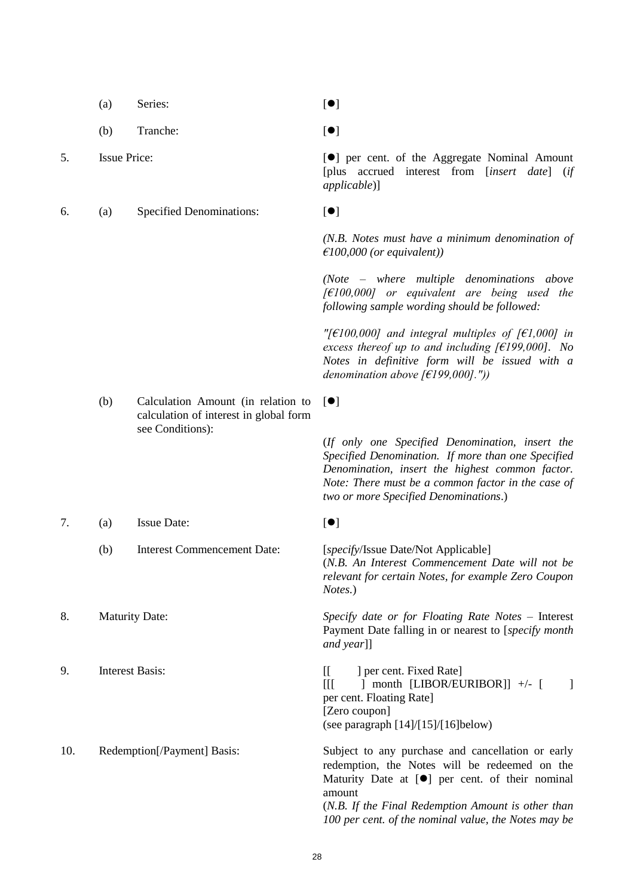<span id="page-27-0"></span>

|     | (a)                         | Series:                                                                      | $\lbrack \bullet \rbrack$                                                                                                                                                                                                                               |
|-----|-----------------------------|------------------------------------------------------------------------------|---------------------------------------------------------------------------------------------------------------------------------------------------------------------------------------------------------------------------------------------------------|
|     | (b)                         | Tranche:                                                                     | $\lbrack \bullet \rbrack$                                                                                                                                                                                                                               |
| 5.  | <b>Issue Price:</b>         |                                                                              | [ <sup>•</sup> ] per cent. of the Aggregate Nominal Amount<br>[plus accrued interest from [insert date] (if<br>applicable)]                                                                                                                             |
| 6.  | (a)                         | <b>Specified Denominations:</b>                                              | [•]                                                                                                                                                                                                                                                     |
|     |                             |                                                                              | $(N.B. Notes must have a minimum denominator of$<br>$\epsilon$ 100,000 (or equivalent))                                                                                                                                                                 |
|     |                             |                                                                              | $(Note - where multiple denominations above$<br>$[6,600,000]$ or equivalent are being used the<br>following sample wording should be followed:                                                                                                          |
|     |                             |                                                                              | "[ $\epsilon$ 100,000] and integral multiples of [ $\epsilon$ 1,000] in<br>excess thereof up to and including [ $€199,000$ ]. No<br>Notes in definitive form will be issued with a<br>denomination above $f \in [199,000]$ ."))                         |
|     | (b)                         | Calculation Amount (in relation to<br>calculation of interest in global form | $\lbrack \bullet \rbrack$                                                                                                                                                                                                                               |
|     |                             | see Conditions):                                                             | (If only one Specified Denomination, insert the<br>Specified Denomination. If more than one Specified<br>Denomination, insert the highest common factor.<br>Note: There must be a common factor in the case of<br>two or more Specified Denominations.) |
| 7.  | (a)                         | <b>Issue Date:</b>                                                           | [•]                                                                                                                                                                                                                                                     |
|     | (b)                         | <b>Interest Commencement Date:</b>                                           | [specify/Issue Date/Not Applicable]<br>(N.B. An Interest Commencement Date will not be<br>relevant for certain Notes, for example Zero Coupon<br>Notes.)                                                                                                |
| 8.  | <b>Maturity Date:</b>       |                                                                              | Specify date or for Floating Rate Notes - Interest<br>Payment Date falling in or nearest to [specify month<br>and year]]                                                                                                                                |
| 9.  | <b>Interest Basis:</b>      |                                                                              | $\mathbb{I}$<br>] per cent. Fixed Rate]<br>] month [LIBOR/EURIBOR]] $+/-$ [<br>Ш<br>-1<br>per cent. Floating Rate]<br>[Zero coupon]<br>(see paragraph [14]/[15]/[16]below)                                                                              |
| 10. | Redemption[/Payment] Basis: |                                                                              | Subject to any purchase and cancellation or early<br>redemption, the Notes will be redeemed on the<br>Maturity Date at [ <sup>o</sup> ] per cent. of their nominal<br>amount<br>(N.B. If the Final Redemption Amount is other than                      |

### 28

*100 per cent. of the nominal value, the Notes may be*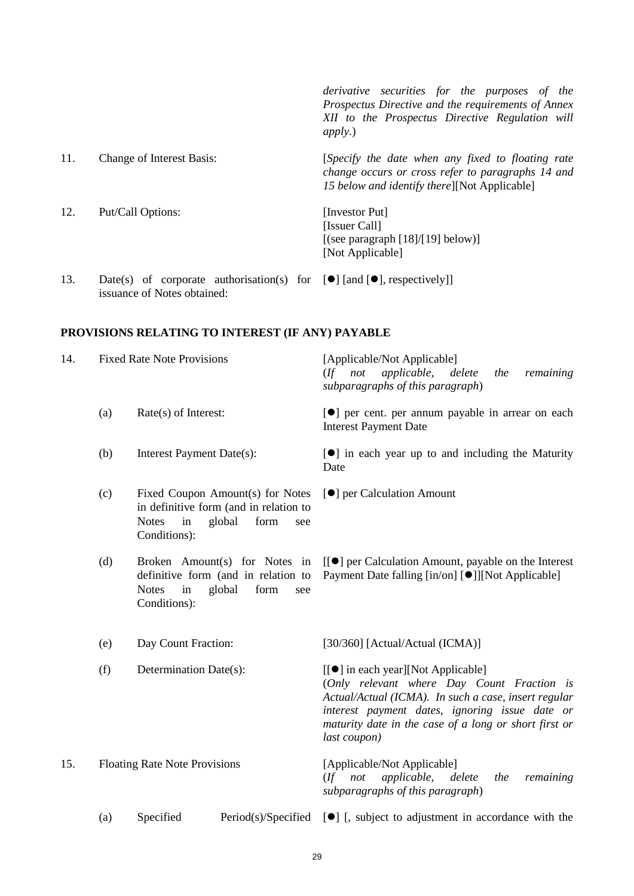|     |                                                                                         | derivative securities for the purposes of the<br>Prospectus Directive and the requirements of Annex<br>XII to the Prospectus Directive Regulation will<br><i>apply.</i> ) |
|-----|-----------------------------------------------------------------------------------------|---------------------------------------------------------------------------------------------------------------------------------------------------------------------------|
| 11. | <b>Change of Interest Basis:</b>                                                        | [Specify the date when any fixed to floating rate<br>change occurs or cross refer to paragraphs 14 and<br>15 below and identify there][Not Applicable]                    |
| 12. | Put/Call Options:                                                                       | [Investor Put]<br>[Issuer Call]<br>[(see paragraph $[18]/[19]$ below)]<br>[Not Applicable]                                                                                |
| 13. | Date(s) of corporate authorisation(s) for $[\bullet]$ [and $[\bullet]$ , respectively]] |                                                                                                                                                                           |

**PROVISIONS RELATING TO INTEREST (IF ANY) PAYABLE**

issuance of Notes obtained:

<span id="page-28-0"></span>

| 14. |     | <b>Fixed Rate Note Provisions</b>                                                                                                         | [Applicable/Not Applicable]<br>(If not applicable, delete<br>remaining<br>the<br>subparagraphs of this paragraph)                                                                                                                                                   |
|-----|-----|-------------------------------------------------------------------------------------------------------------------------------------------|---------------------------------------------------------------------------------------------------------------------------------------------------------------------------------------------------------------------------------------------------------------------|
|     | (a) | Rate(s) of Interest:                                                                                                                      | [ <sup>•</sup> ] per cent. per annum payable in arrear on each<br><b>Interest Payment Date</b>                                                                                                                                                                      |
|     | (b) | Interest Payment Date(s):                                                                                                                 | $\lceil \bullet \rceil$ in each year up to and including the Maturity<br>Date                                                                                                                                                                                       |
|     | (c) | Fixed Coupon Amount(s) for Notes<br>in definitive form (and in relation to<br><b>Notes</b><br>in<br>global<br>form<br>see<br>Conditions): | [ <sup>•</sup> ] per Calculation Amount                                                                                                                                                                                                                             |
|     | (d) | Broken Amount(s) for Notes in<br>definitive form (and in relation to<br><b>Notes</b><br>in<br>global<br>form<br>see<br>Conditions):       | [[ $\bullet$ ] per Calculation Amount, payable on the Interest<br>Payment Date falling [in/on] [ <sup>•</sup> ]][Not Applicable]                                                                                                                                    |
|     | (e) | Day Count Fraction:                                                                                                                       | [30/360] [Actual/Actual (ICMA)]                                                                                                                                                                                                                                     |
|     | (f) | Determination Date(s):                                                                                                                    | [[●] in each year][Not Applicable]<br>(Only relevant where Day Count Fraction is<br>Actual/Actual (ICMA). In such a case, insert regular<br>interest payment dates, ignoring issue date or<br>maturity date in the case of a long or short first or<br>last coupon) |
| 15. |     | <b>Floating Rate Note Provisions</b>                                                                                                      | [Applicable/Not Applicable]<br>applicable,<br>$($ f not<br>delete<br>the<br>remaining<br>subparagraphs of this paragraph)                                                                                                                                           |
|     | (a) | Specified                                                                                                                                 | $Period(s)/Specificed$ [ $\bullet$ ] [ subject to adjustment in accordance with the                                                                                                                                                                                 |

<span id="page-28-1"></span>(a) Specified Period(s)/Specified  $[\bullet]$  [, subject to adjustment in accordance with the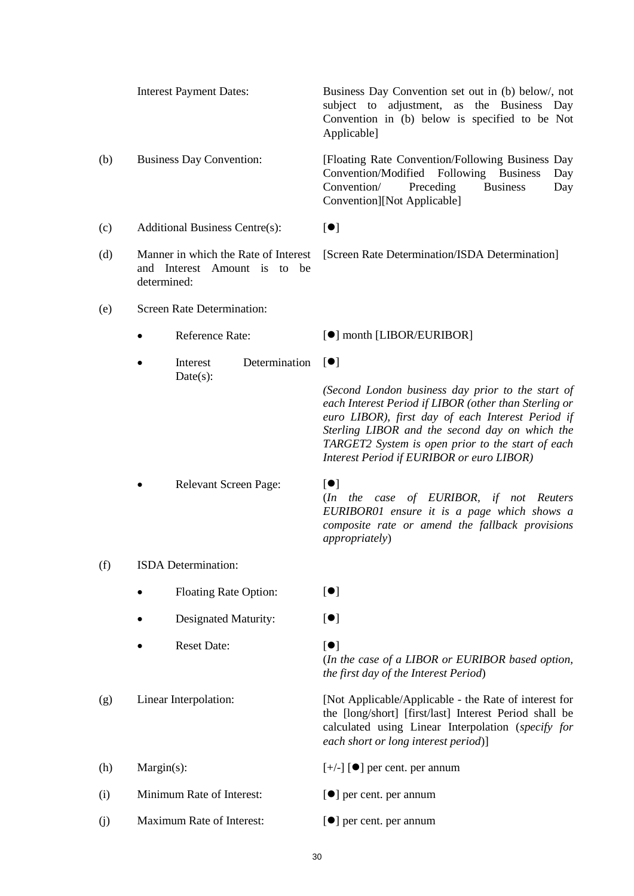<span id="page-29-1"></span><span id="page-29-0"></span>

|     |                                                                                     | <b>Interest Payment Dates:</b>        | Business Day Convention set out in (b) below/, not<br>subject to adjustment, as<br>the Business Day<br>Convention in (b) below is specified to be Not<br>Applicable]                                                                                                                                                |
|-----|-------------------------------------------------------------------------------------|---------------------------------------|---------------------------------------------------------------------------------------------------------------------------------------------------------------------------------------------------------------------------------------------------------------------------------------------------------------------|
| (b) |                                                                                     | <b>Business Day Convention:</b>       | [Floating Rate Convention/Following Business Day<br>Convention/Modified<br>Following Business<br>Day<br><b>Business</b><br>Convention/<br>Preceding<br>Day<br>Convention][Not Applicable]                                                                                                                           |
| (c) |                                                                                     | <b>Additional Business Centre(s):</b> | $\lbrack \bullet \rbrack$                                                                                                                                                                                                                                                                                           |
| (d) | Manner in which the Rate of Interest<br>and Interest Amount is to be<br>determined: |                                       | [Screen Rate Determination/ISDA Determination]                                                                                                                                                                                                                                                                      |
| (e) |                                                                                     | Screen Rate Determination:            |                                                                                                                                                                                                                                                                                                                     |
|     |                                                                                     | Reference Rate:                       | $\left[ \bullet \right]$ month [LIBOR/EURIBOR]                                                                                                                                                                                                                                                                      |
|     |                                                                                     | Determination<br>Interest             | $\lbrack \bullet \rbrack$                                                                                                                                                                                                                                                                                           |
|     |                                                                                     | Date(s):                              | (Second London business day prior to the start of<br>each Interest Period if LIBOR (other than Sterling or<br>euro LIBOR), first day of each Interest Period if<br>Sterling LIBOR and the second day on which the<br>TARGET2 System is open prior to the start of each<br>Interest Period if EURIBOR or euro LIBOR) |
|     |                                                                                     | Relevant Screen Page:                 | $\lbrack \bullet \rbrack$<br>(In the case of EURIBOR, if not Reuters<br>EURIBOR01 ensure it is a page which shows a<br>composite rate or amend the fallback provisions<br><i>appropriately</i> )                                                                                                                    |
| (f) |                                                                                     | ISDA Determination:                   |                                                                                                                                                                                                                                                                                                                     |
|     |                                                                                     | <b>Floating Rate Option:</b>          | $\lbrack \bullet \rbrack$                                                                                                                                                                                                                                                                                           |
|     |                                                                                     | Designated Maturity:                  | $\lbrack \bullet \rbrack$                                                                                                                                                                                                                                                                                           |
|     |                                                                                     | <b>Reset Date:</b>                    | $\lbrack \bullet \rbrack$<br>(In the case of a LIBOR or EURIBOR based option,<br>the first day of the Interest Period)                                                                                                                                                                                              |
| (g) | Linear Interpolation:                                                               |                                       | [Not Applicable/Applicable - the Rate of interest for<br>the [long/short] [first/last] Interest Period shall be<br>calculated using Linear Interpolation (specify for<br>each short or long interest period)]                                                                                                       |
| (h) | Margin(s):                                                                          |                                       | $[+/$ ] [ $\bullet$ ] per cent. per annum                                                                                                                                                                                                                                                                           |
| (i) | Minimum Rate of Interest:                                                           |                                       | $\left[\bullet\right]$ per cent. per annum                                                                                                                                                                                                                                                                          |
| (j) | Maximum Rate of Interest:                                                           |                                       | [●] per cent. per annum                                                                                                                                                                                                                                                                                             |

30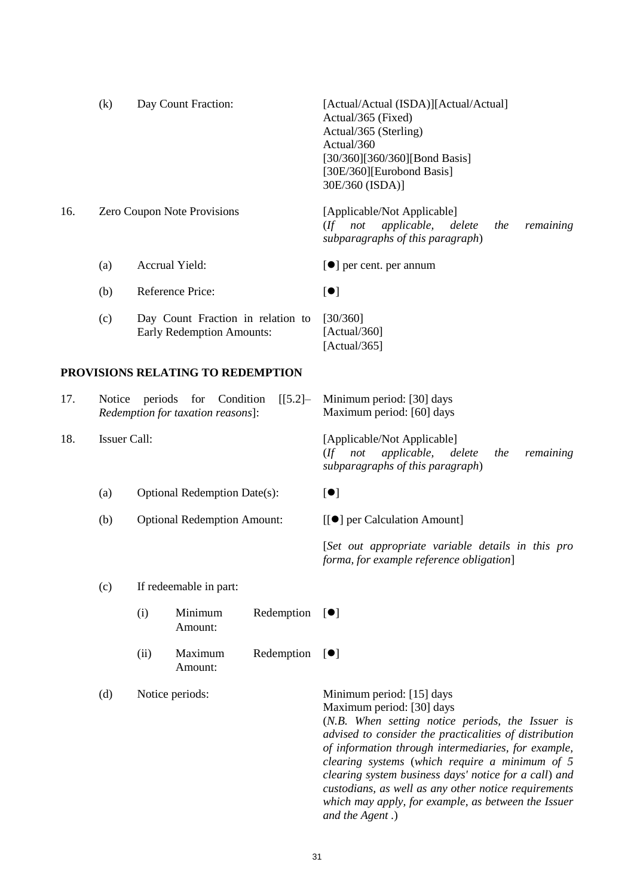<span id="page-30-0"></span>

|     | (k)                         | Day Count Fraction:                                                         | [Actual/Actual (ISDA)][Actual/Actual]<br>Actual/365 (Fixed)<br>Actual/365 (Sterling)<br>Actual/360<br>[30/360][360/360][Bond Basis]<br>[30E/360][Eurobond Basis]<br>30E/360 (ISDA)] |  |
|-----|-----------------------------|-----------------------------------------------------------------------------|-------------------------------------------------------------------------------------------------------------------------------------------------------------------------------------|--|
| 16. | Zero Coupon Note Provisions |                                                                             | [Applicable/Not Applicable]<br><i>applicable,</i><br>not<br>(If<br>delete<br>remaining<br>the<br>subparagraphs of this paragraph)                                                   |  |
|     | (a)                         | Accrual Yield:                                                              | $\left[\bullet\right]$ per cent. per annum                                                                                                                                          |  |
|     | (b)                         | Reference Price:                                                            | $\left[ \bullet \right]$                                                                                                                                                            |  |
|     | (c)                         | Day Count Fraction in relation to<br><b>Early Redemption Amounts:</b>       | [30/360]<br>[Actual/360]<br>[Actual/365]                                                                                                                                            |  |
|     |                             | PROVISIONS RELATING TO REDEMPTION                                           |                                                                                                                                                                                     |  |
| 17. | Notice                      | periods<br>for Condition<br>$[[5.2] -$<br>Redemption for taxation reasons]: | Minimum period: [30] days<br>Maximum period: [60] days                                                                                                                              |  |
| 18. | Issuer Call:                |                                                                             | [Applicable/Not Applicable]<br>applicable, delete<br>$($ f<br>not<br>remaining<br>the<br>subparagraphs of this paragraph)                                                           |  |

- <span id="page-30-1"></span>(a) Optional Redemption Date(s):  $[•]$
- (b) Optional Redemption Amount:  $[[\bullet]]$  per Calculation Amount]

[*Set out appropriate variable details in this pro forma, for example reference obligation*]

### (c) If redeemable in part:

- $(i)$  Minimum Redemption  $[\bullet]$ Amount:
- (ii) Maximum Redemption Amount:  $[•]$

(d) Notice periods: Minimum period: [15] days

Maximum period: [30] days (*N.B. When setting notice periods, the Issuer is advised to consider the practicalities of distribution of information through intermediaries, for example, clearing systems* (*which require a minimum of 5 clearing system business days' notice for a call*) *and custodians, as well as any other notice requirements which may apply, for example, as between the Issuer and the Agent .*)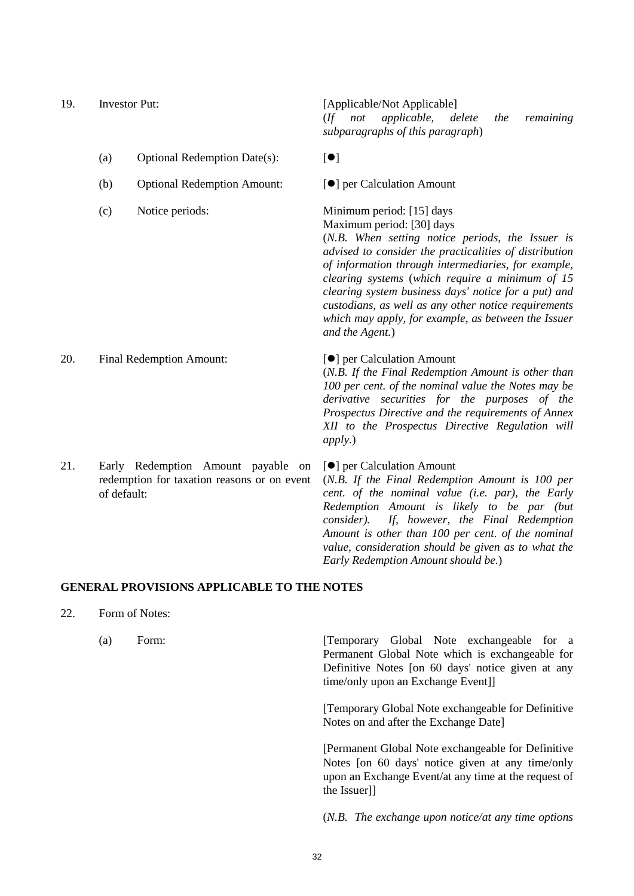<span id="page-31-0"></span>19. Investor Put: [Applicable/Not Applicable] (*If not applicable, delete the remaining subparagraphs of this paragraph*) (a) Optional Redemption Date(s):  $[•]$ (b) Optional Redemption Amount:  $[•]$  per Calculation Amount

Maximum period: [30] days

(*N.B. When setting notice periods, the Issuer is advised to consider the practicalities of distribution of information through intermediaries, for example, clearing systems* (*which require a minimum of 15 clearing system business days' notice for a put) and* 

(c) Notice periods: Minimum period: [15] days

*custodians, as well as any other notice requirements which may apply, for example, as between the Issuer and the Agent.*) 20. Final Redemption Amount:  $\blacksquare$ (*N.B. If the Final Redemption Amount is other than 100 per cent. of the nominal value the Notes may be derivative securities for the purposes of the Prospectus Directive and the requirements of Annex XII to the Prospectus Directive Regulation will apply.*) 21. Early Redemption Amount payable on redemption for taxation reasons or on event of default: [ $\bullet$ ] per Calculation Amount (*N.B. If the Final Redemption Amount is 100 per cent. of the nominal value (i.e. par), the Early Redemption Amount is likely to be par (but consider). If, however, the Final Redemption Amount is other than 100 per cent. of the nominal* 

### **GENERAL PROVISIONS APPLICABLE TO THE NOTES**

- 22. Form of Notes:
	-

(a) Form: [Temporary Global Note exchangeable for a Permanent Global Note which is exchangeable for Definitive Notes [on 60 days' notice given at any time/only upon an Exchange Event]]

*value, consideration should be given as to what the* 

*Early Redemption Amount should be.*)

[Temporary Global Note exchangeable for Definitive Notes on and after the Exchange Date]

[Permanent Global Note exchangeable for Definitive Notes [on 60 days' notice given at any time/only upon an Exchange Event/at any time at the request of the Issuer]]

(*N.B. The exchange upon notice/at any time options*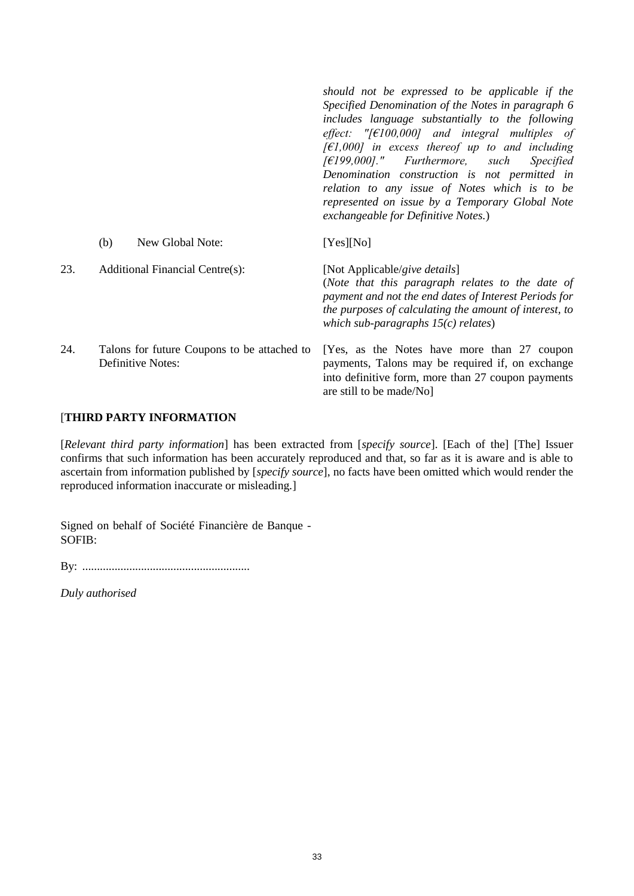|     |                                                                         | should not be expressed to be applicable if the<br>Specified Denomination of the Notes in paragraph 6<br>includes language substantially to the following<br>effect: "[ $\epsilon$ 100,000] and integral multiples of<br>$[66]$ $[61,000]$ in excess thereof up to and including<br>$[£199,000]$ ." Furthermore, such<br><i>Specified</i><br>Denomination construction is not permitted in<br>relation to any issue of Notes which is to be<br>represented on issue by a Temporary Global Note<br>exchangeable for Definitive Notes.) |
|-----|-------------------------------------------------------------------------|---------------------------------------------------------------------------------------------------------------------------------------------------------------------------------------------------------------------------------------------------------------------------------------------------------------------------------------------------------------------------------------------------------------------------------------------------------------------------------------------------------------------------------------|
|     | New Global Note:<br>(b)                                                 | [Yes][No]                                                                                                                                                                                                                                                                                                                                                                                                                                                                                                                             |
| 23. | Additional Financial Centre(s):                                         | [Not Applicable/give details]<br>(Note that this paragraph relates to the date of<br>payment and not the end dates of Interest Periods for<br>the purposes of calculating the amount of interest, to<br>which sub-paragraphs $15(c)$ relates)                                                                                                                                                                                                                                                                                         |
| 24. | Talons for future Coupons to be attached to<br><b>Definitive Notes:</b> | [Yes, as the Notes have more than 27 coupon<br>payments, Talons may be required if, on exchange<br>into definitive form, more than 27 coupon payments<br>are still to be made/No]                                                                                                                                                                                                                                                                                                                                                     |

# [**THIRD PARTY INFORMATION**

[*Relevant third party information*] has been extracted from [*specify source*]. [Each of the] [The] Issuer confirms that such information has been accurately reproduced and that, so far as it is aware and is able to ascertain from information published by [*specify source*], no facts have been omitted which would render the reproduced information inaccurate or misleading.]

Signed on behalf of Société Financière de Banque - SOFIB:

By: .........................................................

*Duly authorised*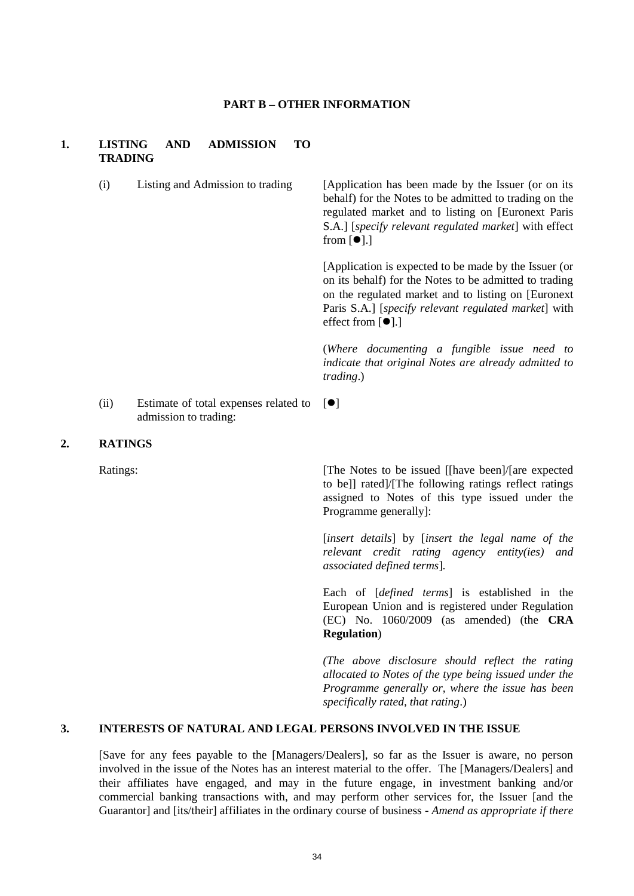#### **PART B – OTHER INFORMATION**

### **1. LISTING AND ADMISSION TO TRADING**

(i) Listing and Admission to trading [Application has been made by the Issuer (or on its behalf) for the Notes to be admitted to trading on the regulated market and to listing on [Euronext Paris S.A.] [*specify relevant regulated market*] with effect from  $[•]$ .]

> [Application is expected to be made by the Issuer (or on its behalf) for the Notes to be admitted to trading on the regulated market and to listing on [Euronext Paris S.A.] [*specify relevant regulated market*] with effect from  $[•]$ .]

> (*Where documenting a fungible issue need to indicate that original Notes are already admitted to trading*.)

(ii) Estimate of total expenses related to admission to trading:  $[$ 

### **2. RATINGS**

Ratings: [The Notes to be issued [[have been]/[are expected] to be]] rated]/[The following ratings reflect ratings assigned to Notes of this type issued under the Programme generally]:

> [*insert details*] by [*insert the legal name of the relevant credit rating agency entity(ies) and associated defined terms*]*.*

> Each of [*defined terms*] is established in the European Union and is registered under Regulation (EC) No. 1060/2009 (as amended) (the **CRA Regulation**)

> *(The above disclosure should reflect the rating allocated to Notes of the type being issued under the Programme generally or, where the issue has been specifically rated, that rating*.)

# **3. INTERESTS OF NATURAL AND LEGAL PERSONS INVOLVED IN THE ISSUE**

[Save for any fees payable to the [Managers/Dealers], so far as the Issuer is aware, no person involved in the issue of the Notes has an interest material to the offer. The [Managers/Dealers] and their affiliates have engaged, and may in the future engage, in investment banking and/or commercial banking transactions with, and may perform other services for, the Issuer [and the Guarantor] and [its/their] affiliates in the ordinary course of business - *Amend as appropriate if there*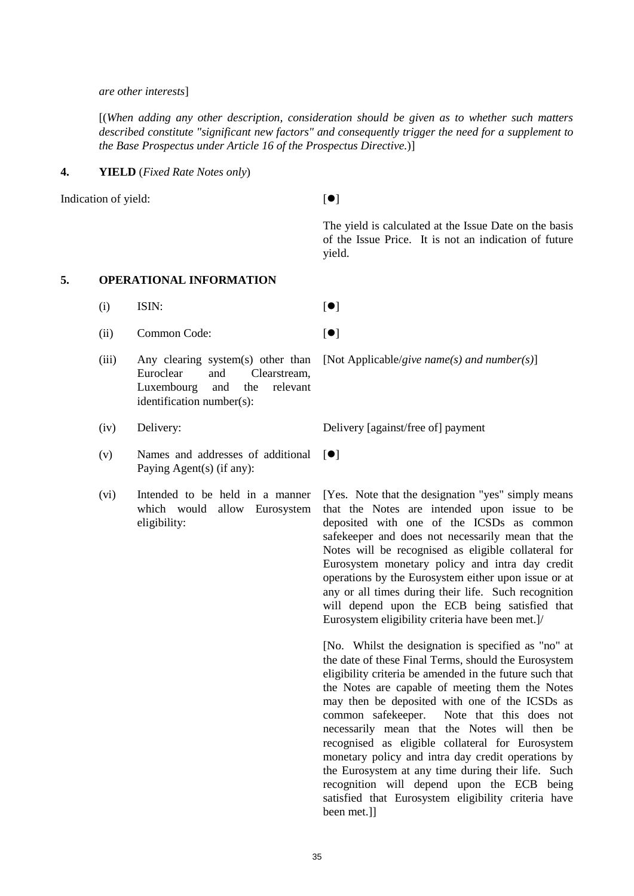#### *are other interests*]

[(*When adding any other description, consideration should be given as to whether such matters described constitute "significant new factors" and consequently trigger the need for a supplement to the Base Prospectus under Article 16 of the Prospectus Directive.*)]

### **4. YIELD** (*Fixed Rate Notes only*)

Indication of yield:  $[$ 

The yield is calculated at the Issue Date on the basis of the Issue Price. It is not an indication of future yield.

# **5. OPERATIONAL INFORMATION**

- (i) ISIN:  $[\bullet]$
- (ii) Common Code:  $\lceil \bullet \rceil$
- (iii) Any clearing system(s) other than Euroclear and Clearstream, Luxembourg and the relevant identification number(s):
	-
- (v) Names and addresses of additional Paying Agent(s) (if any):
- (vi) Intended to be held in a manner which would allow Eurosystem eligibility:

[Not Applicable/*give name(s) and number(s)*]

(iv) Delivery: Delivery [against/free of] payment

 $[$ 

[Yes. Note that the designation "yes" simply means that the Notes are intended upon issue to be deposited with one of the ICSDs as common safekeeper and does not necessarily mean that the Notes will be recognised as eligible collateral for Eurosystem monetary policy and intra day credit operations by the Eurosystem either upon issue or at any or all times during their life. Such recognition will depend upon the ECB being satisfied that Eurosystem eligibility criteria have been met.]/

[No. Whilst the designation is specified as "no" at the date of these Final Terms, should the Eurosystem eligibility criteria be amended in the future such that the Notes are capable of meeting them the Notes may then be deposited with one of the ICSDs as common safekeeper. Note that this does not necessarily mean that the Notes will then be recognised as eligible collateral for Eurosystem monetary policy and intra day credit operations by the Eurosystem at any time during their life. Such recognition will depend upon the ECB being satisfied that Eurosystem eligibility criteria have been met.]]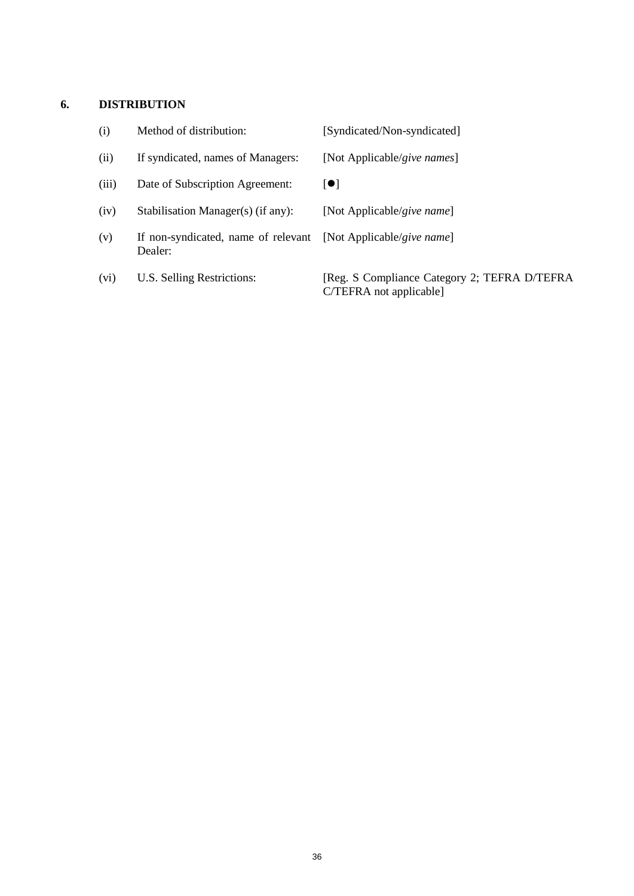# **6. DISTRIBUTION**

| (i)   | Method of distribution:                        | [Syndicated/Non-syndicated]                                             |
|-------|------------------------------------------------|-------------------------------------------------------------------------|
| (ii)  | If syndicated, names of Managers:              | [Not Applicable/give names]                                             |
| (iii) | Date of Subscription Agreement:                | $\blacksquare$                                                          |
| (iv)  | Stabilisation Manager(s) (if any):             | [Not Applicable/give name]                                              |
| (v)   | If non-syndicated, name of relevant<br>Dealer: | [Not Applicable/give name]                                              |
| (vi)  | U.S. Selling Restrictions:                     | [Reg. S Compliance Category 2; TEFRA D/TEFRA<br>C/TEFRA not applicable] |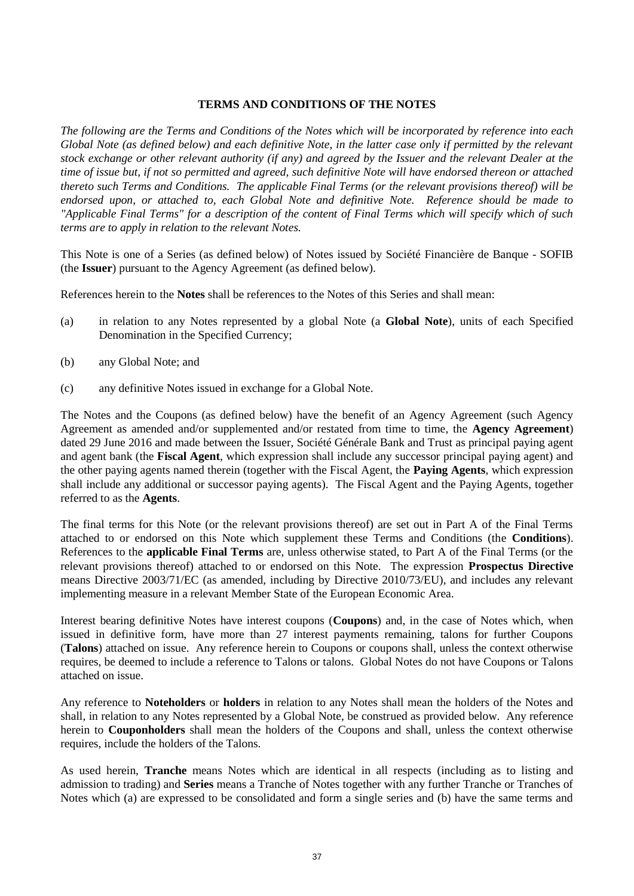# **TERMS AND CONDITIONS OF THE NOTES**

*The following are the Terms and Conditions of the Notes which will be incorporated by reference into each Global Note (as defined below) and each definitive Note, in the latter case only if permitted by the relevant stock exchange or other relevant authority (if any) and agreed by the Issuer and the relevant Dealer at the time of issue but, if not so permitted and agreed, such definitive Note will have endorsed thereon or attached thereto such Terms and Conditions. The applicable Final Terms (or the relevant provisions thereof) will be endorsed upon, or attached to, each Global Note and definitive Note. Reference should be made to "Applicable Final Terms" for a description of the content of Final Terms which will specify which of such terms are to apply in relation to the relevant Notes.*

This Note is one of a Series (as defined below) of Notes issued by Société Financière de Banque - SOFIB (the **Issuer**) pursuant to the Agency Agreement (as defined below).

References herein to the **Notes** shall be references to the Notes of this Series and shall mean:

- (a) in relation to any Notes represented by a global Note (a **Global Note**), units of each Specified Denomination in the Specified Currency;
- (b) any Global Note; and
- (c) any definitive Notes issued in exchange for a Global Note.

The Notes and the Coupons (as defined below) have the benefit of an Agency Agreement (such Agency Agreement as amended and/or supplemented and/or restated from time to time, the **Agency Agreement**) dated 29 June 2016 and made between the Issuer, Société Générale Bank and Trust as principal paying agent and agent bank (the **Fiscal Agent**, which expression shall include any successor principal paying agent) and the other paying agents named therein (together with the Fiscal Agent, the **Paying Agents**, which expression shall include any additional or successor paying agents). The Fiscal Agent and the Paying Agents, together referred to as the **Agents**.

The final terms for this Note (or the relevant provisions thereof) are set out in Part A of the Final Terms attached to or endorsed on this Note which supplement these Terms and Conditions (the **Conditions**). References to the **applicable Final Terms** are, unless otherwise stated, to Part A of the Final Terms (or the relevant provisions thereof) attached to or endorsed on this Note. The expression **Prospectus Directive** means Directive 2003/71/EC (as amended, including by Directive 2010/73/EU), and includes any relevant implementing measure in a relevant Member State of the European Economic Area.

Interest bearing definitive Notes have interest coupons (**Coupons**) and, in the case of Notes which, when issued in definitive form, have more than 27 interest payments remaining, talons for further Coupons (**Talons**) attached on issue. Any reference herein to Coupons or coupons shall, unless the context otherwise requires, be deemed to include a reference to Talons or talons. Global Notes do not have Coupons or Talons attached on issue.

Any reference to **Noteholders** or **holders** in relation to any Notes shall mean the holders of the Notes and shall, in relation to any Notes represented by a Global Note, be construed as provided below. Any reference herein to **Couponholders** shall mean the holders of the Coupons and shall, unless the context otherwise requires, include the holders of the Talons.

As used herein, **Tranche** means Notes which are identical in all respects (including as to listing and admission to trading) and **Series** means a Tranche of Notes together with any further Tranche or Tranches of Notes which (a) are expressed to be consolidated and form a single series and (b) have the same terms and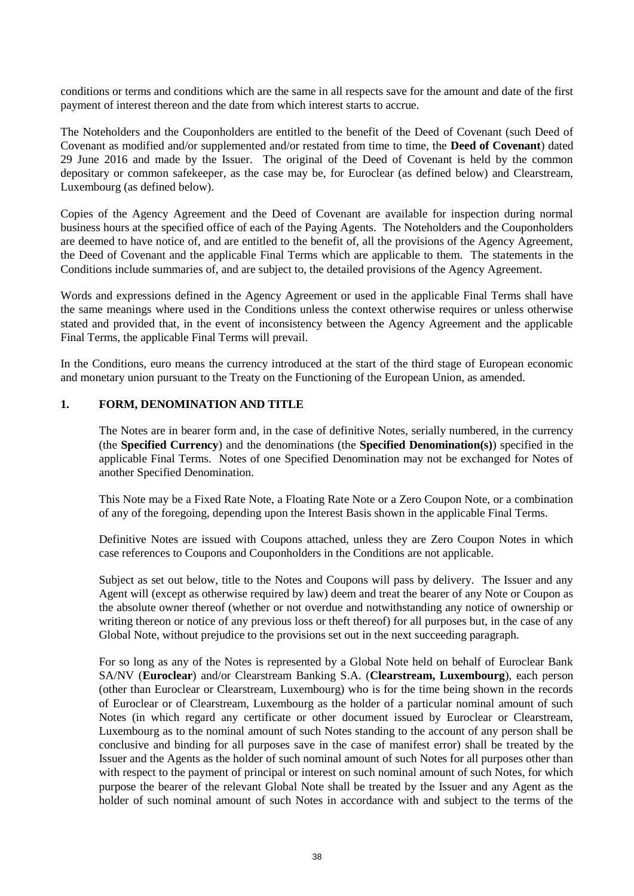conditions or terms and conditions which are the same in all respects save for the amount and date of the first payment of interest thereon and the date from which interest starts to accrue.

The Noteholders and the Couponholders are entitled to the benefit of the Deed of Covenant (such Deed of Covenant as modified and/or supplemented and/or restated from time to time, the **Deed of Covenant**) dated 29 June 2016 and made by the Issuer. The original of the Deed of Covenant is held by the common depositary or common safekeeper, as the case may be, for Euroclear (as defined below) and Clearstream, Luxembourg (as defined below).

Copies of the Agency Agreement and the Deed of Covenant are available for inspection during normal business hours at the specified office of each of the Paying Agents. The Noteholders and the Couponholders are deemed to have notice of, and are entitled to the benefit of, all the provisions of the Agency Agreement, the Deed of Covenant and the applicable Final Terms which are applicable to them. The statements in the Conditions include summaries of, and are subject to, the detailed provisions of the Agency Agreement.

Words and expressions defined in the Agency Agreement or used in the applicable Final Terms shall have the same meanings where used in the Conditions unless the context otherwise requires or unless otherwise stated and provided that, in the event of inconsistency between the Agency Agreement and the applicable Final Terms, the applicable Final Terms will prevail.

In the Conditions, euro means the currency introduced at the start of the third stage of European economic and monetary union pursuant to the Treaty on the Functioning of the European Union, as amended.

# **1. FORM, DENOMINATION AND TITLE**

The Notes are in bearer form and, in the case of definitive Notes, serially numbered, in the currency (the **Specified Currency**) and the denominations (the **Specified Denomination(s)**) specified in the applicable Final Terms. Notes of one Specified Denomination may not be exchanged for Notes of another Specified Denomination.

This Note may be a Fixed Rate Note, a Floating Rate Note or a Zero Coupon Note, or a combination of any of the foregoing, depending upon the Interest Basis shown in the applicable Final Terms.

Definitive Notes are issued with Coupons attached, unless they are Zero Coupon Notes in which case references to Coupons and Couponholders in the Conditions are not applicable.

Subject as set out below, title to the Notes and Coupons will pass by delivery. The Issuer and any Agent will (except as otherwise required by law) deem and treat the bearer of any Note or Coupon as the absolute owner thereof (whether or not overdue and notwithstanding any notice of ownership or writing thereon or notice of any previous loss or theft thereof) for all purposes but, in the case of any Global Note, without prejudice to the provisions set out in the next succeeding paragraph.

For so long as any of the Notes is represented by a Global Note held on behalf of Euroclear Bank SA/NV (**Euroclear**) and/or Clearstream Banking S.A. (**Clearstream, Luxembourg**), each person (other than Euroclear or Clearstream, Luxembourg) who is for the time being shown in the records of Euroclear or of Clearstream, Luxembourg as the holder of a particular nominal amount of such Notes (in which regard any certificate or other document issued by Euroclear or Clearstream, Luxembourg as to the nominal amount of such Notes standing to the account of any person shall be conclusive and binding for all purposes save in the case of manifest error) shall be treated by the Issuer and the Agents as the holder of such nominal amount of such Notes for all purposes other than with respect to the payment of principal or interest on such nominal amount of such Notes, for which purpose the bearer of the relevant Global Note shall be treated by the Issuer and any Agent as the holder of such nominal amount of such Notes in accordance with and subject to the terms of the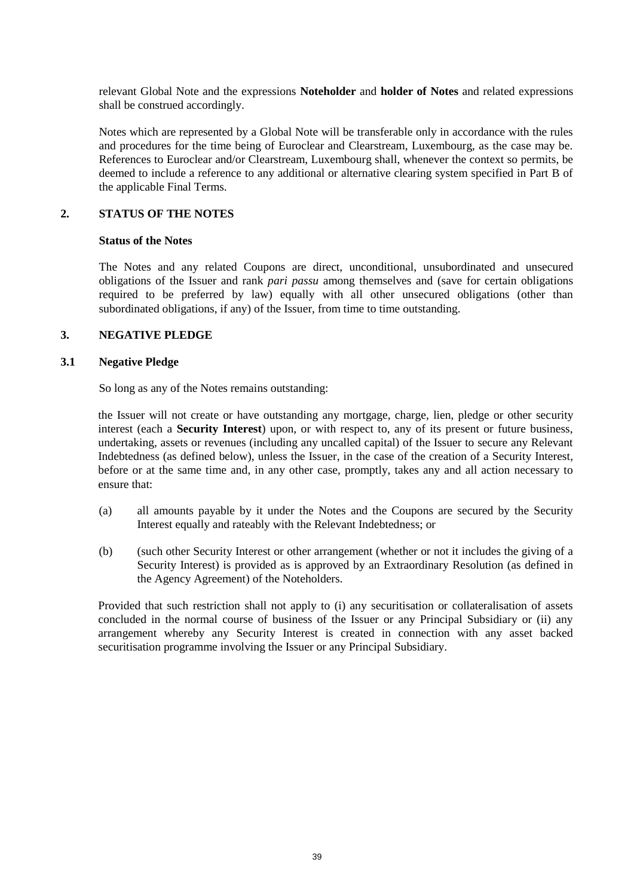relevant Global Note and the expressions **Noteholder** and **holder of Notes** and related expressions shall be construed accordingly.

Notes which are represented by a Global Note will be transferable only in accordance with the rules and procedures for the time being of Euroclear and Clearstream, Luxembourg, as the case may be. References to Euroclear and/or Clearstream, Luxembourg shall, whenever the context so permits, be deemed to include a reference to any additional or alternative clearing system specified in Part B of the applicable Final Terms.

### **2. STATUS OF THE NOTES**

### **Status of the Notes**

The Notes and any related Coupons are direct, unconditional, unsubordinated and unsecured obligations of the Issuer and rank *pari passu* among themselves and (save for certain obligations required to be preferred by law) equally with all other unsecured obligations (other than subordinated obligations, if any) of the Issuer, from time to time outstanding.

# **3. NEGATIVE PLEDGE**

### **3.1 Negative Pledge**

So long as any of the Notes remains outstanding:

the Issuer will not create or have outstanding any mortgage, charge, lien, pledge or other security interest (each a **Security Interest**) upon, or with respect to, any of its present or future business, undertaking, assets or revenues (including any uncalled capital) of the Issuer to secure any Relevant Indebtedness (as defined below), unless the Issuer, in the case of the creation of a Security Interest, before or at the same time and, in any other case, promptly, takes any and all action necessary to ensure that:

- (a) all amounts payable by it under the Notes and the Coupons are secured by the Security Interest equally and rateably with the Relevant Indebtedness; or
- (b) (such other Security Interest or other arrangement (whether or not it includes the giving of a Security Interest) is provided as is approved by an Extraordinary Resolution (as defined in the Agency Agreement) of the Noteholders.

Provided that such restriction shall not apply to (i) any securitisation or collateralisation of assets concluded in the normal course of business of the Issuer or any Principal Subsidiary or (ii) any arrangement whereby any Security Interest is created in connection with any asset backed securitisation programme involving the Issuer or any Principal Subsidiary.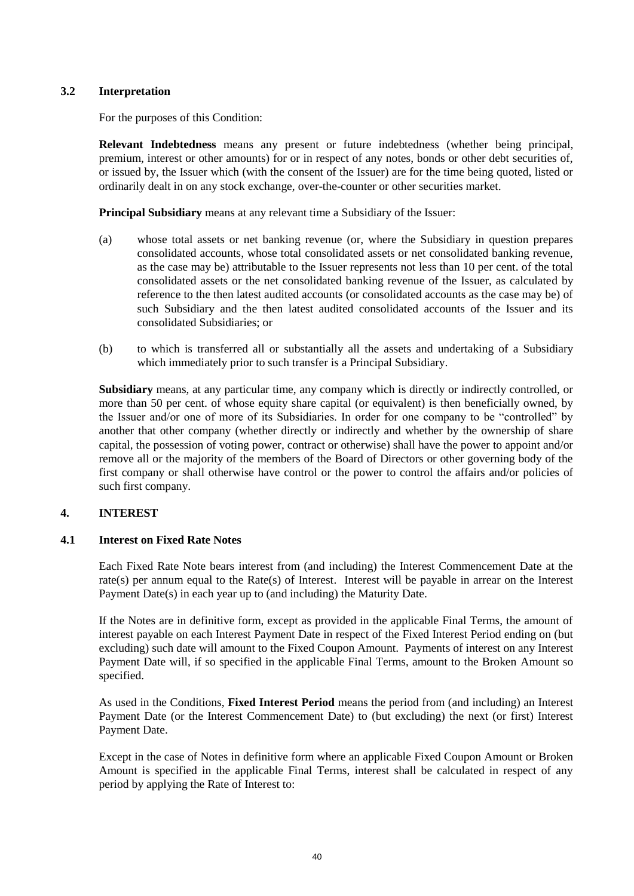# **3.2 Interpretation**

For the purposes of this Condition:

**Relevant Indebtedness** means any present or future indebtedness (whether being principal, premium, interest or other amounts) for or in respect of any notes, bonds or other debt securities of, or issued by, the Issuer which (with the consent of the Issuer) are for the time being quoted, listed or ordinarily dealt in on any stock exchange, over-the-counter or other securities market.

**Principal Subsidiary** means at any relevant time a Subsidiary of the Issuer:

- (a) whose total assets or net banking revenue (or, where the Subsidiary in question prepares consolidated accounts, whose total consolidated assets or net consolidated banking revenue, as the case may be) attributable to the Issuer represents not less than 10 per cent. of the total consolidated assets or the net consolidated banking revenue of the Issuer, as calculated by reference to the then latest audited accounts (or consolidated accounts as the case may be) of such Subsidiary and the then latest audited consolidated accounts of the Issuer and its consolidated Subsidiaries; or
- (b) to which is transferred all or substantially all the assets and undertaking of a Subsidiary which immediately prior to such transfer is a Principal Subsidiary.

**Subsidiary** means, at any particular time, any company which is directly or indirectly controlled, or more than 50 per cent. of whose equity share capital (or equivalent) is then beneficially owned, by the Issuer and/or one of more of its Subsidiaries. In order for one company to be "controlled" by another that other company (whether directly or indirectly and whether by the ownership of share capital, the possession of voting power, contract or otherwise) shall have the power to appoint and/or remove all or the majority of the members of the Board of Directors or other governing body of the first company or shall otherwise have control or the power to control the affairs and/or policies of such first company.

# <span id="page-39-1"></span>**4. INTEREST**

# <span id="page-39-0"></span>**4.1 Interest on Fixed Rate Notes**

Each Fixed Rate Note bears interest from (and including) the Interest Commencement Date at the rate(s) per annum equal to the Rate(s) of Interest. Interest will be payable in arrear on the Interest Payment Date(s) in each year up to (and including) the Maturity Date.

If the Notes are in definitive form, except as provided in the applicable Final Terms, the amount of interest payable on each Interest Payment Date in respect of the Fixed Interest Period ending on (but excluding) such date will amount to the Fixed Coupon Amount. Payments of interest on any Interest Payment Date will, if so specified in the applicable Final Terms, amount to the Broken Amount so specified.

As used in the Conditions, **Fixed Interest Period** means the period from (and including) an Interest Payment Date (or the Interest Commencement Date) to (but excluding) the next (or first) Interest Payment Date.

Except in the case of Notes in definitive form where an applicable Fixed Coupon Amount or Broken Amount is specified in the applicable Final Terms, interest shall be calculated in respect of any period by applying the Rate of Interest to: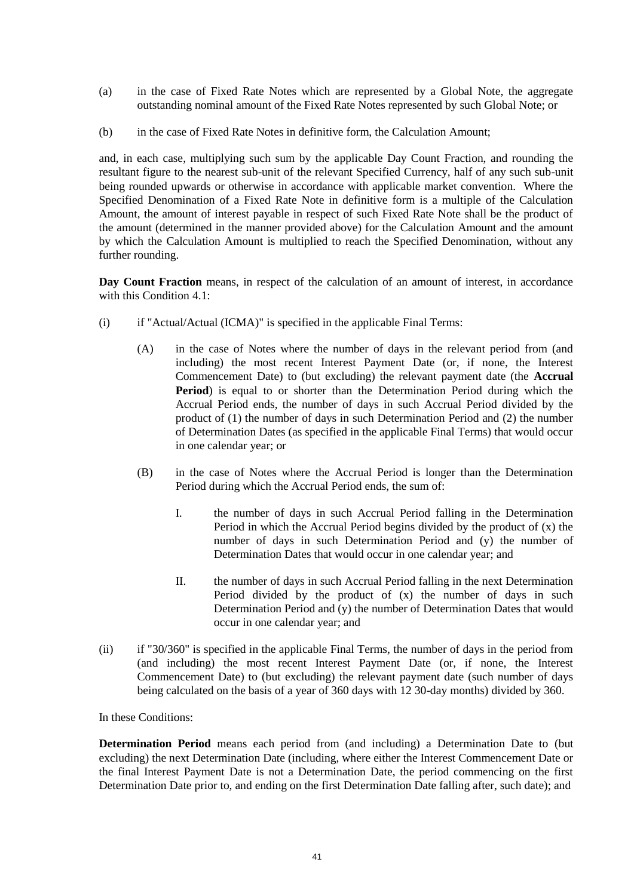- (a) in the case of Fixed Rate Notes which are represented by a Global Note, the aggregate outstanding nominal amount of the Fixed Rate Notes represented by such Global Note; or
- (b) in the case of Fixed Rate Notes in definitive form, the Calculation Amount;

and, in each case, multiplying such sum by the applicable Day Count Fraction, and rounding the resultant figure to the nearest sub-unit of the relevant Specified Currency, half of any such sub-unit being rounded upwards or otherwise in accordance with applicable market convention. Where the Specified Denomination of a Fixed Rate Note in definitive form is a multiple of the Calculation Amount, the amount of interest payable in respect of such Fixed Rate Note shall be the product of the amount (determined in the manner provided above) for the Calculation Amount and the amount by which the Calculation Amount is multiplied to reach the Specified Denomination, without any further rounding.

**Day Count Fraction** means, in respect of the calculation of an amount of interest, in accordance with this Condition [4.1:](#page-39-0)

- (i) if "Actual/Actual (ICMA)" is specified in the applicable Final Terms:
	- (A) in the case of Notes where the number of days in the relevant period from (and including) the most recent Interest Payment Date (or, if none, the Interest Commencement Date) to (but excluding) the relevant payment date (the **Accrual Period**) is equal to or shorter than the Determination Period during which the Accrual Period ends, the number of days in such Accrual Period divided by the product of (1) the number of days in such Determination Period and (2) the number of Determination Dates (as specified in the applicable Final Terms) that would occur in one calendar year; or
	- (B) in the case of Notes where the Accrual Period is longer than the Determination Period during which the Accrual Period ends, the sum of:
		- I. the number of days in such Accrual Period falling in the Determination Period in which the Accrual Period begins divided by the product of (x) the number of days in such Determination Period and (y) the number of Determination Dates that would occur in one calendar year; and
		- II. the number of days in such Accrual Period falling in the next Determination Period divided by the product of (x) the number of days in such Determination Period and (y) the number of Determination Dates that would occur in one calendar year; and
- (ii) if "30/360" is specified in the applicable Final Terms, the number of days in the period from (and including) the most recent Interest Payment Date (or, if none, the Interest Commencement Date) to (but excluding) the relevant payment date (such number of days being calculated on the basis of a year of 360 days with 12 30-day months) divided by 360.

In these Conditions:

**Determination Period** means each period from (and including) a Determination Date to (but excluding) the next Determination Date (including, where either the Interest Commencement Date or the final Interest Payment Date is not a Determination Date, the period commencing on the first Determination Date prior to, and ending on the first Determination Date falling after, such date); and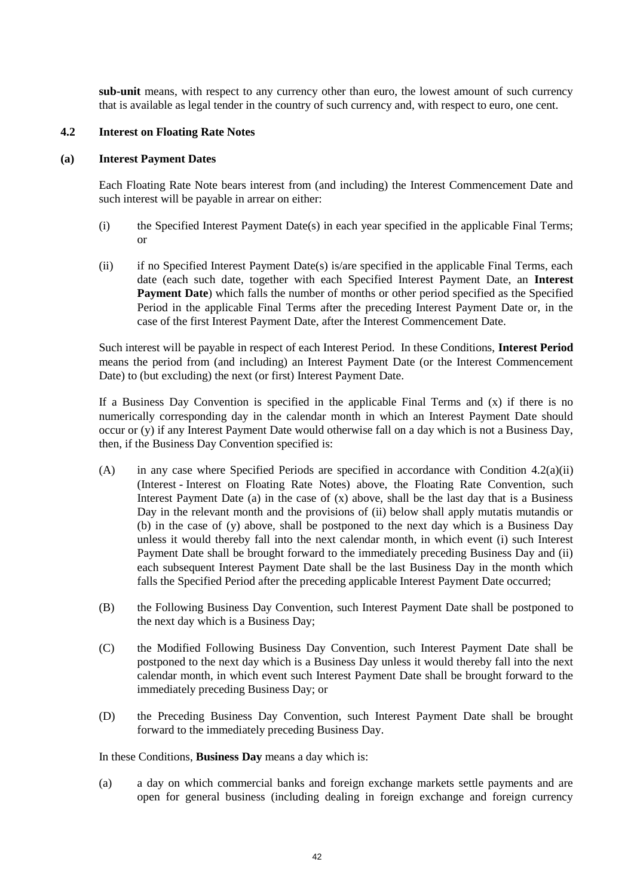**sub-unit** means, with respect to any currency other than euro, the lowest amount of such currency that is available as legal tender in the country of such currency and, with respect to euro, one cent.

#### <span id="page-41-1"></span>**4.2 Interest on Floating Rate Notes**

### **(a) Interest Payment Dates**

Each Floating Rate Note bears interest from (and including) the Interest Commencement Date and such interest will be payable in arrear on either:

- (i) the Specified Interest Payment Date(s) in each year specified in the applicable Final Terms; or
- <span id="page-41-0"></span>(ii) if no Specified Interest Payment Date(s) is/are specified in the applicable Final Terms, each date (each such date, together with each Specified Interest Payment Date, an **Interest Payment Date**) which falls the number of months or other period specified as the Specified Period in the applicable Final Terms after the preceding Interest Payment Date or, in the case of the first Interest Payment Date, after the Interest Commencement Date.

Such interest will be payable in respect of each Interest Period. In these Conditions, **Interest Period** means the period from (and including) an Interest Payment Date (or the Interest Commencement Date) to (but excluding) the next (or first) Interest Payment Date.

If a Business Day Convention is specified in the applicable Final Terms and  $(x)$  if there is no numerically corresponding day in the calendar month in which an Interest Payment Date should occur or (y) if any Interest Payment Date would otherwise fall on a day which is not a Business Day, then, if the Business Day Convention specified is:

- (A) in any case where Specified Periods are specified in accordance with Condition  $4.2(a)(ii)$ [\(Interest](#page-39-1) - [Interest on Floating Rate Notes\)](#page-41-1) above, the Floating Rate Convention, such Interest Payment Date (a) in the case of (x) above, shall be the last day that is a Business Day in the relevant month and the provisions of (ii) below shall apply mutatis mutandis or (b) in the case of (y) above, shall be postponed to the next day which is a Business Day unless it would thereby fall into the next calendar month, in which event (i) such Interest Payment Date shall be brought forward to the immediately preceding Business Day and (ii) each subsequent Interest Payment Date shall be the last Business Day in the month which falls the Specified Period after the preceding applicable Interest Payment Date occurred;
- (B) the Following Business Day Convention, such Interest Payment Date shall be postponed to the next day which is a Business Day;
- (C) the Modified Following Business Day Convention, such Interest Payment Date shall be postponed to the next day which is a Business Day unless it would thereby fall into the next calendar month, in which event such Interest Payment Date shall be brought forward to the immediately preceding Business Day; or
- (D) the Preceding Business Day Convention, such Interest Payment Date shall be brought forward to the immediately preceding Business Day.

In these Conditions, **Business Day** means a day which is:

(a) a day on which commercial banks and foreign exchange markets settle payments and are open for general business (including dealing in foreign exchange and foreign currency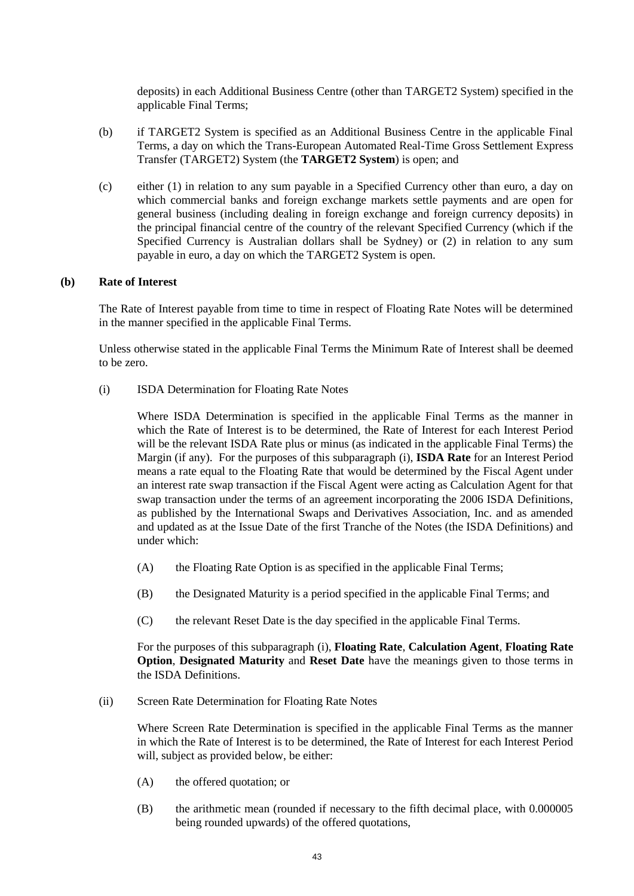deposits) in each Additional Business Centre (other than TARGET2 System) specified in the applicable Final Terms;

- (b) if TARGET2 System is specified as an Additional Business Centre in the applicable Final Terms, a day on which the Trans-European Automated Real-Time Gross Settlement Express Transfer (TARGET2) System (the **TARGET2 System**) is open; and
- (c) either (1) in relation to any sum payable in a Specified Currency other than euro, a day on which commercial banks and foreign exchange markets settle payments and are open for general business (including dealing in foreign exchange and foreign currency deposits) in the principal financial centre of the country of the relevant Specified Currency (which if the Specified Currency is Australian dollars shall be Sydney) or (2) in relation to any sum payable in euro, a day on which the TARGET2 System is open.

### **(b) Rate of Interest**

The Rate of Interest payable from time to time in respect of Floating Rate Notes will be determined in the manner specified in the applicable Final Terms.

Unless otherwise stated in the applicable Final Terms the Minimum Rate of Interest shall be deemed to be zero.

(i) ISDA Determination for Floating Rate Notes

Where ISDA Determination is specified in the applicable Final Terms as the manner in which the Rate of Interest is to be determined, the Rate of Interest for each Interest Period will be the relevant ISDA Rate plus or minus (as indicated in the applicable Final Terms) the Margin (if any). For the purposes of this subparagraph (i), **ISDA Rate** for an Interest Period means a rate equal to the Floating Rate that would be determined by the Fiscal Agent under an interest rate swap transaction if the Fiscal Agent were acting as Calculation Agent for that swap transaction under the terms of an agreement incorporating the 2006 ISDA Definitions, as published by the International Swaps and Derivatives Association, Inc. and as amended and updated as at the Issue Date of the first Tranche of the Notes (the ISDA Definitions) and under which:

- (A) the Floating Rate Option is as specified in the applicable Final Terms;
- (B) the Designated Maturity is a period specified in the applicable Final Terms; and
- (C) the relevant Reset Date is the day specified in the applicable Final Terms.

For the purposes of this subparagraph (i), **Floating Rate**, **Calculation Agent**, **Floating Rate Option**, **Designated Maturity** and **Reset Date** have the meanings given to those terms in the ISDA Definitions.

(ii) Screen Rate Determination for Floating Rate Notes

Where Screen Rate Determination is specified in the applicable Final Terms as the manner in which the Rate of Interest is to be determined, the Rate of Interest for each Interest Period will, subject as provided below, be either:

- (A) the offered quotation; or
- (B) the arithmetic mean (rounded if necessary to the fifth decimal place, with 0.000005 being rounded upwards) of the offered quotations,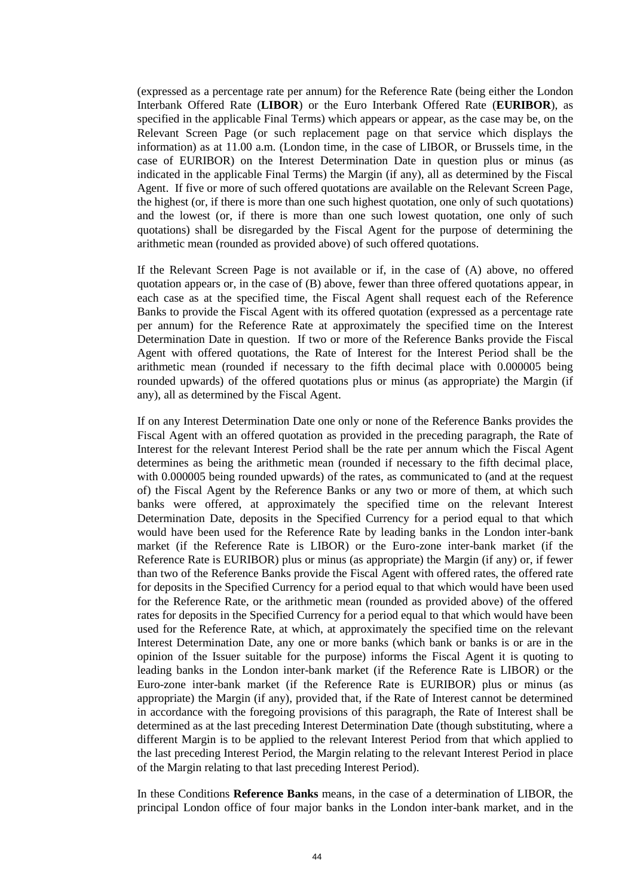(expressed as a percentage rate per annum) for the Reference Rate (being either the London Interbank Offered Rate (**LIBOR**) or the Euro Interbank Offered Rate (**EURIBOR**), as specified in the applicable Final Terms) which appears or appear, as the case may be, on the Relevant Screen Page (or such replacement page on that service which displays the information) as at 11.00 a.m. (London time, in the case of LIBOR, or Brussels time, in the case of EURIBOR) on the Interest Determination Date in question plus or minus (as indicated in the applicable Final Terms) the Margin (if any), all as determined by the Fiscal Agent. If five or more of such offered quotations are available on the Relevant Screen Page, the highest (or, if there is more than one such highest quotation, one only of such quotations) and the lowest (or, if there is more than one such lowest quotation, one only of such quotations) shall be disregarded by the Fiscal Agent for the purpose of determining the arithmetic mean (rounded as provided above) of such offered quotations.

If the Relevant Screen Page is not available or if, in the case of (A) above, no offered quotation appears or, in the case of (B) above, fewer than three offered quotations appear, in each case as at the specified time, the Fiscal Agent shall request each of the Reference Banks to provide the Fiscal Agent with its offered quotation (expressed as a percentage rate per annum) for the Reference Rate at approximately the specified time on the Interest Determination Date in question. If two or more of the Reference Banks provide the Fiscal Agent with offered quotations, the Rate of Interest for the Interest Period shall be the arithmetic mean (rounded if necessary to the fifth decimal place with 0.000005 being rounded upwards) of the offered quotations plus or minus (as appropriate) the Margin (if any), all as determined by the Fiscal Agent.

If on any Interest Determination Date one only or none of the Reference Banks provides the Fiscal Agent with an offered quotation as provided in the preceding paragraph, the Rate of Interest for the relevant Interest Period shall be the rate per annum which the Fiscal Agent determines as being the arithmetic mean (rounded if necessary to the fifth decimal place, with 0.000005 being rounded upwards) of the rates, as communicated to (and at the request of) the Fiscal Agent by the Reference Banks or any two or more of them, at which such banks were offered, at approximately the specified time on the relevant Interest Determination Date, deposits in the Specified Currency for a period equal to that which would have been used for the Reference Rate by leading banks in the London inter-bank market (if the Reference Rate is LIBOR) or the Euro-zone inter-bank market (if the Reference Rate is EURIBOR) plus or minus (as appropriate) the Margin (if any) or, if fewer than two of the Reference Banks provide the Fiscal Agent with offered rates, the offered rate for deposits in the Specified Currency for a period equal to that which would have been used for the Reference Rate, or the arithmetic mean (rounded as provided above) of the offered rates for deposits in the Specified Currency for a period equal to that which would have been used for the Reference Rate, at which, at approximately the specified time on the relevant Interest Determination Date, any one or more banks (which bank or banks is or are in the opinion of the Issuer suitable for the purpose) informs the Fiscal Agent it is quoting to leading banks in the London inter-bank market (if the Reference Rate is LIBOR) or the Euro-zone inter-bank market (if the Reference Rate is EURIBOR) plus or minus (as appropriate) the Margin (if any), provided that, if the Rate of Interest cannot be determined in accordance with the foregoing provisions of this paragraph, the Rate of Interest shall be determined as at the last preceding Interest Determination Date (though substituting, where a different Margin is to be applied to the relevant Interest Period from that which applied to the last preceding Interest Period, the Margin relating to the relevant Interest Period in place of the Margin relating to that last preceding Interest Period).

In these Conditions **Reference Banks** means, in the case of a determination of LIBOR, the principal London office of four major banks in the London inter-bank market, and in the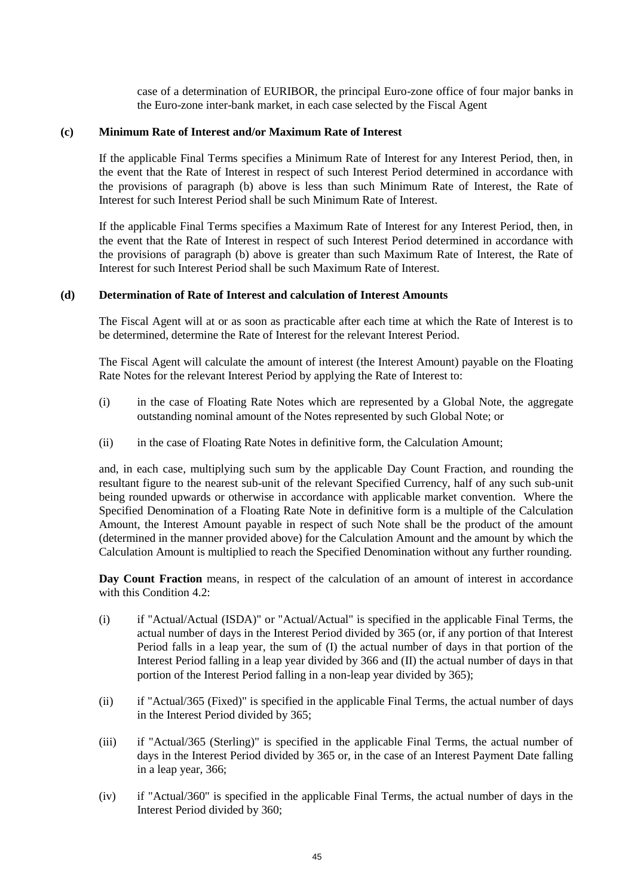case of a determination of EURIBOR, the principal Euro-zone office of four major banks in the Euro-zone inter-bank market, in each case selected by the Fiscal Agent

### **(c) Minimum Rate of Interest and/or Maximum Rate of Interest**

If the applicable Final Terms specifies a Minimum Rate of Interest for any Interest Period, then, in the event that the Rate of Interest in respect of such Interest Period determined in accordance with the provisions of paragraph (b) above is less than such Minimum Rate of Interest, the Rate of Interest for such Interest Period shall be such Minimum Rate of Interest.

If the applicable Final Terms specifies a Maximum Rate of Interest for any Interest Period, then, in the event that the Rate of Interest in respect of such Interest Period determined in accordance with the provisions of paragraph (b) above is greater than such Maximum Rate of Interest, the Rate of Interest for such Interest Period shall be such Maximum Rate of Interest.

### **(d) Determination of Rate of Interest and calculation of Interest Amounts**

The Fiscal Agent will at or as soon as practicable after each time at which the Rate of Interest is to be determined, determine the Rate of Interest for the relevant Interest Period.

The Fiscal Agent will calculate the amount of interest (the Interest Amount) payable on the Floating Rate Notes for the relevant Interest Period by applying the Rate of Interest to:

- (i) in the case of Floating Rate Notes which are represented by a Global Note, the aggregate outstanding nominal amount of the Notes represented by such Global Note; or
- (ii) in the case of Floating Rate Notes in definitive form, the Calculation Amount;

and, in each case, multiplying such sum by the applicable Day Count Fraction, and rounding the resultant figure to the nearest sub-unit of the relevant Specified Currency, half of any such sub-unit being rounded upwards or otherwise in accordance with applicable market convention. Where the Specified Denomination of a Floating Rate Note in definitive form is a multiple of the Calculation Amount, the Interest Amount payable in respect of such Note shall be the product of the amount (determined in the manner provided above) for the Calculation Amount and the amount by which the Calculation Amount is multiplied to reach the Specified Denomination without any further rounding.

**Day Count Fraction** means, in respect of the calculation of an amount of interest in accordance with this Condition [4.2:](#page-41-1)

- (i) if "Actual/Actual (ISDA)" or "Actual/Actual" is specified in the applicable Final Terms, the actual number of days in the Interest Period divided by 365 (or, if any portion of that Interest Period falls in a leap year, the sum of (I) the actual number of days in that portion of the Interest Period falling in a leap year divided by 366 and (II) the actual number of days in that portion of the Interest Period falling in a non-leap year divided by 365);
- (ii) if "Actual/365 (Fixed)" is specified in the applicable Final Terms, the actual number of days in the Interest Period divided by 365;
- (iii) if "Actual/365 (Sterling)" is specified in the applicable Final Terms, the actual number of days in the Interest Period divided by 365 or, in the case of an Interest Payment Date falling in a leap year, 366;
- (iv) if "Actual/360" is specified in the applicable Final Terms, the actual number of days in the Interest Period divided by 360;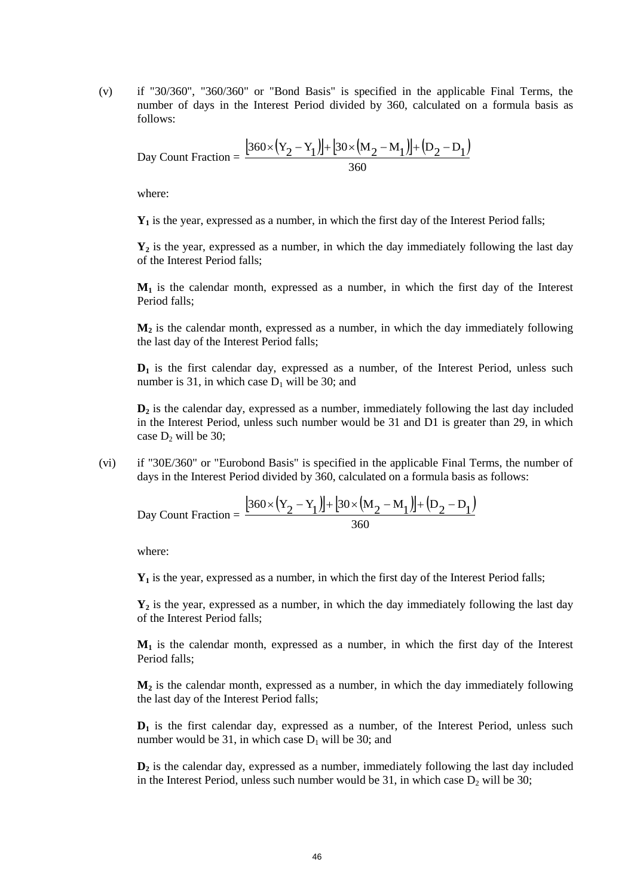(v) if "30/360", "360/360" or "Bond Basis" is specified in the applicable Final Terms, the number of days in the Interest Period divided by 360, calculated on a formula basis as follows:

Day Count Fraction = 
$$
\frac{[360 \times (Y_2 - Y_1)] + [30 \times (M_2 - M_1)] + (D_2 - D_1)}{360}
$$

where:

**Y<sup>1</sup>** is the year, expressed as a number, in which the first day of the Interest Period falls;

**Y<sup>2</sup>** is the year, expressed as a number, in which the day immediately following the last day of the Interest Period falls;

**M<sup>1</sup>** is the calendar month, expressed as a number, in which the first day of the Interest Period falls;

**M<sup>2</sup>** is the calendar month, expressed as a number, in which the day immediately following the last day of the Interest Period falls;

**D<sub>1</sub>** is the first calendar day, expressed as a number, of the Interest Period, unless such number is 31, in which case  $D_1$  will be 30; and

**D<sup>2</sup>** is the calendar day, expressed as a number, immediately following the last day included in the Interest Period, unless such number would be 31 and D1 is greater than 29, in which case  $D_2$  will be 30;

(vi) if "30E/360" or "Eurobond Basis" is specified in the applicable Final Terms, the number of days in the Interest Period divided by 360, calculated on a formula basis as follows:

Day Count Fraction = 
$$
\frac{[360 \times (Y_2 - Y_1)] + [30 \times (M_2 - M_1)] + (D_2 - D_1)}{360}
$$

where:

**Y<sup>1</sup>** is the year, expressed as a number, in which the first day of the Interest Period falls;

**Y<sup>2</sup>** is the year, expressed as a number, in which the day immediately following the last day of the Interest Period falls;

**M<sup>1</sup>** is the calendar month, expressed as a number, in which the first day of the Interest Period falls;

**M<sup>2</sup>** is the calendar month, expressed as a number, in which the day immediately following the last day of the Interest Period falls;

**D<sup>1</sup>** is the first calendar day, expressed as a number, of the Interest Period, unless such number would be 31, in which case  $D_1$  will be 30; and

**D<sup>2</sup>** is the calendar day, expressed as a number, immediately following the last day included in the Interest Period, unless such number would be 31, in which case  $D_2$  will be 30;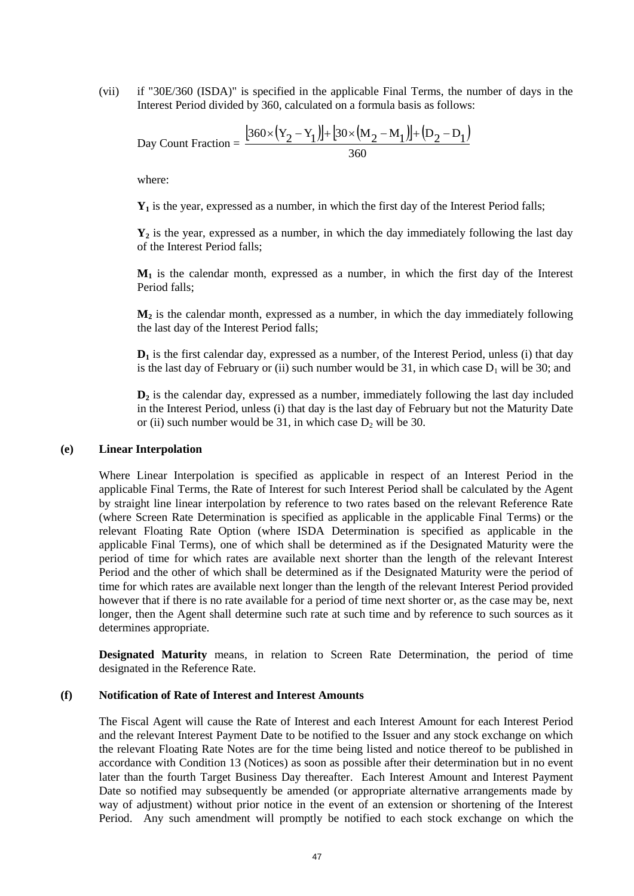(vii) if "30E/360 (ISDA)" is specified in the applicable Final Terms, the number of days in the Interest Period divided by 360, calculated on a formula basis as follows:

Day Count Fraction = 
$$
\frac{[360 \times (Y_2 - Y_1)] + [30 \times (M_2 - M_1)] + (D_2 - D_1)}{360}
$$

where:

**Y<sup>1</sup>** is the year, expressed as a number, in which the first day of the Interest Period falls;

**Y<sup>2</sup>** is the year, expressed as a number, in which the day immediately following the last day of the Interest Period falls;

**M<sup>1</sup>** is the calendar month, expressed as a number, in which the first day of the Interest Period falls:

 $M<sub>2</sub>$  is the calendar month, expressed as a number, in which the day immediately following the last day of the Interest Period falls;

**D<sub>1</sub>** is the first calendar day, expressed as a number, of the Interest Period, unless (i) that day is the last day of February or (ii) such number would be 31, in which case  $D_1$  will be 30; and

**D<sup>2</sup>** is the calendar day, expressed as a number, immediately following the last day included in the Interest Period, unless (i) that day is the last day of February but not the Maturity Date or (ii) such number would be 31, in which case  $D_2$  will be 30.

### **(e) Linear Interpolation**

Where Linear Interpolation is specified as applicable in respect of an Interest Period in the applicable Final Terms, the Rate of Interest for such Interest Period shall be calculated by the Agent by straight line linear interpolation by reference to two rates based on the relevant Reference Rate (where Screen Rate Determination is specified as applicable in the applicable Final Terms) or the relevant Floating Rate Option (where ISDA Determination is specified as applicable in the applicable Final Terms), one of which shall be determined as if the Designated Maturity were the period of time for which rates are available next shorter than the length of the relevant Interest Period and the other of which shall be determined as if the Designated Maturity were the period of time for which rates are available next longer than the length of the relevant Interest Period provided however that if there is no rate available for a period of time next shorter or, as the case may be, next longer, then the Agent shall determine such rate at such time and by reference to such sources as it determines appropriate.

**Designated Maturity** means, in relation to Screen Rate Determination, the period of time designated in the Reference Rate.

### **(f) Notification of Rate of Interest and Interest Amounts**

The Fiscal Agent will cause the Rate of Interest and each Interest Amount for each Interest Period and the relevant Interest Payment Date to be notified to the Issuer and any stock exchange on which the relevant Floating Rate Notes are for the time being listed and notice thereof to be published in accordance with Condition [13](#page-56-0) [\(Notices\)](#page-56-0) as soon as possible after their determination but in no event later than the fourth Target Business Day thereafter. Each Interest Amount and Interest Payment Date so notified may subsequently be amended (or appropriate alternative arrangements made by way of adjustment) without prior notice in the event of an extension or shortening of the Interest Period. Any such amendment will promptly be notified to each stock exchange on which the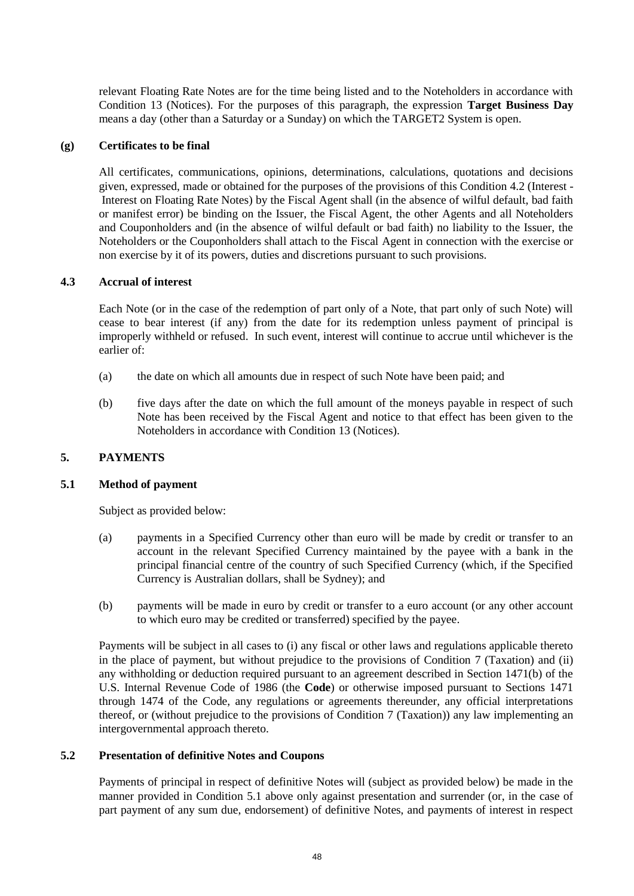relevant Floating Rate Notes are for the time being listed and to the Noteholders in accordance with Condition [13](#page-56-0) [\(Notices\)](#page-56-0). For the purposes of this paragraph, the expression **Target Business Day** means a day (other than a Saturday or a Sunday) on which the TARGET2 System is open.

# **(g) Certificates to be final**

All certificates, communications, opinions, determinations, calculations, quotations and decisions given, expressed, made or obtained for the purposes of the provisions of this Condition [4.2](#page-41-1) [\(Interest](#page-39-1) - [Interest on Floating Rate Notes\)](#page-41-1) by the Fiscal Agent shall (in the absence of wilful default, bad faith or manifest error) be binding on the Issuer, the Fiscal Agent, the other Agents and all Noteholders and Couponholders and (in the absence of wilful default or bad faith) no liability to the Issuer, the Noteholders or the Couponholders shall attach to the Fiscal Agent in connection with the exercise or non exercise by it of its powers, duties and discretions pursuant to such provisions.

### **4.3 Accrual of interest**

Each Note (or in the case of the redemption of part only of a Note, that part only of such Note) will cease to bear interest (if any) from the date for its redemption unless payment of principal is improperly withheld or refused. In such event, interest will continue to accrue until whichever is the earlier of:

- (a) the date on which all amounts due in respect of such Note have been paid; and
- (b) five days after the date on which the full amount of the moneys payable in respect of such Note has been received by the Fiscal Agent and notice to that effect has been given to the Noteholders in accordance with Condition [13](#page-56-0) [\(Notices\)](#page-56-0).

# <span id="page-47-1"></span><span id="page-47-0"></span>**5. PAYMENTS**

#### **5.1 Method of payment**

Subject as provided below:

- (a) payments in a Specified Currency other than euro will be made by credit or transfer to an account in the relevant Specified Currency maintained by the payee with a bank in the principal financial centre of the country of such Specified Currency (which, if the Specified Currency is Australian dollars, shall be Sydney); and
- (b) payments will be made in euro by credit or transfer to a euro account (or any other account to which euro may be credited or transferred) specified by the payee.

Payments will be subject in all cases to (i) any fiscal or other laws and regulations applicable thereto in the place of payment, but without prejudice to the provisions of Condition [7](#page-53-0) [\(Taxation\)](#page-53-0) and (ii) any withholding or deduction required pursuant to an agreement described in Section 1471(b) of the U.S. Internal Revenue Code of 1986 (the **Code**) or otherwise imposed pursuant to Sections 1471 through 1474 of the Code, any regulations or agreements thereunder, any official interpretations thereof, or (without prejudice to the provisions of Condition [7](#page-53-0) [\(Taxation\)](#page-53-0)) any law implementing an intergovernmental approach thereto.

#### <span id="page-47-2"></span>**5.2 Presentation of definitive Notes and Coupons**

Payments of principal in respect of definitive Notes will (subject as provided below) be made in the manner provided in Condition [5.1 above](#page-47-0) only against presentation and surrender (or, in the case of part payment of any sum due, endorsement) of definitive Notes, and payments of interest in respect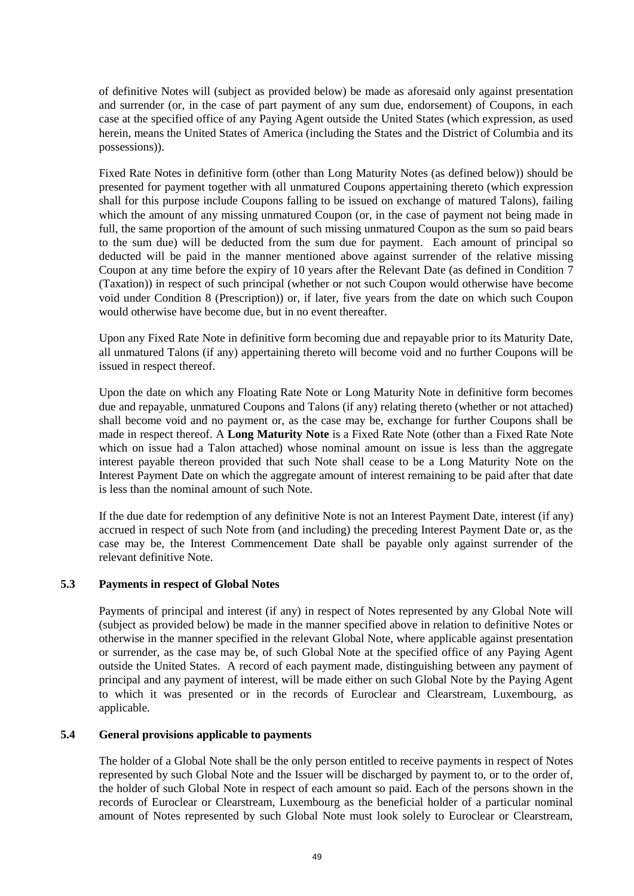of definitive Notes will (subject as provided below) be made as aforesaid only against presentation and surrender (or, in the case of part payment of any sum due, endorsement) of Coupons, in each case at the specified office of any Paying Agent outside the United States (which expression, as used herein, means the United States of America (including the States and the District of Columbia and its possessions)).

Fixed Rate Notes in definitive form (other than Long Maturity Notes (as defined below)) should be presented for payment together with all unmatured Coupons appertaining thereto (which expression shall for this purpose include Coupons falling to be issued on exchange of matured Talons), failing which the amount of any missing unmatured Coupon (or, in the case of payment not being made in full, the same proportion of the amount of such missing unmatured Coupon as the sum so paid bears to the sum due) will be deducted from the sum due for payment. Each amount of principal so deducted will be paid in the manner mentioned above against surrender of the relative missing Coupon at any time before the expiry of 10 years after the Relevant Date (as defined in Condition [7](#page-53-0) [\(Taxation\)](#page-53-0)) in respect of such principal (whether or not such Coupon would otherwise have become void under Condition [8](#page-54-0) [\(Prescription\)](#page-54-0)) or, if later, five years from the date on which such Coupon would otherwise have become due, but in no event thereafter.

Upon any Fixed Rate Note in definitive form becoming due and repayable prior to its Maturity Date, all unmatured Talons (if any) appertaining thereto will become void and no further Coupons will be issued in respect thereof.

Upon the date on which any Floating Rate Note or Long Maturity Note in definitive form becomes due and repayable, unmatured Coupons and Talons (if any) relating thereto (whether or not attached) shall become void and no payment or, as the case may be, exchange for further Coupons shall be made in respect thereof. A **Long Maturity Note** is a Fixed Rate Note (other than a Fixed Rate Note which on issue had a Talon attached) whose nominal amount on issue is less than the aggregate interest payable thereon provided that such Note shall cease to be a Long Maturity Note on the Interest Payment Date on which the aggregate amount of interest remaining to be paid after that date is less than the nominal amount of such Note.

If the due date for redemption of any definitive Note is not an Interest Payment Date, interest (if any) accrued in respect of such Note from (and including) the preceding Interest Payment Date or, as the case may be, the Interest Commencement Date shall be payable only against surrender of the relevant definitive Note.

# **5.3 Payments in respect of Global Notes**

Payments of principal and interest (if any) in respect of Notes represented by any Global Note will (subject as provided below) be made in the manner specified above in relation to definitive Notes or otherwise in the manner specified in the relevant Global Note, where applicable against presentation or surrender, as the case may be, of such Global Note at the specified office of any Paying Agent outside the United States. A record of each payment made, distinguishing between any payment of principal and any payment of interest, will be made either on such Global Note by the Paying Agent to which it was presented or in the records of Euroclear and Clearstream, Luxembourg, as applicable.

# <span id="page-48-0"></span>**5.4 General provisions applicable to payments**

The holder of a Global Note shall be the only person entitled to receive payments in respect of Notes represented by such Global Note and the Issuer will be discharged by payment to, or to the order of, the holder of such Global Note in respect of each amount so paid. Each of the persons shown in the records of Euroclear or Clearstream, Luxembourg as the beneficial holder of a particular nominal amount of Notes represented by such Global Note must look solely to Euroclear or Clearstream,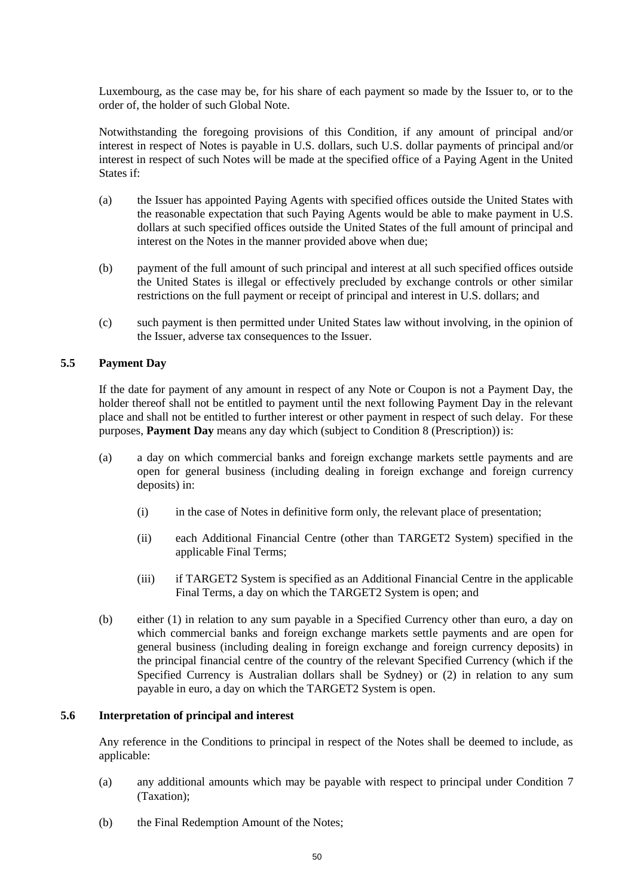Luxembourg, as the case may be, for his share of each payment so made by the Issuer to, or to the order of, the holder of such Global Note.

Notwithstanding the foregoing provisions of this Condition, if any amount of principal and/or interest in respect of Notes is payable in U.S. dollars, such U.S. dollar payments of principal and/or interest in respect of such Notes will be made at the specified office of a Paying Agent in the United States if:

- (a) the Issuer has appointed Paying Agents with specified offices outside the United States with the reasonable expectation that such Paying Agents would be able to make payment in U.S. dollars at such specified offices outside the United States of the full amount of principal and interest on the Notes in the manner provided above when due;
- (b) payment of the full amount of such principal and interest at all such specified offices outside the United States is illegal or effectively precluded by exchange controls or other similar restrictions on the full payment or receipt of principal and interest in U.S. dollars; and
- (c) such payment is then permitted under United States law without involving, in the opinion of the Issuer, adverse tax consequences to the Issuer.

# <span id="page-49-0"></span>**5.5 Payment Day**

If the date for payment of any amount in respect of any Note or Coupon is not a Payment Day, the holder thereof shall not be entitled to payment until the next following Payment Day in the relevant place and shall not be entitled to further interest or other payment in respect of such delay. For these purposes, **Payment Day** means any day which (subject to Condition [8](#page-54-0) [\(Prescription\)](#page-54-0)) is:

- (a) a day on which commercial banks and foreign exchange markets settle payments and are open for general business (including dealing in foreign exchange and foreign currency deposits) in:
	- (i) in the case of Notes in definitive form only, the relevant place of presentation;
	- (ii) each Additional Financial Centre (other than TARGET2 System) specified in the applicable Final Terms;
	- (iii) if TARGET2 System is specified as an Additional Financial Centre in the applicable Final Terms, a day on which the TARGET2 System is open; and
- (b) either (1) in relation to any sum payable in a Specified Currency other than euro, a day on which commercial banks and foreign exchange markets settle payments and are open for general business (including dealing in foreign exchange and foreign currency deposits) in the principal financial centre of the country of the relevant Specified Currency (which if the Specified Currency is Australian dollars shall be Sydney) or (2) in relation to any sum payable in euro, a day on which the TARGET2 System is open.

### **5.6 Interpretation of principal and interest**

Any reference in the Conditions to principal in respect of the Notes shall be deemed to include, as applicable:

- (a) any additional amounts which may be payable with respect to principal under Condition [7](#page-53-0) [\(Taxation\)](#page-53-0);
- (b) the Final Redemption Amount of the Notes;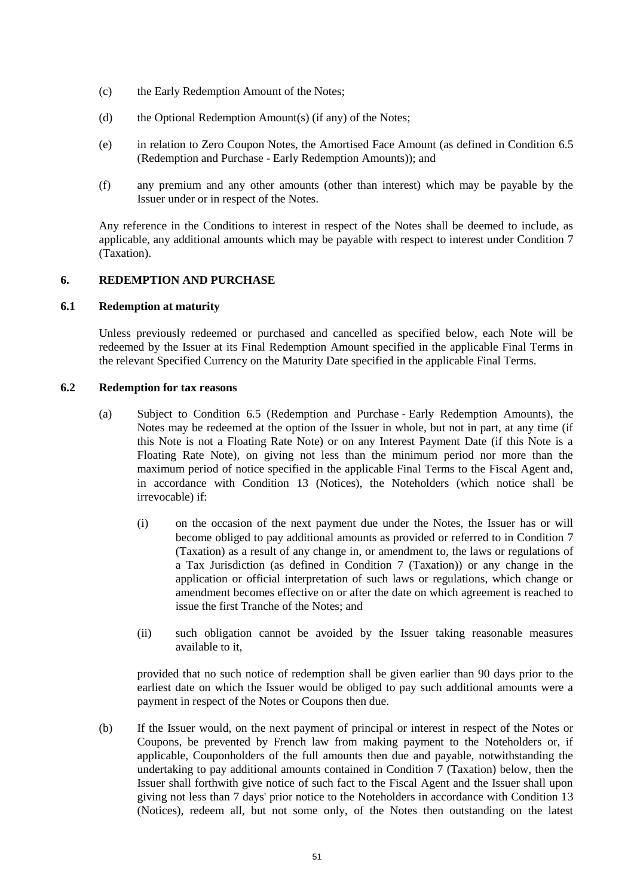- (c) the Early Redemption Amount of the Notes;
- (d) the Optional Redemption Amount(s) (if any) of the Notes;
- (e) in relation to Zero Coupon Notes, the Amortised Face Amount (as defined in Condition [6.5](#page-52-0) [\(Redemption and Purchase](#page-50-0) - [Early Redemption Amounts\)](#page-52-0)); and
- (f) any premium and any other amounts (other than interest) which may be payable by the Issuer under or in respect of the Notes.

Any reference in the Conditions to interest in respect of the Notes shall be deemed to include, as applicable, any additional amounts which may be payable with respect to interest under Condition [7](#page-53-0) [\(Taxation\)](#page-53-0).

# <span id="page-50-2"></span><span id="page-50-0"></span>**6. REDEMPTION AND PURCHASE**

# **6.1 Redemption at maturity**

Unless previously redeemed or purchased and cancelled as specified below, each Note will be redeemed by the Issuer at its Final Redemption Amount specified in the applicable Final Terms in the relevant Specified Currency on the Maturity Date specified in the applicable Final Terms.

### <span id="page-50-1"></span>**6.2 Redemption for tax reasons**

- (a) Subject to Condition [6.5](#page-52-0) [\(Redemption and Purchase](#page-50-0) [Early Redemption Amounts\)](#page-52-0), the Notes may be redeemed at the option of the Issuer in whole, but not in part, at any time (if this Note is not a Floating Rate Note) or on any Interest Payment Date (if this Note is a Floating Rate Note), on giving not less than the minimum period nor more than the maximum period of notice specified in the applicable Final Terms to the Fiscal Agent and, in accordance with Condition [13](#page-56-0) [\(Notices\)](#page-56-0), the Noteholders (which notice shall be irrevocable) if:
	- (i) on the occasion of the next payment due under the Notes, the Issuer has or will become obliged to pay additional amounts as provided or referred to in Condition [7](#page-53-0) [\(Taxation\)](#page-53-0) as a result of any change in, or amendment to, the laws or regulations of a Tax Jurisdiction (as defined in Condition [7](#page-53-0) [\(Taxation\)](#page-53-0)) or any change in the application or official interpretation of such laws or regulations, which change or amendment becomes effective on or after the date on which agreement is reached to issue the first Tranche of the Notes; and
	- (ii) such obligation cannot be avoided by the Issuer taking reasonable measures available to it,

provided that no such notice of redemption shall be given earlier than 90 days prior to the earliest date on which the Issuer would be obliged to pay such additional amounts were a payment in respect of the Notes or Coupons then due.

(b) If the Issuer would, on the next payment of principal or interest in respect of the Notes or Coupons, be prevented by French law from making payment to the Noteholders or, if applicable, Couponholders of the full amounts then due and payable, notwithstanding the undertaking to pay additional amounts contained in Condition 7 (Taxation) below, then the Issuer shall forthwith give notice of such fact to the Fiscal Agent and the Issuer shall upon giving not less than 7 days' prior notice to the Noteholders in accordance with Condition 13 (Notices), redeem all, but not some only, of the Notes then outstanding on the latest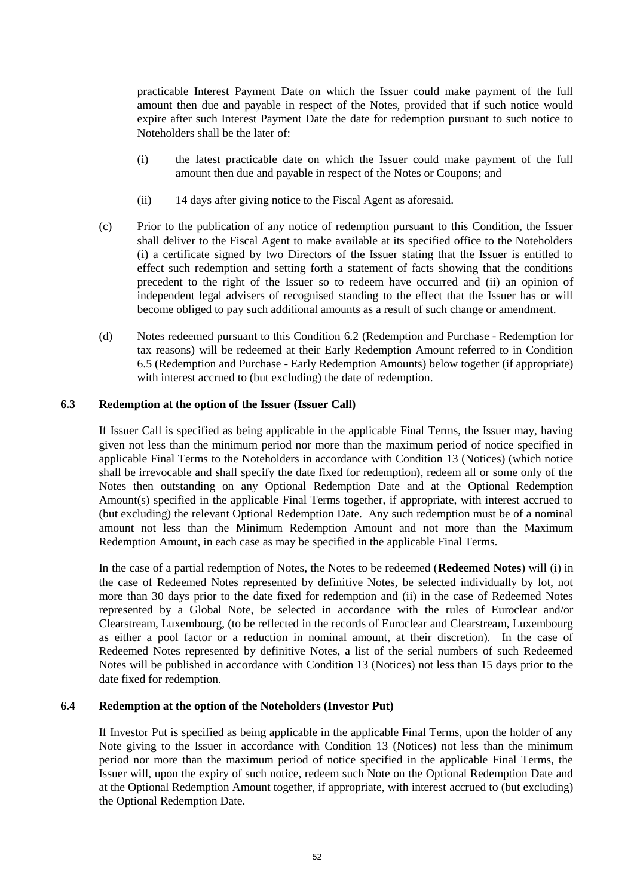practicable Interest Payment Date on which the Issuer could make payment of the full amount then due and payable in respect of the Notes, provided that if such notice would expire after such Interest Payment Date the date for redemption pursuant to such notice to Noteholders shall be the later of:

- (i) the latest practicable date on which the Issuer could make payment of the full amount then due and payable in respect of the Notes or Coupons; and
- (ii) 14 days after giving notice to the Fiscal Agent as aforesaid.
- (c) Prior to the publication of any notice of redemption pursuant to this Condition, the Issuer shall deliver to the Fiscal Agent to make available at its specified office to the Noteholders (i) a certificate signed by two Directors of the Issuer stating that the Issuer is entitled to effect such redemption and setting forth a statement of facts showing that the conditions precedent to the right of the Issuer so to redeem have occurred and (ii) an opinion of independent legal advisers of recognised standing to the effect that the Issuer has or will become obliged to pay such additional amounts as a result of such change or amendment.
- (d) Notes redeemed pursuant to this Condition [6.2](#page-50-1) [\(Redemption and Purchase](#page-50-0) [Redemption for](#page-50-1)  [tax reasons\)](#page-50-1) will be redeemed at their Early Redemption Amount referred to in Condition [6.5](#page-52-0) [\(Redemption and Purchase](#page-50-0) - [Early Redemption Amounts\)](#page-52-0) below together (if appropriate) with interest accrued to (but excluding) the date of redemption.

# <span id="page-51-1"></span>**6.3 Redemption at the option of the Issuer (Issuer Call)**

If Issuer Call is specified as being applicable in the applicable Final Terms, the Issuer may, having given not less than the minimum period nor more than the maximum period of notice specified in applicable Final Terms to the Noteholders in accordance with Condition [13](#page-56-0) (Notices) (which notice shall be irrevocable and shall specify the date fixed for redemption), redeem all or some only of the Notes then outstanding on any Optional Redemption Date and at the Optional Redemption Amount(s) specified in the applicable Final Terms together, if appropriate, with interest accrued to (but excluding) the relevant Optional Redemption Date. Any such redemption must be of a nominal amount not less than the Minimum Redemption Amount and not more than the Maximum Redemption Amount, in each case as may be specified in the applicable Final Terms.

In the case of a partial redemption of Notes, the Notes to be redeemed (**Redeemed Notes**) will (i) in the case of Redeemed Notes represented by definitive Notes, be selected individually by lot, not more than 30 days prior to the date fixed for redemption and (ii) in the case of Redeemed Notes represented by a Global Note, be selected in accordance with the rules of Euroclear and/or Clearstream, Luxembourg, (to be reflected in the records of Euroclear and Clearstream, Luxembourg as either a pool factor or a reduction in nominal amount, at their discretion). In the case of Redeemed Notes represented by definitive Notes, a list of the serial numbers of such Redeemed Notes will be published in accordance with Condition 13 [\(Notices\)](#page-56-0) not less than 15 days prior to the date fixed for redemption.

# <span id="page-51-0"></span>**6.4 Redemption at the option of the Noteholders (Investor Put)**

If Investor Put is specified as being applicable in the applicable Final Terms, upon the holder of any Note giving to the Issuer in accordance with Condition 13 [\(Notices\)](#page-56-0) not less than the minimum period nor more than the maximum period of notice specified in the applicable Final Terms, the Issuer will, upon the expiry of such notice, redeem such Note on the Optional Redemption Date and at the Optional Redemption Amount together, if appropriate, with interest accrued to (but excluding) the Optional Redemption Date.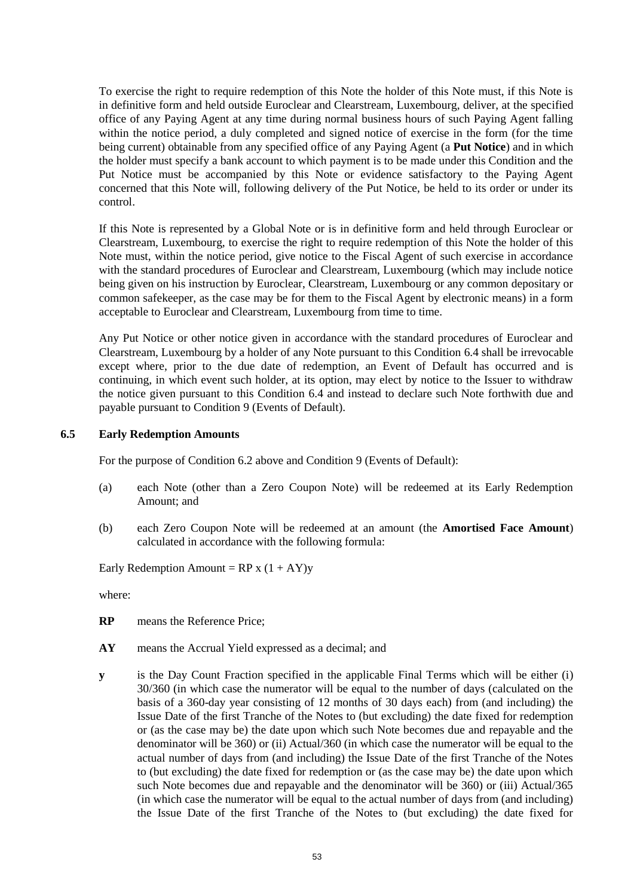To exercise the right to require redemption of this Note the holder of this Note must, if this Note is in definitive form and held outside Euroclear and Clearstream, Luxembourg, deliver, at the specified office of any Paying Agent at any time during normal business hours of such Paying Agent falling within the notice period, a duly completed and signed notice of exercise in the form (for the time being current) obtainable from any specified office of any Paying Agent (a **Put Notice**) and in which the holder must specify a bank account to which payment is to be made under this Condition and the Put Notice must be accompanied by this Note or evidence satisfactory to the Paying Agent concerned that this Note will, following delivery of the Put Notice, be held to its order or under its control.

If this Note is represented by a Global Note or is in definitive form and held through Euroclear or Clearstream, Luxembourg, to exercise the right to require redemption of this Note the holder of this Note must, within the notice period, give notice to the Fiscal Agent of such exercise in accordance with the standard procedures of Euroclear and Clearstream, Luxembourg (which may include notice being given on his instruction by Euroclear, Clearstream, Luxembourg or any common depositary or common safekeeper, as the case may be for them to the Fiscal Agent by electronic means) in a form acceptable to Euroclear and Clearstream, Luxembourg from time to time.

Any Put Notice or other notice given in accordance with the standard procedures of Euroclear and Clearstream, Luxembourg by a holder of any Note pursuant to this Conditio[n 6.4](#page-51-0) shall be irrevocable except where, prior to the due date of redemption, an Event of Default has occurred and is continuing, in which event such holder, at its option, may elect by notice to the Issuer to withdraw the notice given pursuant to this Condition [6.4](#page-51-0) and instead to declare such Note forthwith due and payable pursuant to Condition [9](#page-54-1) [\(Events of Default\)](#page-54-1).

### <span id="page-52-0"></span>**6.5 Early Redemption Amounts**

For the purpose of Condition [6.2 above](#page-50-1) and Condition [9](#page-54-1) [\(Events of Default\)](#page-54-1):

- (a) each Note (other than a Zero Coupon Note) will be redeemed at its Early Redemption Amount; and
- (b) each Zero Coupon Note will be redeemed at an amount (the **Amortised Face Amount**) calculated in accordance with the following formula:

Early Redemption Amount =  $RP x (1 + AY)y$ 

where:

**RP** means the Reference Price;

- **AY** means the Accrual Yield expressed as a decimal; and
- **y** is the Day Count Fraction specified in the applicable Final Terms which will be either (i) 30/360 (in which case the numerator will be equal to the number of days (calculated on the basis of a 360-day year consisting of 12 months of 30 days each) from (and including) the Issue Date of the first Tranche of the Notes to (but excluding) the date fixed for redemption or (as the case may be) the date upon which such Note becomes due and repayable and the denominator will be 360) or (ii) Actual/360 (in which case the numerator will be equal to the actual number of days from (and including) the Issue Date of the first Tranche of the Notes to (but excluding) the date fixed for redemption or (as the case may be) the date upon which such Note becomes due and repayable and the denominator will be 360) or (iii) Actual/365 (in which case the numerator will be equal to the actual number of days from (and including) the Issue Date of the first Tranche of the Notes to (but excluding) the date fixed for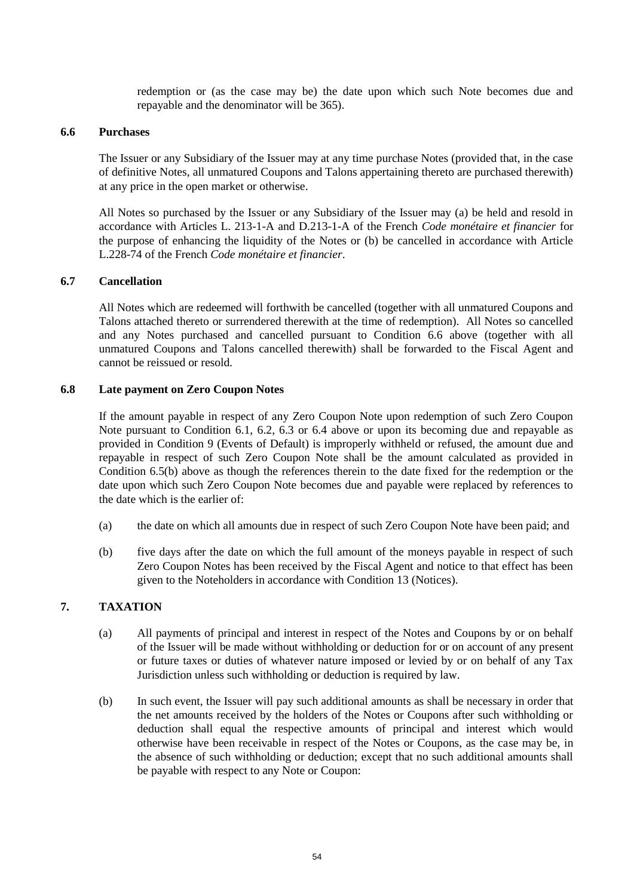redemption or (as the case may be) the date upon which such Note becomes due and repayable and the denominator will be 365).

### <span id="page-53-1"></span>**6.6 Purchases**

The Issuer or any Subsidiary of the Issuer may at any time purchase Notes (provided that, in the case of definitive Notes, all unmatured Coupons and Talons appertaining thereto are purchased therewith) at any price in the open market or otherwise.

All Notes so purchased by the Issuer or any Subsidiary of the Issuer may (a) be held and resold in accordance with Articles L. 213-1-A and D.213-1-A of the French *Code monétaire et financier* for the purpose of enhancing the liquidity of the Notes or (b) be cancelled in accordance with Article L.228-74 of the French *Code monétaire et financier*.

### **6.7 Cancellation**

All Notes which are redeemed will forthwith be cancelled (together with all unmatured Coupons and Talons attached thereto or surrendered therewith at the time of redemption). All Notes so cancelled and any Notes purchased and cancelled pursuant to Condition [6.6 above](#page-53-1) (together with all unmatured Coupons and Talons cancelled therewith) shall be forwarded to the Fiscal Agent and cannot be reissued or resold.

### **6.8 Late payment on Zero Coupon Notes**

If the amount payable in respect of any Zero Coupon Note upon redemption of such Zero Coupon Note pursuant to Condition [6.1,](#page-50-2) [6.2,](#page-50-1) [6.3](#page-51-1) or [6.4](#page-51-0) above or upon its becoming due and repayable as provided in Condition [9](#page-54-1) [\(Events of Default\)](#page-54-1) is improperly withheld or refused, the amount due and repayable in respect of such Zero Coupon Note shall be the amount calculated as provided in Condition [6.5\(b\)](#page-52-0) above as though the references therein to the date fixed for the redemption or the date upon which such Zero Coupon Note becomes due and payable were replaced by references to the date which is the earlier of:

- (a) the date on which all amounts due in respect of such Zero Coupon Note have been paid; and
- (b) five days after the date on which the full amount of the moneys payable in respect of such Zero Coupon Notes has been received by the Fiscal Agent and notice to that effect has been given to the Noteholders in accordance with Condition [13](#page-56-0) [\(Notices\)](#page-56-0).

# <span id="page-53-0"></span>**7. TAXATION**

- (a) All payments of principal and interest in respect of the Notes and Coupons by or on behalf of the Issuer will be made without withholding or deduction for or on account of any present or future taxes or duties of whatever nature imposed or levied by or on behalf of any Tax Jurisdiction unless such withholding or deduction is required by law.
- (b) In such event, the Issuer will pay such additional amounts as shall be necessary in order that the net amounts received by the holders of the Notes or Coupons after such withholding or deduction shall equal the respective amounts of principal and interest which would otherwise have been receivable in respect of the Notes or Coupons, as the case may be, in the absence of such withholding or deduction; except that no such additional amounts shall be payable with respect to any Note or Coupon: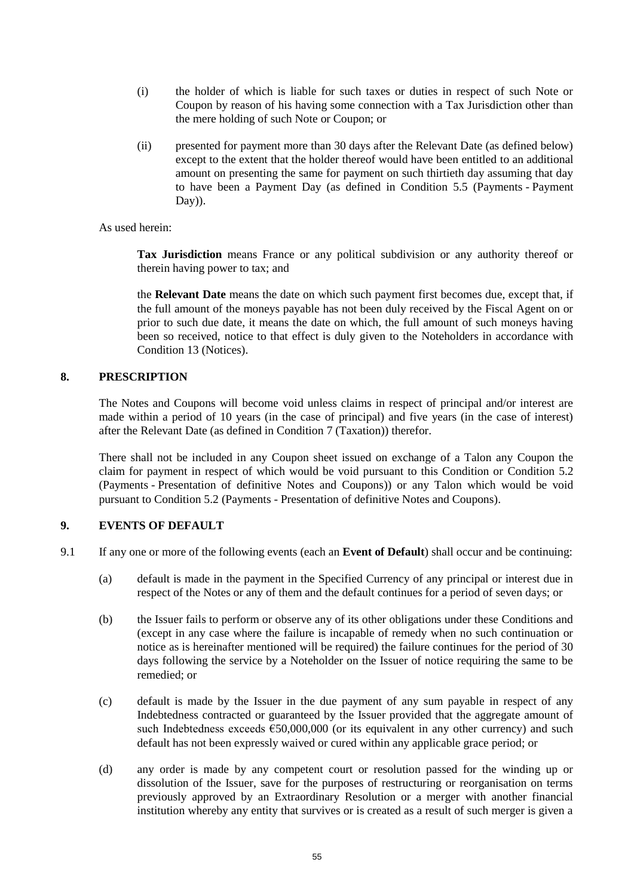- (i) the holder of which is liable for such taxes or duties in respect of such Note or Coupon by reason of his having some connection with a Tax Jurisdiction other than the mere holding of such Note or Coupon; or
- (ii) presented for payment more than 30 days after the Relevant Date (as defined below) except to the extent that the holder thereof would have been entitled to an additional amount on presenting the same for payment on such thirtieth day assuming that day to have been a Payment Day (as defined in Condition [5.5](#page-49-0) [\(Payments](#page-47-1) - [Payment](#page-49-0)  [Day\)](#page-49-0)).

# As used herein:

**Tax Jurisdiction** means France or any political subdivision or any authority thereof or therein having power to tax; and

the **Relevant Date** means the date on which such payment first becomes due, except that, if the full amount of the moneys payable has not been duly received by the Fiscal Agent on or prior to such due date, it means the date on which, the full amount of such moneys having been so received, notice to that effect is duly given to the Noteholders in accordance with Conditio[n 13](#page-56-0) [\(Notices\)](#page-56-0).

# <span id="page-54-0"></span>**8. PRESCRIPTION**

The Notes and Coupons will become void unless claims in respect of principal and/or interest are made within a period of 10 years (in the case of principal) and five years (in the case of interest) after the Relevant Date (as defined in Conditio[n 7](#page-53-0) [\(Taxation\)](#page-53-0)) therefor.

There shall not be included in any Coupon sheet issued on exchange of a Talon any Coupon the claim for payment in respect of which would be void pursuant to this Condition or Condition [5.2](#page-47-2) [\(Payments](#page-47-1) - [Presentation of definitive Notes and Coupons\)](#page-47-2)) or any Talon which would be void pursuant to Condition [5.2](#page-47-2) [\(Payments](#page-47-1) - [Presentation of definitive Notes and Coupons\)](#page-47-2).

# <span id="page-54-1"></span>**9. EVENTS OF DEFAULT**

- 9.1 If any one or more of the following events (each an **Event of Default**) shall occur and be continuing:
	- (a) default is made in the payment in the Specified Currency of any principal or interest due in respect of the Notes or any of them and the default continues for a period of seven days; or
	- (b) the Issuer fails to perform or observe any of its other obligations under these Conditions and (except in any case where the failure is incapable of remedy when no such continuation or notice as is hereinafter mentioned will be required) the failure continues for the period of 30 days following the service by a Noteholder on the Issuer of notice requiring the same to be remedied; or
	- (c) default is made by the Issuer in the due payment of any sum payable in respect of any Indebtedness contracted or guaranteed by the Issuer provided that the aggregate amount of such Indebtedness exceeds  $\epsilon$ 50,000,000 (or its equivalent in any other currency) and such default has not been expressly waived or cured within any applicable grace period; or
	- (d) any order is made by any competent court or resolution passed for the winding up or dissolution of the Issuer, save for the purposes of restructuring or reorganisation on terms previously approved by an Extraordinary Resolution or a merger with another financial institution whereby any entity that survives or is created as a result of such merger is given a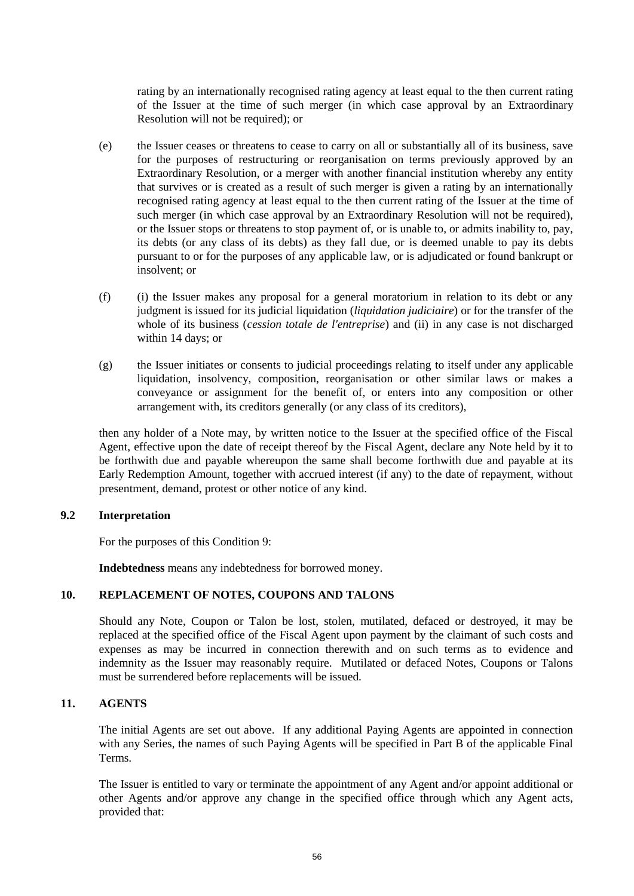rating by an internationally recognised rating agency at least equal to the then current rating of the Issuer at the time of such merger (in which case approval by an Extraordinary Resolution will not be required); or

- (e) the Issuer ceases or threatens to cease to carry on all or substantially all of its business, save for the purposes of restructuring or reorganisation on terms previously approved by an Extraordinary Resolution, or a merger with another financial institution whereby any entity that survives or is created as a result of such merger is given a rating by an internationally recognised rating agency at least equal to the then current rating of the Issuer at the time of such merger (in which case approval by an Extraordinary Resolution will not be required), or the Issuer stops or threatens to stop payment of, or is unable to, or admits inability to, pay, its debts (or any class of its debts) as they fall due, or is deemed unable to pay its debts pursuant to or for the purposes of any applicable law, or is adjudicated or found bankrupt or insolvent; or
- (f) (i) the Issuer makes any proposal for a general moratorium in relation to its debt or any judgment is issued for its judicial liquidation (*liquidation judiciaire*) or for the transfer of the whole of its business (*cession totale de l'entreprise*) and (ii) in any case is not discharged within 14 days; or
- (g) the Issuer initiates or consents to judicial proceedings relating to itself under any applicable liquidation, insolvency, composition, reorganisation or other similar laws or makes a conveyance or assignment for the benefit of, or enters into any composition or other arrangement with, its creditors generally (or any class of its creditors),

then any holder of a Note may, by written notice to the Issuer at the specified office of the Fiscal Agent, effective upon the date of receipt thereof by the Fiscal Agent, declare any Note held by it to be forthwith due and payable whereupon the same shall become forthwith due and payable at its Early Redemption Amount, together with accrued interest (if any) to the date of repayment, without presentment, demand, protest or other notice of any kind.

# **9.2 Interpretation**

For the purposes of this Condition 9:

**Indebtedness** means any indebtedness for borrowed money.

# **10. REPLACEMENT OF NOTES, COUPONS AND TALONS**

Should any Note, Coupon or Talon be lost, stolen, mutilated, defaced or destroyed, it may be replaced at the specified office of the Fiscal Agent upon payment by the claimant of such costs and expenses as may be incurred in connection therewith and on such terms as to evidence and indemnity as the Issuer may reasonably require. Mutilated or defaced Notes, Coupons or Talons must be surrendered before replacements will be issued.

# **11. AGENTS**

The initial Agents are set out above. If any additional Paying Agents are appointed in connection with any Series, the names of such Paying Agents will be specified in Part B of the applicable Final Terms.

The Issuer is entitled to vary or terminate the appointment of any Agent and/or appoint additional or other Agents and/or approve any change in the specified office through which any Agent acts, provided that: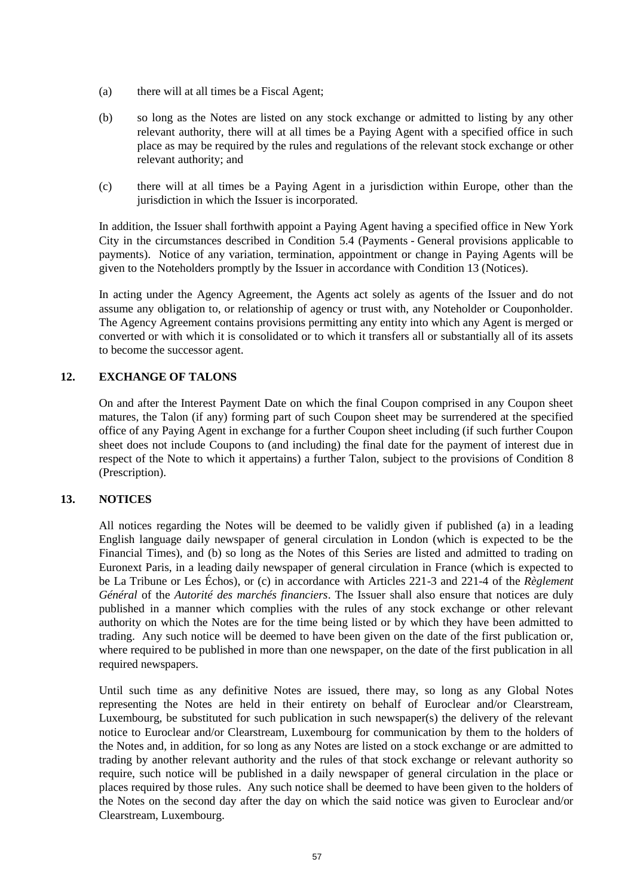- (a) there will at all times be a Fiscal Agent;
- (b) so long as the Notes are listed on any stock exchange or admitted to listing by any other relevant authority, there will at all times be a Paying Agent with a specified office in such place as may be required by the rules and regulations of the relevant stock exchange or other relevant authority; and
- (c) there will at all times be a Paying Agent in a jurisdiction within Europe, other than the jurisdiction in which the Issuer is incorporated.

In addition, the Issuer shall forthwith appoint a Paying Agent having a specified office in New York City in the circumstances described in Condition [5.4](#page-48-0) [\(Payments](#page-47-1) - [General provisions applicable to](#page-48-0)  [payments\)](#page-48-0). Notice of any variation, termination, appointment or change in Paying Agents will be given to the Noteholders promptly by the Issuer in accordance with Conditio[n 13](#page-56-0) [\(Notices\)](#page-56-0).

In acting under the Agency Agreement, the Agents act solely as agents of the Issuer and do not assume any obligation to, or relationship of agency or trust with, any Noteholder or Couponholder. The Agency Agreement contains provisions permitting any entity into which any Agent is merged or converted or with which it is consolidated or to which it transfers all or substantially all of its assets to become the successor agent.

# **12. EXCHANGE OF TALONS**

On and after the Interest Payment Date on which the final Coupon comprised in any Coupon sheet matures, the Talon (if any) forming part of such Coupon sheet may be surrendered at the specified office of any Paying Agent in exchange for a further Coupon sheet including (if such further Coupon sheet does not include Coupons to (and including) the final date for the payment of interest due in respect of the Note to which it appertains) a further Talon, subject to the provisions of Condition [8](#page-54-0) [\(Prescription\)](#page-54-0).

# <span id="page-56-0"></span>**13. NOTICES**

All notices regarding the Notes will be deemed to be validly given if published (a) in a leading English language daily newspaper of general circulation in London (which is expected to be the Financial Times), and (b) so long as the Notes of this Series are listed and admitted to trading on Euronext Paris, in a leading daily newspaper of general circulation in France (which is expected to be La Tribune or Les Échos), or (c) in accordance with Articles 221-3 and 221-4 of the *Règlement Général* of the *Autorité des marchés financiers*. The Issuer shall also ensure that notices are duly published in a manner which complies with the rules of any stock exchange or other relevant authority on which the Notes are for the time being listed or by which they have been admitted to trading. Any such notice will be deemed to have been given on the date of the first publication or, where required to be published in more than one newspaper, on the date of the first publication in all required newspapers.

Until such time as any definitive Notes are issued, there may, so long as any Global Notes representing the Notes are held in their entirety on behalf of Euroclear and/or Clearstream, Luxembourg, be substituted for such publication in such newspaper(s) the delivery of the relevant notice to Euroclear and/or Clearstream, Luxembourg for communication by them to the holders of the Notes and, in addition, for so long as any Notes are listed on a stock exchange or are admitted to trading by another relevant authority and the rules of that stock exchange or relevant authority so require, such notice will be published in a daily newspaper of general circulation in the place or places required by those rules. Any such notice shall be deemed to have been given to the holders of the Notes on the second day after the day on which the said notice was given to Euroclear and/or Clearstream, Luxembourg.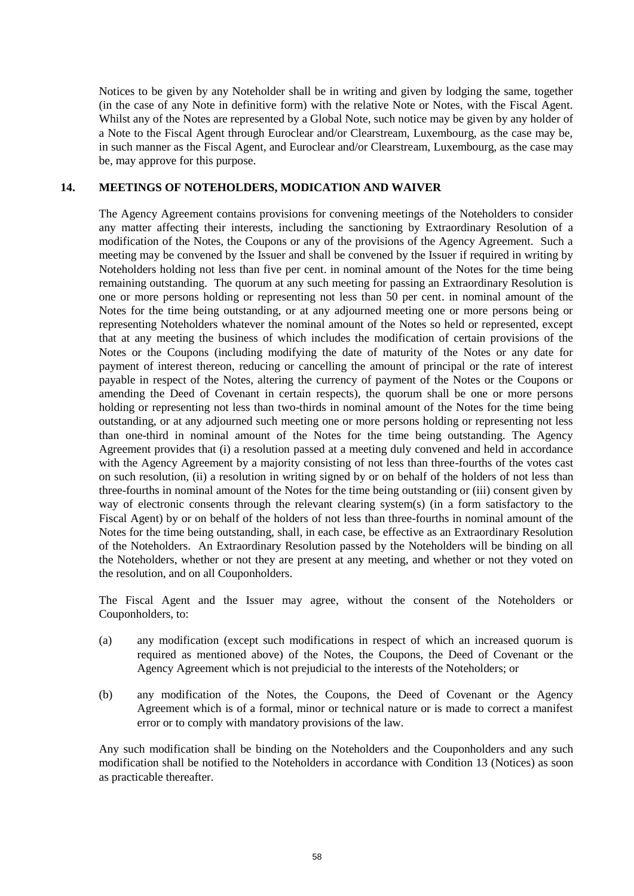Notices to be given by any Noteholder shall be in writing and given by lodging the same, together (in the case of any Note in definitive form) with the relative Note or Notes, with the Fiscal Agent. Whilst any of the Notes are represented by a Global Note, such notice may be given by any holder of a Note to the Fiscal Agent through Euroclear and/or Clearstream, Luxembourg, as the case may be, in such manner as the Fiscal Agent, and Euroclear and/or Clearstream, Luxembourg, as the case may be, may approve for this purpose.

### **14. MEETINGS OF NOTEHOLDERS, MODICATION AND WAIVER**

The Agency Agreement contains provisions for convening meetings of the Noteholders to consider any matter affecting their interests, including the sanctioning by Extraordinary Resolution of a modification of the Notes, the Coupons or any of the provisions of the Agency Agreement. Such a meeting may be convened by the Issuer and shall be convened by the Issuer if required in writing by Noteholders holding not less than five per cent. in nominal amount of the Notes for the time being remaining outstanding. The quorum at any such meeting for passing an Extraordinary Resolution is one or more persons holding or representing not less than 50 per cent. in nominal amount of the Notes for the time being outstanding, or at any adjourned meeting one or more persons being or representing Noteholders whatever the nominal amount of the Notes so held or represented, except that at any meeting the business of which includes the modification of certain provisions of the Notes or the Coupons (including modifying the date of maturity of the Notes or any date for payment of interest thereon, reducing or cancelling the amount of principal or the rate of interest payable in respect of the Notes, altering the currency of payment of the Notes or the Coupons or amending the Deed of Covenant in certain respects), the quorum shall be one or more persons holding or representing not less than two-thirds in nominal amount of the Notes for the time being outstanding, or at any adjourned such meeting one or more persons holding or representing not less than one-third in nominal amount of the Notes for the time being outstanding. The Agency Agreement provides that (i) a resolution passed at a meeting duly convened and held in accordance with the Agency Agreement by a majority consisting of not less than three-fourths of the votes cast on such resolution, (ii) a resolution in writing signed by or on behalf of the holders of not less than three-fourths in nominal amount of the Notes for the time being outstanding or (iii) consent given by way of electronic consents through the relevant clearing system(s) (in a form satisfactory to the Fiscal Agent) by or on behalf of the holders of not less than three-fourths in nominal amount of the Notes for the time being outstanding, shall, in each case, be effective as an Extraordinary Resolution of the Noteholders. An Extraordinary Resolution passed by the Noteholders will be binding on all the Noteholders, whether or not they are present at any meeting, and whether or not they voted on the resolution, and on all Couponholders.

The Fiscal Agent and the Issuer may agree, without the consent of the Noteholders or Couponholders, to:

- (a) any modification (except such modifications in respect of which an increased quorum is required as mentioned above) of the Notes, the Coupons, the Deed of Covenant or the Agency Agreement which is not prejudicial to the interests of the Noteholders; or
- (b) any modification of the Notes, the Coupons, the Deed of Covenant or the Agency Agreement which is of a formal, minor or technical nature or is made to correct a manifest error or to comply with mandatory provisions of the law.

Any such modification shall be binding on the Noteholders and the Couponholders and any such modification shall be notified to the Noteholders in accordance with Condition [13](#page-56-0) [\(Notices\)](#page-56-0) as soon as practicable thereafter.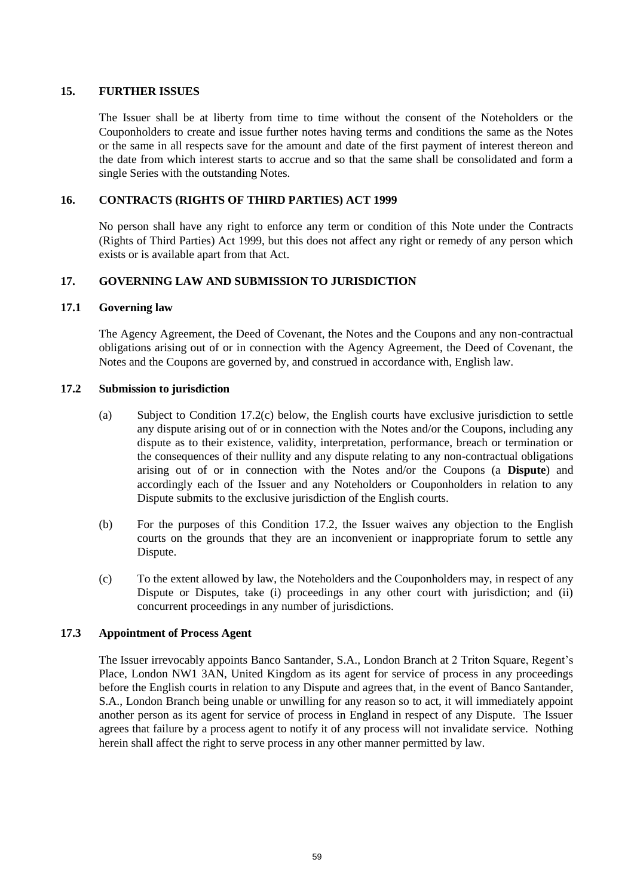# **15. FURTHER ISSUES**

The Issuer shall be at liberty from time to time without the consent of the Noteholders or the Couponholders to create and issue further notes having terms and conditions the same as the Notes or the same in all respects save for the amount and date of the first payment of interest thereon and the date from which interest starts to accrue and so that the same shall be consolidated and form a single Series with the outstanding Notes.

# **16. CONTRACTS (RIGHTS OF THIRD PARTIES) ACT 1999**

No person shall have any right to enforce any term or condition of this Note under the Contracts (Rights of Third Parties) Act 1999, but this does not affect any right or remedy of any person which exists or is available apart from that Act.

# **17. GOVERNING LAW AND SUBMISSION TO JURISDICTION**

# **17.1 Governing law**

The Agency Agreement, the Deed of Covenant, the Notes and the Coupons and any non-contractual obligations arising out of or in connection with the Agency Agreement, the Deed of Covenant, the Notes and the Coupons are governed by, and construed in accordance with, English law.

# <span id="page-58-0"></span>**17.2 Submission to jurisdiction**

- (a) Subject to Condition [17.2\(c\)](#page-58-0) below, the English courts have exclusive jurisdiction to settle any dispute arising out of or in connection with the Notes and/or the Coupons, including any dispute as to their existence, validity, interpretation, performance, breach or termination or the consequences of their nullity and any dispute relating to any non-contractual obligations arising out of or in connection with the Notes and/or the Coupons (a **Dispute**) and accordingly each of the Issuer and any Noteholders or Couponholders in relation to any Dispute submits to the exclusive jurisdiction of the English courts.
- (b) For the purposes of this Condition [17.2,](#page-58-0) the Issuer waives any objection to the English courts on the grounds that they are an inconvenient or inappropriate forum to settle any Dispute.
- (c) To the extent allowed by law, the Noteholders and the Couponholders may, in respect of any Dispute or Disputes, take (i) proceedings in any other court with jurisdiction; and (ii) concurrent proceedings in any number of jurisdictions.

# **17.3 Appointment of Process Agent**

The Issuer irrevocably appoints Banco Santander, S.A., London Branch at 2 Triton Square, Regent's Place, London NW1 3AN, United Kingdom as its agent for service of process in any proceedings before the English courts in relation to any Dispute and agrees that, in the event of Banco Santander, S.A., London Branch being unable or unwilling for any reason so to act, it will immediately appoint another person as its agent for service of process in England in respect of any Dispute. The Issuer agrees that failure by a process agent to notify it of any process will not invalidate service. Nothing herein shall affect the right to serve process in any other manner permitted by law.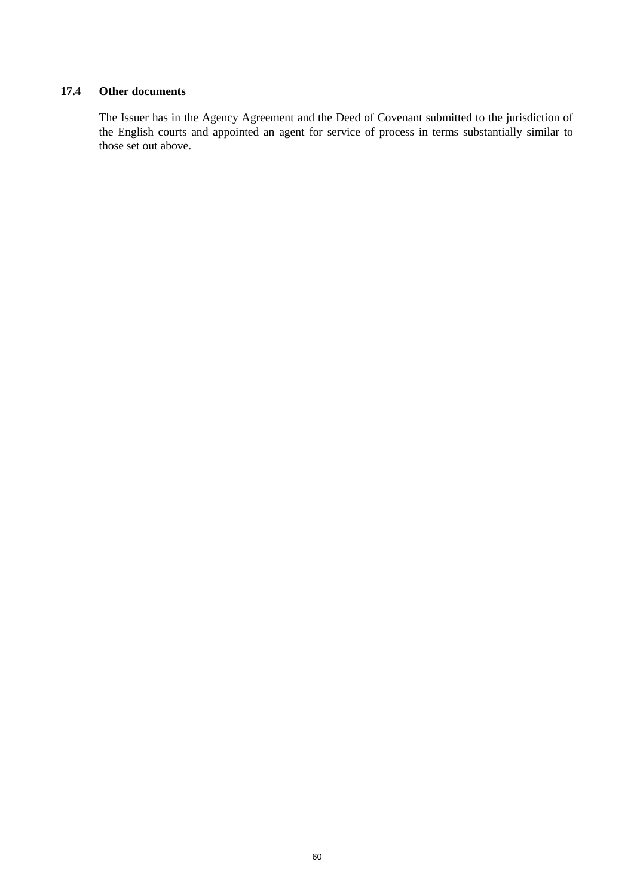# **17.4 Other documents**

The Issuer has in the Agency Agreement and the Deed of Covenant submitted to the jurisdiction of the English courts and appointed an agent for service of process in terms substantially similar to those set out above.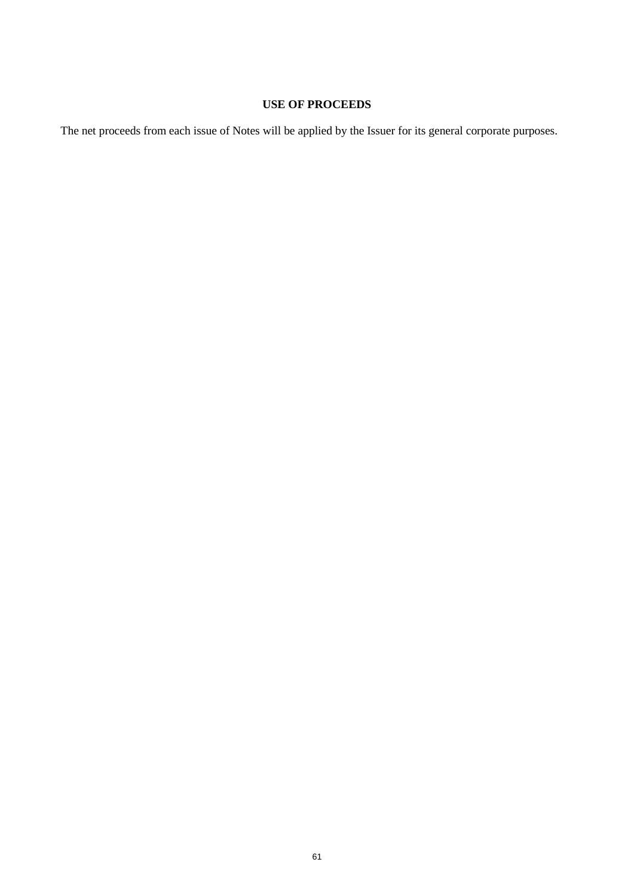# **USE OF PROCEEDS**

The net proceeds from each issue of Notes will be applied by the Issuer for its general corporate purposes.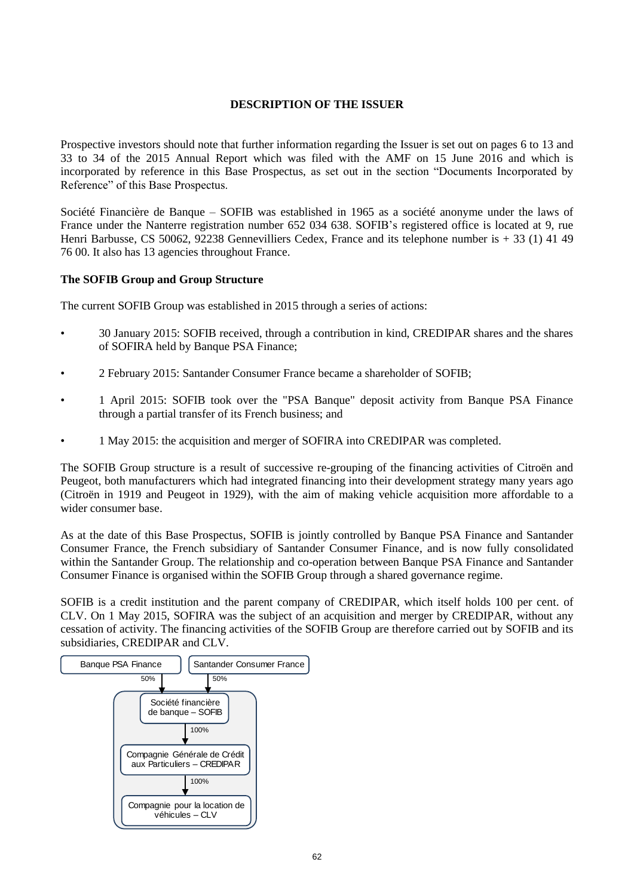# **DESCRIPTION OF THE ISSUER**

Prospective investors should note that further information regarding the Issuer is set out on pages 6 to 13 and 33 to 34 of the 2015 Annual Report which was filed with the AMF on 15 June 2016 and which is incorporated by reference in this Base Prospectus, as set out in the section "Documents Incorporated by Reference" of this Base Prospectus.

Société Financière de Banque – SOFIB was established in 1965 as a société anonyme under the laws of France under the Nanterre registration number 652 034 638. SOFIB's registered office is located at 9, rue Henri Barbusse, CS 50062, 92238 Gennevilliers Cedex, France and its telephone number is + 33 (1) 41 49 76 00. It also has 13 agencies throughout France.

# **The SOFIB Group and Group Structure**

The current SOFIB Group was established in 2015 through a series of actions:

- 30 January 2015: SOFIB received, through a contribution in kind, CREDIPAR shares and the shares of SOFIRA held by Banque PSA Finance;
- 2 February 2015: Santander Consumer France became a shareholder of SOFIB;
- 1 April 2015: SOFIB took over the "PSA Banque" deposit activity from Banque PSA Finance through a partial transfer of its French business; and
- 1 May 2015: the acquisition and merger of SOFIRA into CREDIPAR was completed.

The SOFIB Group structure is a result of successive re-grouping of the financing activities of Citroën and Peugeot, both manufacturers which had integrated financing into their development strategy many years ago (Citroën in 1919 and Peugeot in 1929), with the aim of making vehicle acquisition more affordable to a wider consumer base.

As at the date of this Base Prospectus, SOFIB is jointly controlled by Banque PSA Finance and Santander Consumer France, the French subsidiary of Santander Consumer Finance, and is now fully consolidated within the Santander Group. The relationship and co-operation between Banque PSA Finance and Santander Consumer Finance is organised within the SOFIB Group through a shared governance regime.

SOFIB is a credit institution and the parent company of CREDIPAR, which itself holds 100 per cent. of CLV. On 1 May 2015, SOFIRA was the subject of an acquisition and merger by CREDIPAR, without any cessation of activity. The financing activities of the SOFIB Group are therefore carried out by SOFIB and its subsidiaries, CREDIPAR and CLV.

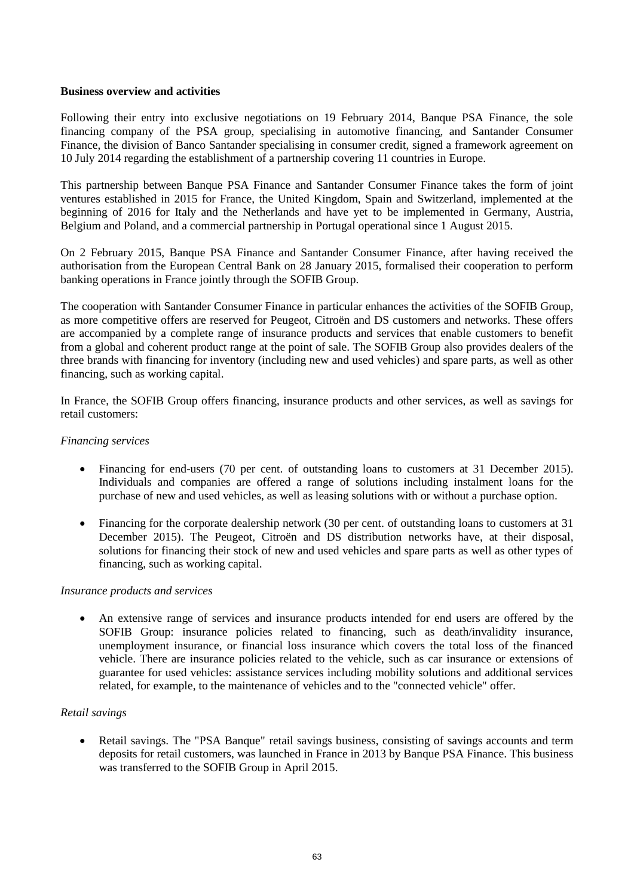### **Business overview and activities**

Following their entry into exclusive negotiations on 19 February 2014, Banque PSA Finance, the sole financing company of the PSA group, specialising in automotive financing, and Santander Consumer Finance, the division of Banco Santander specialising in consumer credit, signed a framework agreement on 10 July 2014 regarding the establishment of a partnership covering 11 countries in Europe.

This partnership between Banque PSA Finance and Santander Consumer Finance takes the form of joint ventures established in 2015 for France, the United Kingdom, Spain and Switzerland, implemented at the beginning of 2016 for Italy and the Netherlands and have yet to be implemented in Germany, Austria, Belgium and Poland, and a commercial partnership in Portugal operational since 1 August 2015.

On 2 February 2015, Banque PSA Finance and Santander Consumer Finance, after having received the authorisation from the European Central Bank on 28 January 2015, formalised their cooperation to perform banking operations in France jointly through the SOFIB Group.

The cooperation with Santander Consumer Finance in particular enhances the activities of the SOFIB Group, as more competitive offers are reserved for Peugeot, Citroën and DS customers and networks. These offers are accompanied by a complete range of insurance products and services that enable customers to benefit from a global and coherent product range at the point of sale. The SOFIB Group also provides dealers of the three brands with financing for inventory (including new and used vehicles) and spare parts, as well as other financing, such as working capital.

In France, the SOFIB Group offers financing, insurance products and other services, as well as savings for retail customers:

### *Financing services*

- Financing for end-users (70 per cent. of outstanding loans to customers at 31 December 2015). Individuals and companies are offered a range of solutions including instalment loans for the purchase of new and used vehicles, as well as leasing solutions with or without a purchase option.
- Financing for the corporate dealership network (30 per cent. of outstanding loans to customers at 31 December 2015). The Peugeot, Citroën and DS distribution networks have, at their disposal, solutions for financing their stock of new and used vehicles and spare parts as well as other types of financing, such as working capital.

# *Insurance products and services*

 An extensive range of services and insurance products intended for end users are offered by the SOFIB Group: insurance policies related to financing, such as death/invalidity insurance, unemployment insurance, or financial loss insurance which covers the total loss of the financed vehicle. There are insurance policies related to the vehicle, such as car insurance or extensions of guarantee for used vehicles: assistance services including mobility solutions and additional services related, for example, to the maintenance of vehicles and to the "connected vehicle" offer.

# *Retail savings*

 Retail savings. The "PSA Banque" retail savings business, consisting of savings accounts and term deposits for retail customers, was launched in France in 2013 by Banque PSA Finance. This business was transferred to the SOFIB Group in April 2015.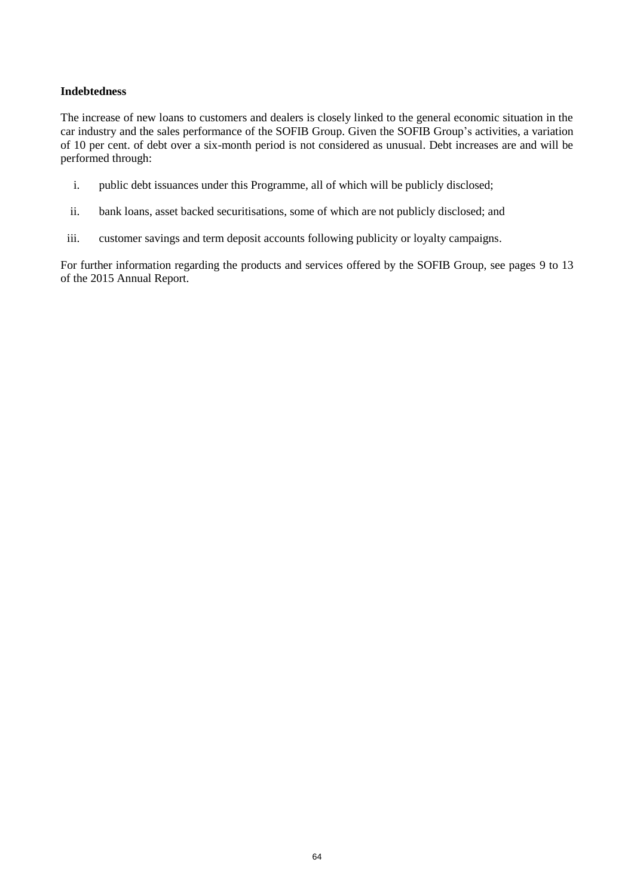# **Indebtedness**

The increase of new loans to customers and dealers is closely linked to the general economic situation in the car industry and the sales performance of the SOFIB Group. Given the SOFIB Group's activities, a variation of 10 per cent. of debt over a six-month period is not considered as unusual. Debt increases are and will be performed through:

- i. public debt issuances under this Programme, all of which will be publicly disclosed;
- ii. bank loans, asset backed securitisations, some of which are not publicly disclosed; and
- iii. customer savings and term deposit accounts following publicity or loyalty campaigns.

For further information regarding the products and services offered by the SOFIB Group, see pages 9 to 13 of the 2015 Annual Report.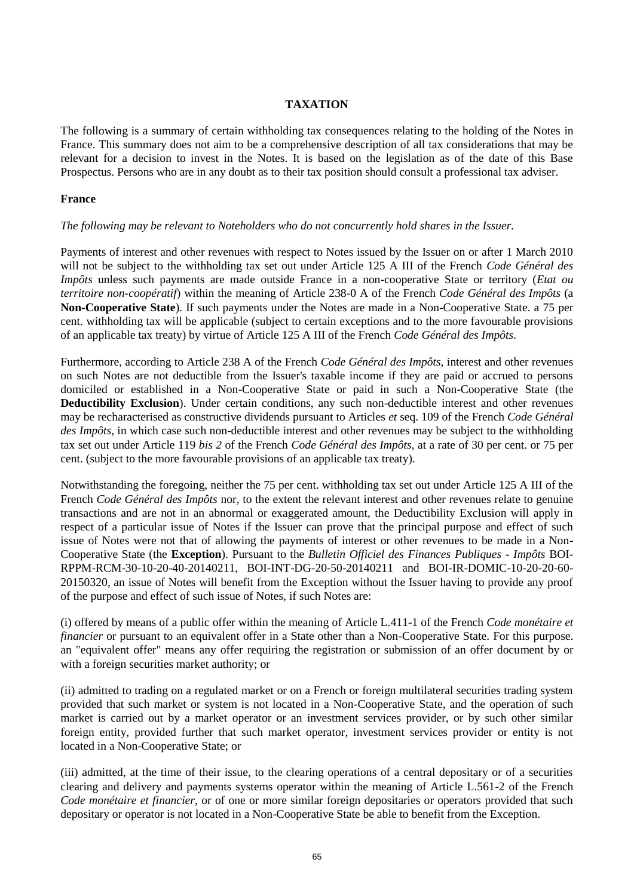# **TAXATION**

The following is a summary of certain withholding tax consequences relating to the holding of the Notes in France. This summary does not aim to be a comprehensive description of all tax considerations that may be relevant for a decision to invest in the Notes. It is based on the legislation as of the date of this Base Prospectus. Persons who are in any doubt as to their tax position should consult a professional tax adviser.

# **France**

# *The following may be relevant to Noteholders who do not concurrently hold shares in the Issuer.*

Payments of interest and other revenues with respect to Notes issued by the Issuer on or after 1 March 2010 will not be subject to the withholding tax set out under Article 125 A III of the French *Code Général des Impôts* unless such payments are made outside France in a non-cooperative State or territory (*Etat ou territoire non-coopératif*) within the meaning of Article 238-0 A of the French *Code Général des Impôts* (a **Non-Cooperative State**). If such payments under the Notes are made in a Non-Cooperative State. a 75 per cent. withholding tax will be applicable (subject to certain exceptions and to the more favourable provisions of an applicable tax treaty) by virtue of Article 125 A III of the French *Code Général des Impôts*.

Furthermore, according to Article 238 A of the French *Code Général des Impôts*, interest and other revenues on such Notes are not deductible from the Issuer's taxable income if they are paid or accrued to persons domiciled or established in a Non-Cooperative State or paid in such a Non-Cooperative State (the **Deductibility Exclusion**). Under certain conditions, any such non-deductible interest and other revenues may be recharacterised as constructive dividends pursuant to Articles *et* seq. 109 of the French *Code Général des Impôts*, in which case such non-deductible interest and other revenues may be subject to the withholding tax set out under Article 119 *bis 2* of the French *Code Général des Impôts*, at a rate of 30 per cent. or 75 per cent. (subject to the more favourable provisions of an applicable tax treaty).

Notwithstanding the foregoing, neither the 75 per cent. withholding tax set out under Article 125 A III of the French *Code Général des Impôts* nor, to the extent the relevant interest and other revenues relate to genuine transactions and are not in an abnormal or exaggerated amount, the Deductibility Exclusion will apply in respect of a particular issue of Notes if the Issuer can prove that the principal purpose and effect of such issue of Notes were not that of allowing the payments of interest or other revenues to be made in a Non-Cooperative State (the **Exception**). Pursuant to the *Bulletin Officiel des Finances Publiques - Impôts* BOI-RPPM-RCM-30-10-20-40-20140211, BOI-INT-DG-20-50-20140211 and BOI-IR-DOMIC-10-20-20-60- 20150320, an issue of Notes will benefit from the Exception without the Issuer having to provide any proof of the purpose and effect of such issue of Notes, if such Notes are:

(i) offered by means of a public offer within the meaning of Article L.411-1 of the French *Code monétaire et financier* or pursuant to an equivalent offer in a State other than a Non-Cooperative State. For this purpose. an "equivalent offer" means any offer requiring the registration or submission of an offer document by or with a foreign securities market authority; or

(ii) admitted to trading on a regulated market or on a French or foreign multilateral securities trading system provided that such market or system is not located in a Non-Cooperative State, and the operation of such market is carried out by a market operator or an investment services provider, or by such other similar foreign entity, provided further that such market operator, investment services provider or entity is not located in a Non-Cooperative State; or

(iii) admitted, at the time of their issue, to the clearing operations of a central depositary or of a securities clearing and delivery and payments systems operator within the meaning of Article L.561-2 of the French *Code monétaire et financier*, or of one or more similar foreign depositaries or operators provided that such depositary or operator is not located in a Non-Cooperative State be able to benefit from the Exception.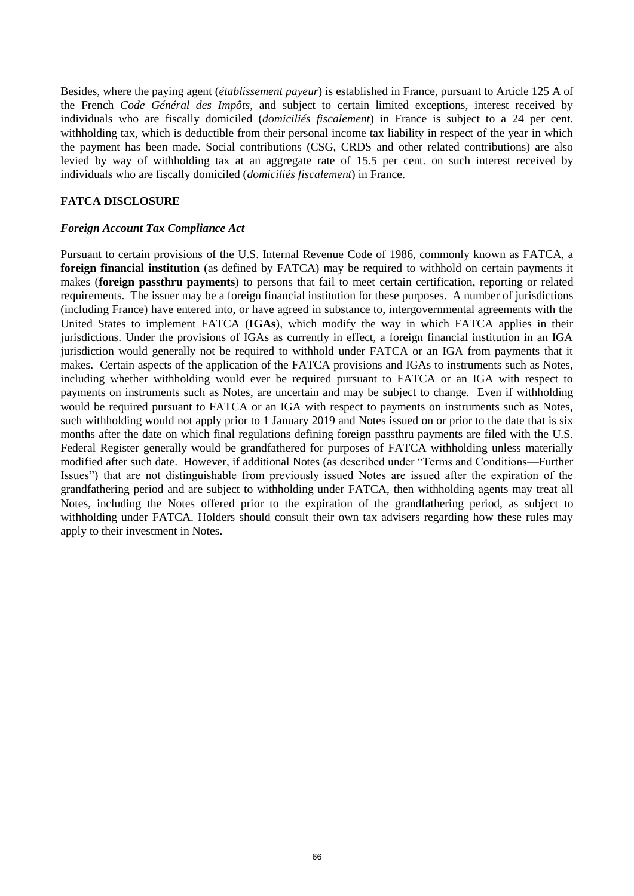Besides, where the paying agent (*établissement payeur*) is established in France, pursuant to Article 125 A of the French *Code Général des Impôts*, and subject to certain limited exceptions, interest received by individuals who are fiscally domiciled (*domiciliés fiscalement*) in France is subject to a 24 per cent. withholding tax, which is deductible from their personal income tax liability in respect of the year in which the payment has been made. Social contributions (CSG, CRDS and other related contributions) are also levied by way of withholding tax at an aggregate rate of 15.5 per cent. on such interest received by individuals who are fiscally domiciled (*domiciliés fiscalement*) in France.

# **FATCA DISCLOSURE**

### *Foreign Account Tax Compliance Act*

Pursuant to certain provisions of the U.S. Internal Revenue Code of 1986, commonly known as FATCA, a **foreign financial institution** (as defined by FATCA) may be required to withhold on certain payments it makes (**foreign passthru payments**) to persons that fail to meet certain certification, reporting or related requirements. The issuer may be a foreign financial institution for these purposes. A number of jurisdictions (including France) have entered into, or have agreed in substance to, intergovernmental agreements with the United States to implement FATCA (**IGAs**), which modify the way in which FATCA applies in their jurisdictions. Under the provisions of IGAs as currently in effect, a foreign financial institution in an IGA jurisdiction would generally not be required to withhold under FATCA or an IGA from payments that it makes. Certain aspects of the application of the FATCA provisions and IGAs to instruments such as Notes, including whether withholding would ever be required pursuant to FATCA or an IGA with respect to payments on instruments such as Notes, are uncertain and may be subject to change. Even if withholding would be required pursuant to FATCA or an IGA with respect to payments on instruments such as Notes, such withholding would not apply prior to 1 January 2019 and Notes issued on or prior to the date that is six months after the date on which final regulations defining foreign passthru payments are filed with the U.S. Federal Register generally would be grandfathered for purposes of FATCA withholding unless materially modified after such date. However, if additional Notes (as described under "Terms and Conditions—Further Issues") that are not distinguishable from previously issued Notes are issued after the expiration of the grandfathering period and are subject to withholding under FATCA, then withholding agents may treat all Notes, including the Notes offered prior to the expiration of the grandfathering period, as subject to withholding under FATCA. Holders should consult their own tax advisers regarding how these rules may apply to their investment in Notes.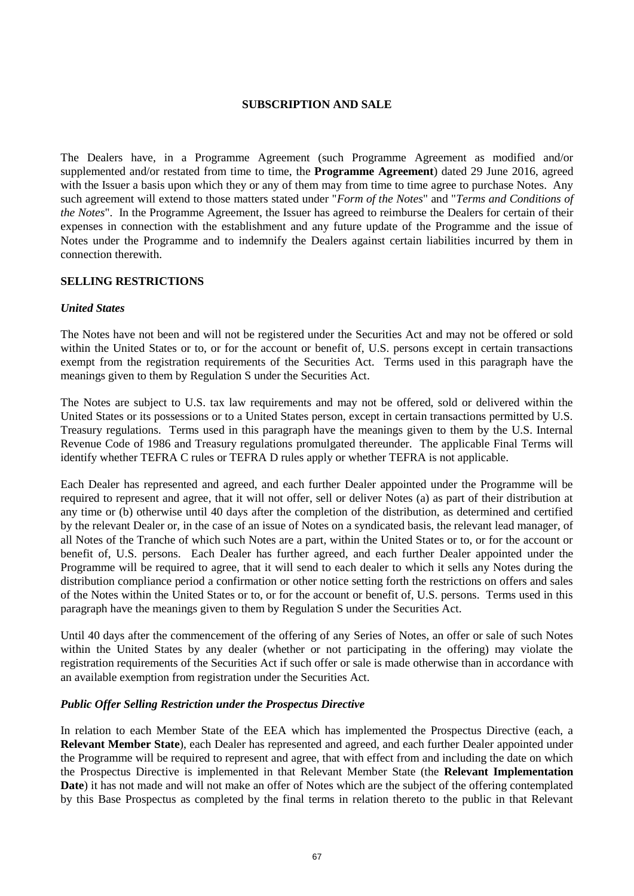# **SUBSCRIPTION AND SALE**

The Dealers have, in a Programme Agreement (such Programme Agreement as modified and/or supplemented and/or restated from time to time, the **Programme Agreement**) dated 29 June 2016, agreed with the Issuer a basis upon which they or any of them may from time to time agree to purchase Notes. Any such agreement will extend to those matters stated under "*Form of the Notes*" and "*Terms and Conditions of the Notes*". In the Programme Agreement, the Issuer has agreed to reimburse the Dealers for certain of their expenses in connection with the establishment and any future update of the Programme and the issue of Notes under the Programme and to indemnify the Dealers against certain liabilities incurred by them in connection therewith.

### **SELLING RESTRICTIONS**

### *United States*

The Notes have not been and will not be registered under the Securities Act and may not be offered or sold within the United States or to, or for the account or benefit of, U.S. persons except in certain transactions exempt from the registration requirements of the Securities Act. Terms used in this paragraph have the meanings given to them by Regulation S under the Securities Act.

The Notes are subject to U.S. tax law requirements and may not be offered, sold or delivered within the United States or its possessions or to a United States person, except in certain transactions permitted by U.S. Treasury regulations. Terms used in this paragraph have the meanings given to them by the U.S. Internal Revenue Code of 1986 and Treasury regulations promulgated thereunder. The applicable Final Terms will identify whether TEFRA C rules or TEFRA D rules apply or whether TEFRA is not applicable.

Each Dealer has represented and agreed, and each further Dealer appointed under the Programme will be required to represent and agree, that it will not offer, sell or deliver Notes (a) as part of their distribution at any time or (b) otherwise until 40 days after the completion of the distribution, as determined and certified by the relevant Dealer or, in the case of an issue of Notes on a syndicated basis, the relevant lead manager, of all Notes of the Tranche of which such Notes are a part, within the United States or to, or for the account or benefit of, U.S. persons. Each Dealer has further agreed, and each further Dealer appointed under the Programme will be required to agree, that it will send to each dealer to which it sells any Notes during the distribution compliance period a confirmation or other notice setting forth the restrictions on offers and sales of the Notes within the United States or to, or for the account or benefit of, U.S. persons. Terms used in this paragraph have the meanings given to them by Regulation S under the Securities Act.

Until 40 days after the commencement of the offering of any Series of Notes, an offer or sale of such Notes within the United States by any dealer (whether or not participating in the offering) may violate the registration requirements of the Securities Act if such offer or sale is made otherwise than in accordance with an available exemption from registration under the Securities Act.

# *Public Offer Selling Restriction under the Prospectus Directive*

In relation to each Member State of the EEA which has implemented the Prospectus Directive (each, a **Relevant Member State**), each Dealer has represented and agreed, and each further Dealer appointed under the Programme will be required to represent and agree, that with effect from and including the date on which the Prospectus Directive is implemented in that Relevant Member State (the **Relevant Implementation Date**) it has not made and will not make an offer of Notes which are the subject of the offering contemplated by this Base Prospectus as completed by the final terms in relation thereto to the public in that Relevant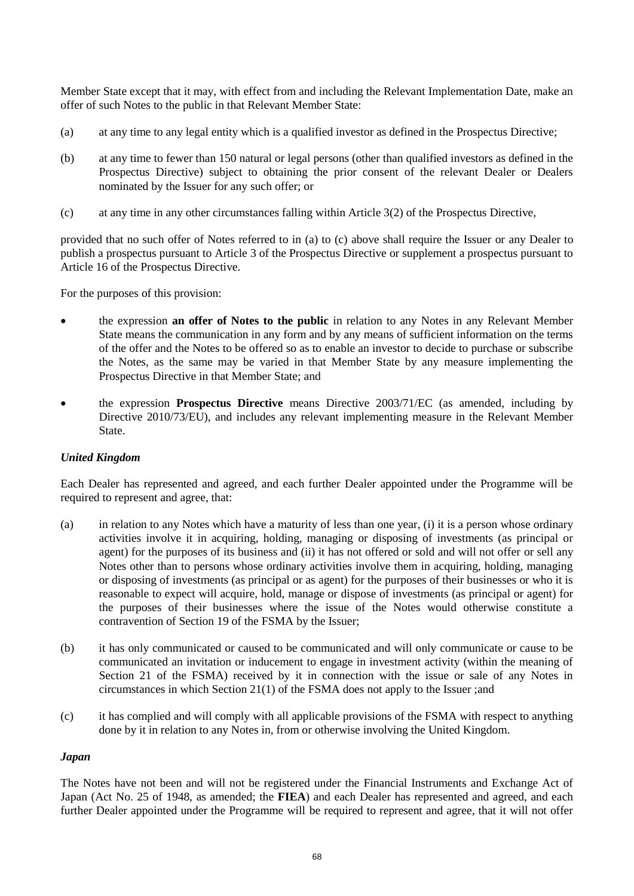Member State except that it may, with effect from and including the Relevant Implementation Date, make an offer of such Notes to the public in that Relevant Member State:

- <span id="page-67-0"></span>(a) at any time to any legal entity which is a qualified investor as defined in the Prospectus Directive;
- (b) at any time to fewer than 150 natural or legal persons (other than qualified investors as defined in the Prospectus Directive) subject to obtaining the prior consent of the relevant Dealer or Dealers nominated by the Issuer for any such offer; or
- <span id="page-67-1"></span>(c) at any time in any other circumstances falling within Article 3(2) of the Prospectus Directive,

provided that no such offer of Notes referred to in [\(a\)](#page-67-0) to [\(c\)](#page-67-1) above shall require the Issuer or any Dealer to publish a prospectus pursuant to Article 3 of the Prospectus Directive or supplement a prospectus pursuant to Article 16 of the Prospectus Directive.

For the purposes of this provision:

- the expression **an offer of Notes to the public** in relation to any Notes in any Relevant Member State means the communication in any form and by any means of sufficient information on the terms of the offer and the Notes to be offered so as to enable an investor to decide to purchase or subscribe the Notes, as the same may be varied in that Member State by any measure implementing the Prospectus Directive in that Member State; and
- the expression **Prospectus Directive** means Directive 2003/71/EC (as amended, including by Directive 2010/73/EU), and includes any relevant implementing measure in the Relevant Member **State**

# *United Kingdom*

Each Dealer has represented and agreed, and each further Dealer appointed under the Programme will be required to represent and agree, that:

- (a) in relation to any Notes which have a maturity of less than one year, (i) it is a person whose ordinary activities involve it in acquiring, holding, managing or disposing of investments (as principal or agent) for the purposes of its business and (ii) it has not offered or sold and will not offer or sell any Notes other than to persons whose ordinary activities involve them in acquiring, holding, managing or disposing of investments (as principal or as agent) for the purposes of their businesses or who it is reasonable to expect will acquire, hold, manage or dispose of investments (as principal or agent) for the purposes of their businesses where the issue of the Notes would otherwise constitute a contravention of Section 19 of the FSMA by the Issuer;
- (b) it has only communicated or caused to be communicated and will only communicate or cause to be communicated an invitation or inducement to engage in investment activity (within the meaning of Section 21 of the FSMA) received by it in connection with the issue or sale of any Notes in circumstances in which Section 21(1) of the FSMA does not apply to the Issuer ;and
- (c) it has complied and will comply with all applicable provisions of the FSMA with respect to anything done by it in relation to any Notes in, from or otherwise involving the United Kingdom.

#### *Japan*

The Notes have not been and will not be registered under the Financial Instruments and Exchange Act of Japan (Act No. 25 of 1948, as amended; the **FIEA**) and each Dealer has represented and agreed, and each further Dealer appointed under the Programme will be required to represent and agree, that it will not offer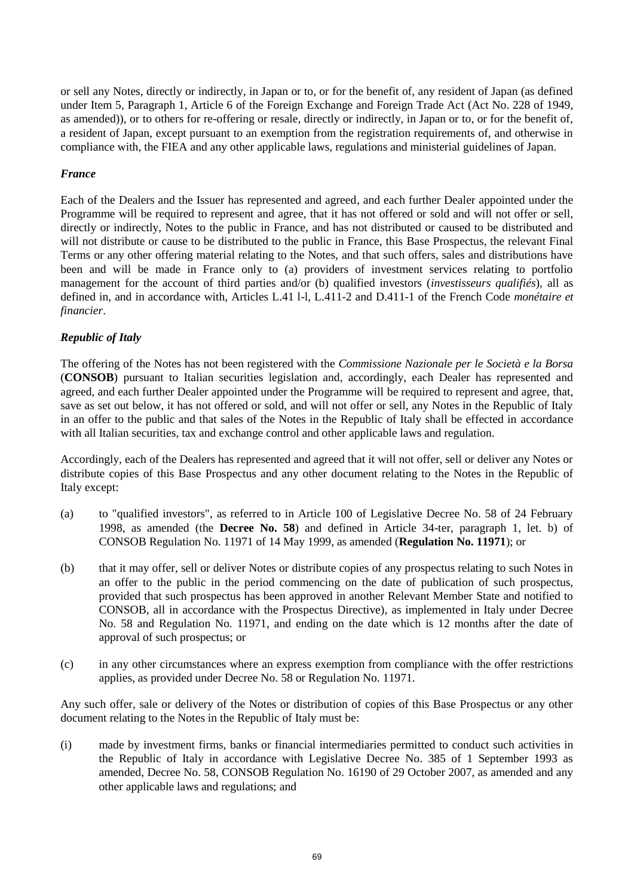or sell any Notes, directly or indirectly, in Japan or to, or for the benefit of, any resident of Japan (as defined under Item 5, Paragraph 1, Article 6 of the Foreign Exchange and Foreign Trade Act (Act No. 228 of 1949, as amended)), or to others for re-offering or resale, directly or indirectly, in Japan or to, or for the benefit of, a resident of Japan, except pursuant to an exemption from the registration requirements of, and otherwise in compliance with, the FIEA and any other applicable laws, regulations and ministerial guidelines of Japan.

# *France*

Each of the Dealers and the Issuer has represented and agreed, and each further Dealer appointed under the Programme will be required to represent and agree, that it has not offered or sold and will not offer or sell, directly or indirectly, Notes to the public in France, and has not distributed or caused to be distributed and will not distribute or cause to be distributed to the public in France, this Base Prospectus, the relevant Final Terms or any other offering material relating to the Notes, and that such offers, sales and distributions have been and will be made in France only to (a) providers of investment services relating to portfolio management for the account of third parties and/or (b) qualified investors (*investisseurs qualifiés*), all as defined in, and in accordance with, Articles L.41 l-l, L.411-2 and D.411-1 of the French Code *monétaire et financier*.

# *Republic of Italy*

The offering of the Notes has not been registered with the *Commissione Nazionale per le Società e la Borsa* (**CONSOB**) pursuant to Italian securities legislation and, accordingly, each Dealer has represented and agreed, and each further Dealer appointed under the Programme will be required to represent and agree, that, save as set out below, it has not offered or sold, and will not offer or sell, any Notes in the Republic of Italy in an offer to the public and that sales of the Notes in the Republic of Italy shall be effected in accordance with all Italian securities, tax and exchange control and other applicable laws and regulation.

Accordingly, each of the Dealers has represented and agreed that it will not offer, sell or deliver any Notes or distribute copies of this Base Prospectus and any other document relating to the Notes in the Republic of Italy except:

- (a) to "qualified investors", as referred to in Article 100 of Legislative Decree No. 58 of 24 February 1998, as amended (the **Decree No. 58**) and defined in Article 34-ter, paragraph 1, let. b) of CONSOB Regulation No. 11971 of 14 May 1999, as amended (**Regulation No. 11971**); or
- (b) that it may offer, sell or deliver Notes or distribute copies of any prospectus relating to such Notes in an offer to the public in the period commencing on the date of publication of such prospectus, provided that such prospectus has been approved in another Relevant Member State and notified to CONSOB, all in accordance with the Prospectus Directive), as implemented in Italy under Decree No. 58 and Regulation No. 11971, and ending on the date which is 12 months after the date of approval of such prospectus; or
- (c) in any other circumstances where an express exemption from compliance with the offer restrictions applies, as provided under Decree No. 58 or Regulation No. 11971.

Any such offer, sale or delivery of the Notes or distribution of copies of this Base Prospectus or any other document relating to the Notes in the Republic of Italy must be:

(i) made by investment firms, banks or financial intermediaries permitted to conduct such activities in the Republic of Italy in accordance with Legislative Decree No. 385 of 1 September 1993 as amended, Decree No. 58, CONSOB Regulation No. 16190 of 29 October 2007, as amended and any other applicable laws and regulations; and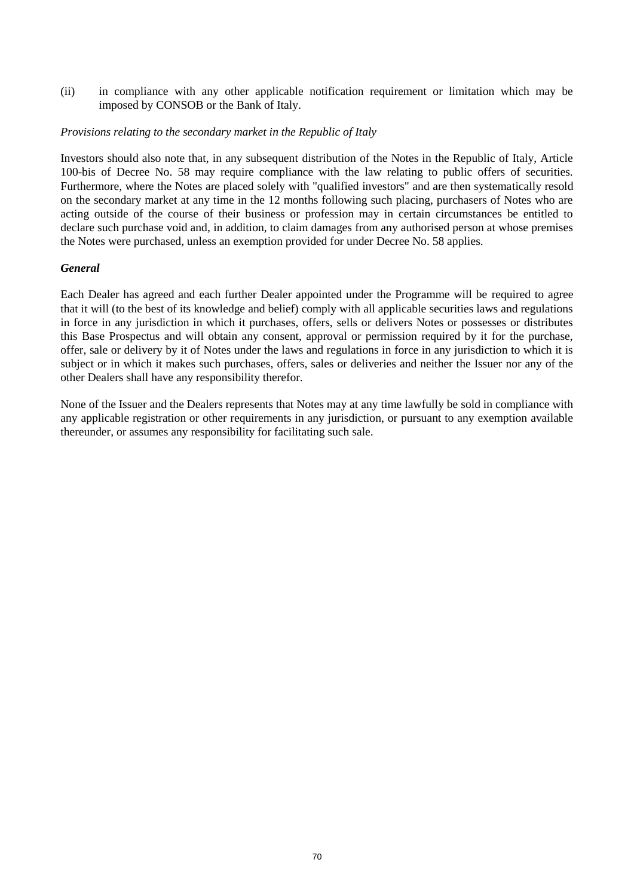(ii) in compliance with any other applicable notification requirement or limitation which may be imposed by CONSOB or the Bank of Italy.

### *Provisions relating to the secondary market in the Republic of Italy*

Investors should also note that, in any subsequent distribution of the Notes in the Republic of Italy, Article 100-bis of Decree No. 58 may require compliance with the law relating to public offers of securities. Furthermore, where the Notes are placed solely with "qualified investors" and are then systematically resold on the secondary market at any time in the 12 months following such placing, purchasers of Notes who are acting outside of the course of their business or profession may in certain circumstances be entitled to declare such purchase void and, in addition, to claim damages from any authorised person at whose premises the Notes were purchased, unless an exemption provided for under Decree No. 58 applies.

# *General*

Each Dealer has agreed and each further Dealer appointed under the Programme will be required to agree that it will (to the best of its knowledge and belief) comply with all applicable securities laws and regulations in force in any jurisdiction in which it purchases, offers, sells or delivers Notes or possesses or distributes this Base Prospectus and will obtain any consent, approval or permission required by it for the purchase, offer, sale or delivery by it of Notes under the laws and regulations in force in any jurisdiction to which it is subject or in which it makes such purchases, offers, sales or deliveries and neither the Issuer nor any of the other Dealers shall have any responsibility therefor.

None of the Issuer and the Dealers represents that Notes may at any time lawfully be sold in compliance with any applicable registration or other requirements in any jurisdiction, or pursuant to any exemption available thereunder, or assumes any responsibility for facilitating such sale.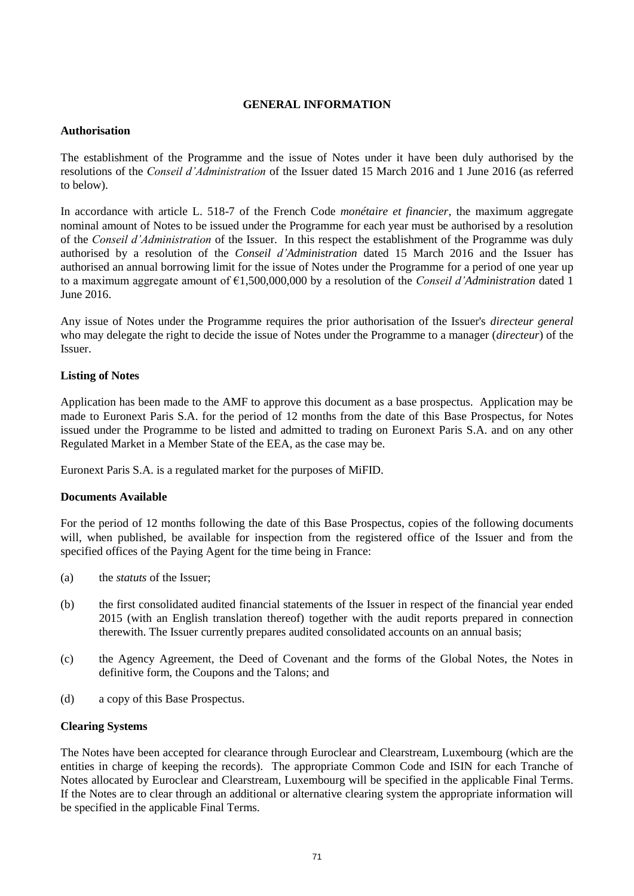# **GENERAL INFORMATION**

# **Authorisation**

The establishment of the Programme and the issue of Notes under it have been duly authorised by the resolutions of the *Conseil d'Administration* of the Issuer dated 15 March 2016 and 1 June 2016 (as referred to below).

In accordance with article L. 518-7 of the French Code *monétaire et financier*, the maximum aggregate nominal amount of Notes to be issued under the Programme for each year must be authorised by a resolution of the *Conseil d'Administration* of the Issuer. In this respect the establishment of the Programme was duly authorised by a resolution of the *Conseil d'Administration* dated 15 March 2016 and the Issuer has authorised an annual borrowing limit for the issue of Notes under the Programme for a period of one year up to a maximum aggregate amount of €1,500,000,000 by a resolution of the *Conseil d'Administration* dated 1 June 2016.

Any issue of Notes under the Programme requires the prior authorisation of the Issuer's *directeur general* who may delegate the right to decide the issue of Notes under the Programme to a manager (*directeur*) of the Issuer.

# **Listing of Notes**

Application has been made to the AMF to approve this document as a base prospectus. Application may be made to Euronext Paris S.A. for the period of 12 months from the date of this Base Prospectus, for Notes issued under the Programme to be listed and admitted to trading on Euronext Paris S.A. and on any other Regulated Market in a Member State of the EEA, as the case may be.

Euronext Paris S.A. is a regulated market for the purposes of MiFID.

# **Documents Available**

For the period of 12 months following the date of this Base Prospectus, copies of the following documents will, when published, be available for inspection from the registered office of the Issuer and from the specified offices of the Paying Agent for the time being in France:

- (a) the *statuts* of the Issuer;
- (b) the first consolidated audited financial statements of the Issuer in respect of the financial year ended 2015 (with an English translation thereof) together with the audit reports prepared in connection therewith. The Issuer currently prepares audited consolidated accounts on an annual basis;
- (c) the Agency Agreement, the Deed of Covenant and the forms of the Global Notes, the Notes in definitive form, the Coupons and the Talons; and
- (d) a copy of this Base Prospectus.

# **Clearing Systems**

The Notes have been accepted for clearance through Euroclear and Clearstream, Luxembourg (which are the entities in charge of keeping the records). The appropriate Common Code and ISIN for each Tranche of Notes allocated by Euroclear and Clearstream, Luxembourg will be specified in the applicable Final Terms. If the Notes are to clear through an additional or alternative clearing system the appropriate information will be specified in the applicable Final Terms.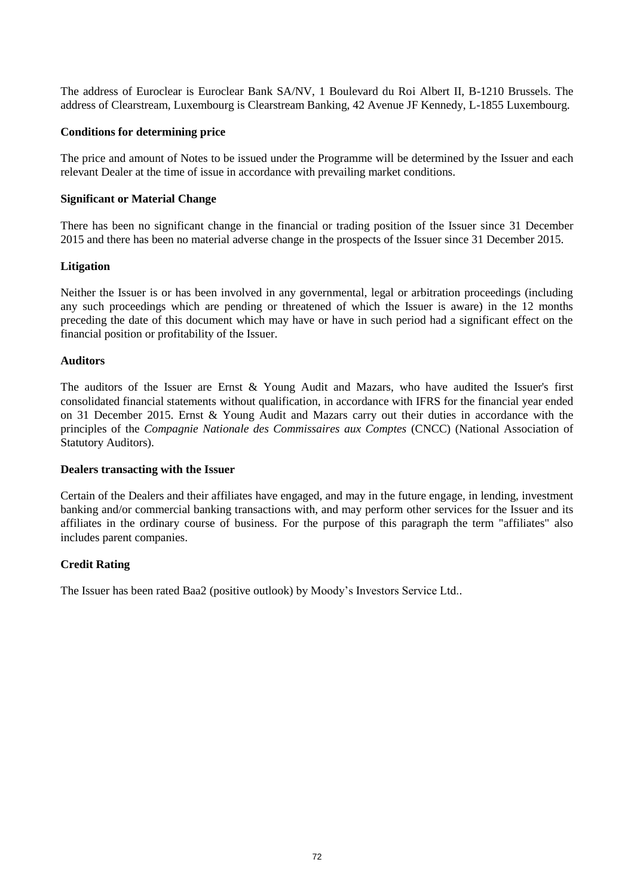The address of Euroclear is Euroclear Bank SA/NV, 1 Boulevard du Roi Albert II, B-1210 Brussels. The address of Clearstream, Luxembourg is Clearstream Banking, 42 Avenue JF Kennedy, L-1855 Luxembourg.

### **Conditions for determining price**

The price and amount of Notes to be issued under the Programme will be determined by the Issuer and each relevant Dealer at the time of issue in accordance with prevailing market conditions.

### **Significant or Material Change**

There has been no significant change in the financial or trading position of the Issuer since 31 December 2015 and there has been no material adverse change in the prospects of the Issuer since 31 December 2015.

### **Litigation**

Neither the Issuer is or has been involved in any governmental, legal or arbitration proceedings (including any such proceedings which are pending or threatened of which the Issuer is aware) in the 12 months preceding the date of this document which may have or have in such period had a significant effect on the financial position or profitability of the Issuer.

### **Auditors**

The auditors of the Issuer are Ernst & Young Audit and Mazars, who have audited the Issuer's first consolidated financial statements without qualification, in accordance with IFRS for the financial year ended on 31 December 2015. Ernst & Young Audit and Mazars carry out their duties in accordance with the principles of the *Compagnie Nationale des Commissaires aux Comptes* (CNCC) (National Association of Statutory Auditors).

#### **Dealers transacting with the Issuer**

Certain of the Dealers and their affiliates have engaged, and may in the future engage, in lending, investment banking and/or commercial banking transactions with, and may perform other services for the Issuer and its affiliates in the ordinary course of business. For the purpose of this paragraph the term "affiliates" also includes parent companies.

# **Credit Rating**

The Issuer has been rated Baa2 (positive outlook) by Moody's Investors Service Ltd..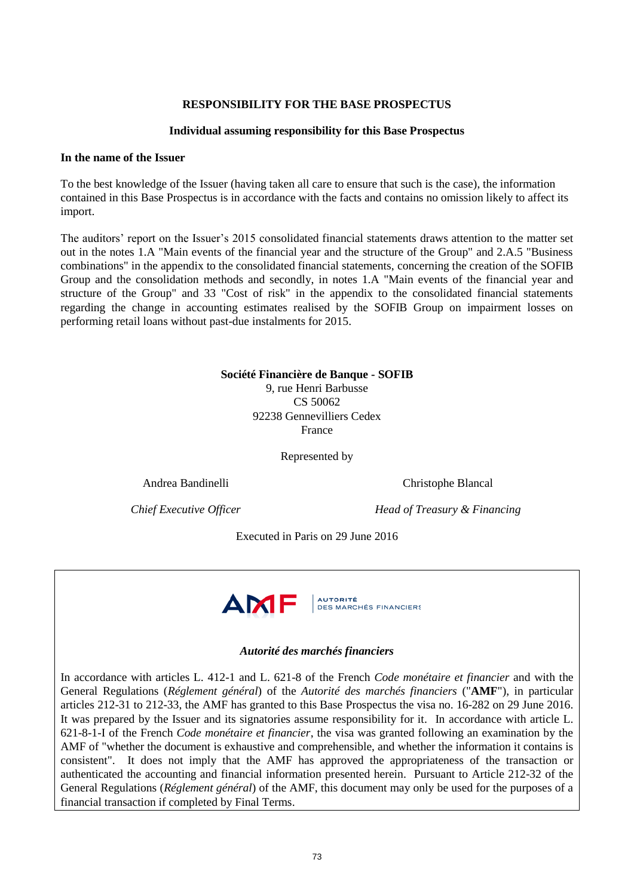### **RESPONSIBILITY FOR THE BASE PROSPECTUS**

#### **Individual assuming responsibility for this Base Prospectus**

#### **In the name of the Issuer**

To the best knowledge of the Issuer (having taken all care to ensure that such is the case), the information contained in this Base Prospectus is in accordance with the facts and contains no omission likely to affect its import.

The auditors' report on the Issuer's 2015 consolidated financial statements draws attention to the matter set out in the notes 1.A "Main events of the financial year and the structure of the Group" and 2.A.5 "Business combinations" in the appendix to the consolidated financial statements, concerning the creation of the SOFIB Group and the consolidation methods and secondly, in notes 1.A "Main events of the financial year and structure of the Group" and 33 "Cost of risk" in the appendix to the consolidated financial statements regarding the change in accounting estimates realised by the SOFIB Group on impairment losses on performing retail loans without past-due instalments for 2015.

> **Société Financière de Banque - SOFIB** 9, rue Henri Barbusse CS 50062 92238 Gennevilliers Cedex France

> > Represented by

Andrea Bandinelli Christophe Blancal

*Chief Executive Officer Head of Treasury & Financing*

Executed in Paris on 29 June 2016



#### *Autorité des marchés financiers*

In accordance with articles L. 412-1 and L. 621-8 of the French *Code monétaire et financier* and with the General Regulations (*Réglement général*) of the *Autorité des marchés financiers* ("**AMF**"), in particular articles 212-31 to 212-33, the AMF has granted to this Base Prospectus the visa no. 16-282 on 29 June 2016. It was prepared by the Issuer and its signatories assume responsibility for it. In accordance with article L. 621-8-1-I of the French *Code monétaire et financier*, the visa was granted following an examination by the AMF of "whether the document is exhaustive and comprehensible, and whether the information it contains is consistent". It does not imply that the AMF has approved the appropriateness of the transaction or authenticated the accounting and financial information presented herein. Pursuant to Article 212-32 of the General Regulations (*Réglement général*) of the AMF, this document may only be used for the purposes of a financial transaction if completed by Final Terms.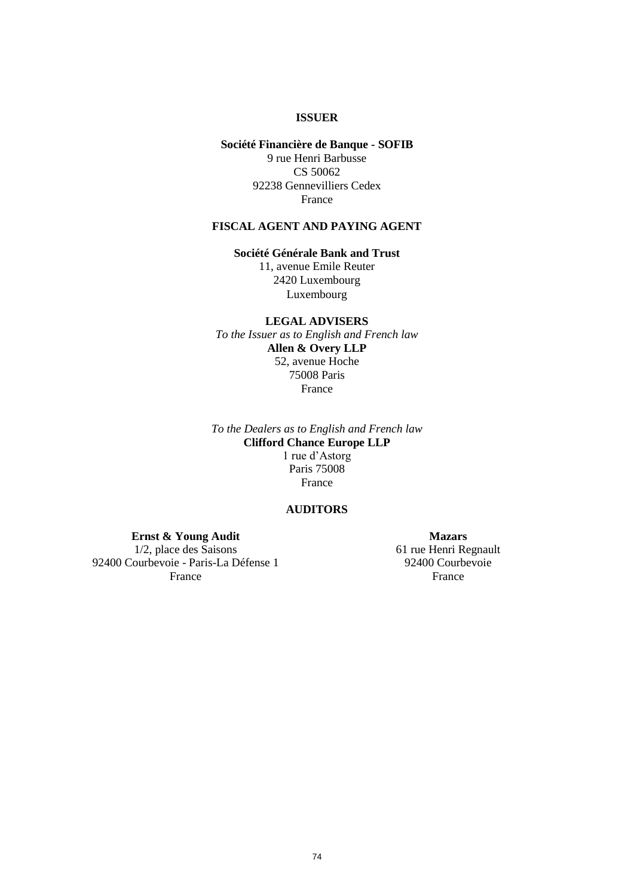#### **ISSUER**

# **Société Financière de Banque - SOFIB** 9 rue Henri Barbusse CS 50062 92238 Gennevilliers Cedex France

# **FISCAL AGENT AND PAYING AGENT**

**Société Générale Bank and Trust**

11, avenue Emile Reuter 2420 Luxembourg Luxembourg

**LEGAL ADVISERS** *To the Issuer as to English and French law* **Allen & Overy LLP** 52, avenue Hoche 75008 Paris France

*To the Dealers as to English and French law* **Clifford Chance Europe LLP** 1 rue d'Astorg Paris 75008 France

# **AUDITORS**

**Ernst & Young Audit** 1/2, place des Saisons 92400 Courbevoie - Paris-La Défense 1 France

**Mazars** 61 rue Henri Regnault 92400 Courbevoie France